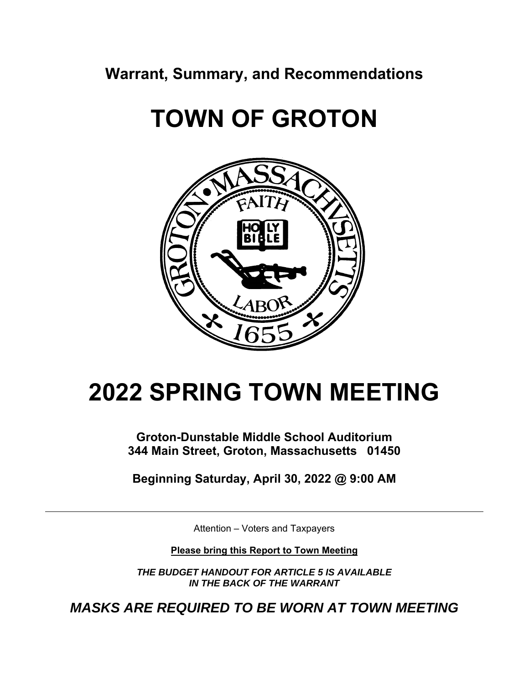**Warrant, Summary, and Recommendations** 

# **TOWN OF GROTON**



# **2022 SPRING TOWN MEETING**

**Groton-Dunstable Middle School Auditorium 344 Main Street, Groton, Massachusetts 01450** 

**Beginning Saturday, April 30, 2022 @ 9:00 AM** 

Attention – Voters and Taxpayers

**Please bring this Report to Town Meeting** 

*THE BUDGET HANDOUT FOR ARTICLE 5 IS AVAILABLE IN THE BACK OF THE WARRANT* 

*MASKS ARE REQUIRED TO BE WORN AT TOWN MEETING*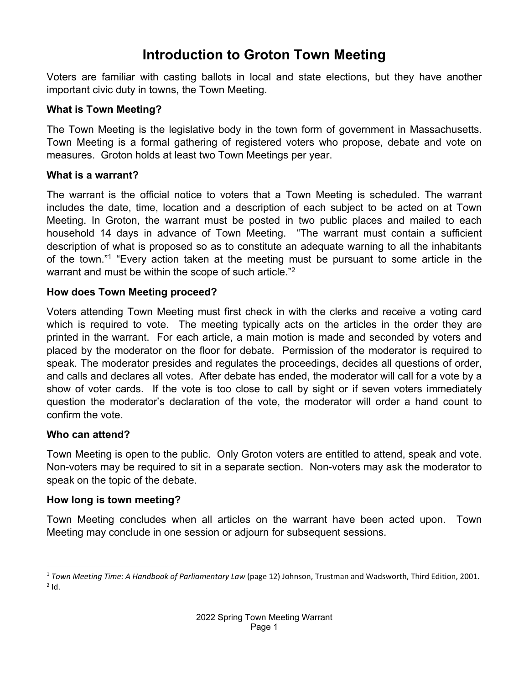## **Introduction to Groton Town Meeting**

Voters are familiar with casting ballots in local and state elections, but they have another important civic duty in towns, the Town Meeting.

#### **What is Town Meeting?**

The Town Meeting is the legislative body in the town form of government in Massachusetts. Town Meeting is a formal gathering of registered voters who propose, debate and vote on measures. Groton holds at least two Town Meetings per year.

#### **What is a warrant?**

The warrant is the official notice to voters that a Town Meeting is scheduled. The warrant includes the date, time, location and a description of each subject to be acted on at Town Meeting. In Groton, the warrant must be posted in two public places and mailed to each household 14 days in advance of Town Meeting. "The warrant must contain a sufficient description of what is proposed so as to constitute an adequate warning to all the inhabitants of the town."1 "Every action taken at the meeting must be pursuant to some article in the warrant and must be within the scope of such article."<sup>2</sup>

#### **How does Town Meeting proceed?**

Voters attending Town Meeting must first check in with the clerks and receive a voting card which is required to vote. The meeting typically acts on the articles in the order they are printed in the warrant. For each article, a main motion is made and seconded by voters and placed by the moderator on the floor for debate. Permission of the moderator is required to speak. The moderator presides and regulates the proceedings, decides all questions of order, and calls and declares all votes. After debate has ended, the moderator will call for a vote by a show of voter cards. If the vote is too close to call by sight or if seven voters immediately question the moderator's declaration of the vote, the moderator will order a hand count to confirm the vote.

#### **Who can attend?**

Town Meeting is open to the public. Only Groton voters are entitled to attend, speak and vote. Non-voters may be required to sit in a separate section. Non-voters may ask the moderator to speak on the topic of the debate.

#### **How long is town meeting?**

Town Meeting concludes when all articles on the warrant have been acted upon. Town Meeting may conclude in one session or adjourn for subsequent sessions.

<sup>1</sup> *Town Meeting Time: A Handbook of Parliamentary Law* (page 12) Johnson, Trustman and Wadsworth, Third Edition, 2001.  $2$  Id.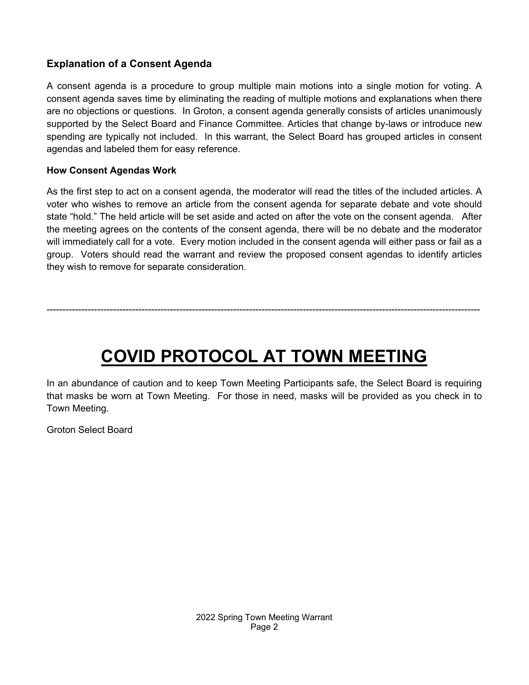#### **Explanation of a Consent Agenda**

A consent agenda is a procedure to group multiple main motions into a single motion for voting. A consent agenda saves time by eliminating the reading of multiple motions and explanations when there are no objections or questions. In Groton, a consent agenda generally consists of articles unanimously supported by the Select Board and Finance Committee. Articles that change by-laws or introduce new spending are typically not included. In this warrant, the Select Board has grouped articles in consent agendas and labeled them for easy reference.

#### **How Consent Agendas Work**

As the first step to act on a consent agenda, the moderator will read the titles of the included articles. A voter who wishes to remove an article from the consent agenda for separate debate and vote should state "hold." The held article will be set aside and acted on after the vote on the consent agenda. After the meeting agrees on the contents of the consent agenda, there will be no debate and the moderator will immediately call for a vote. Every motion included in the consent agenda will either pass or fail as a group. Voters should read the warrant and review the proposed consent agendas to identify articles they wish to remove for separate consideration.

# **COVID PROTOCOL AT TOWN MEETING**

-----------------------------------------------------------------------------------------------------------------------------------------

In an abundance of caution and to keep Town Meeting Participants safe, the Select Board is requiring that masks be worn at Town Meeting. For those in need, masks will be provided as you check in to Town Meeting.

Groton Select Board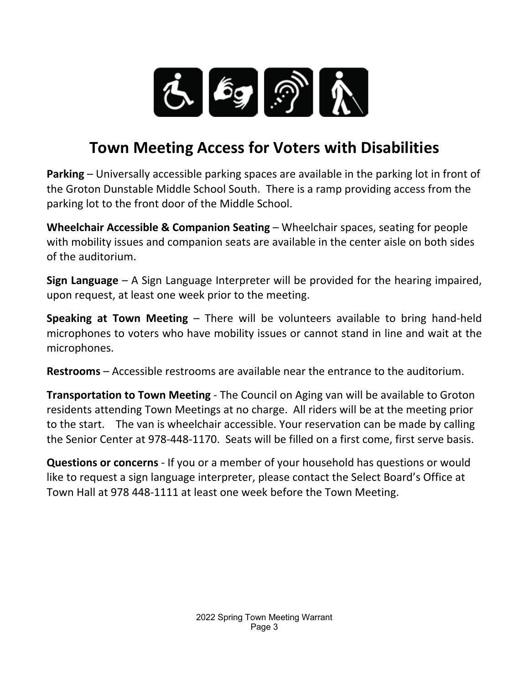

# **Town Meeting Access for Voters with Disabilities**

**Parking** – Universally accessible parking spaces are available in the parking lot in front of the Groton Dunstable Middle School South. There is a ramp providing access from the parking lot to the front door of the Middle School.

**Wheelchair Accessible & Companion Seating** – Wheelchair spaces, seating for people with mobility issues and companion seats are available in the center aisle on both sides of the auditorium.

**Sign Language** – A Sign Language Interpreter will be provided for the hearing impaired, upon request, at least one week prior to the meeting.

**Speaking at Town Meeting** – There will be volunteers available to bring hand-held microphones to voters who have mobility issues or cannot stand in line and wait at the microphones.

**Restrooms** – Accessible restrooms are available near the entrance to the auditorium.

**Transportation to Town Meeting** - The Council on Aging van will be available to Groton residents attending Town Meetings at no charge. All riders will be at the meeting prior to the start. The van is wheelchair accessible. Your reservation can be made by calling the Senior Center at 978‐448‐1170. Seats will be filled on a first come, first serve basis.

**Questions or concerns** ‐ If you or a member of your household has questions or would like to request a sign language interpreter, please contact the Select Board's Office at Town Hall at 978 448‐1111 at least one week before the Town Meeting.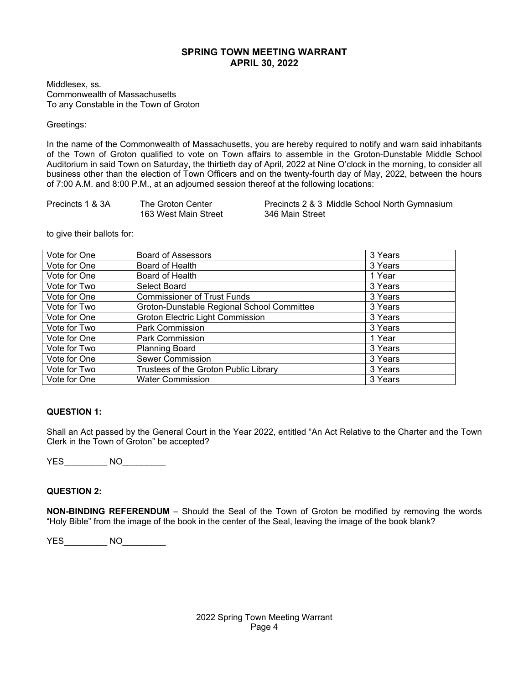#### **SPRING TOWN MEETING WARRANT APRIL 30, 2022**

Middlesex, ss. Commonwealth of Massachusetts To any Constable in the Town of Groton

#### Greetings:

In the name of the Commonwealth of Massachusetts, you are hereby required to notify and warn said inhabitants of the Town of Groton qualified to vote on Town affairs to assemble in the Groton-Dunstable Middle School Auditorium in said Town on Saturday, the thirtieth day of April, 2022 at Nine O'clock in the morning, to consider all business other than the election of Town Officers and on the twenty-fourth day of May, 2022, between the hours of 7:00 A.M. and 8:00 P.M., at an adjourned session thereof at the following locations:

| Precincts 1 & 3A | The Groton Center    | Precincts 2 & 3 Middle School North Gymnasium |
|------------------|----------------------|-----------------------------------------------|
|                  | 163 West Main Street | 346 Main Street                               |

to give their ballots for:

| Vote for One | <b>Board of Assessors</b>                  | 3 Years |
|--------------|--------------------------------------------|---------|
| Vote for One | Board of Health                            | 3 Years |
| Vote for One | Board of Health                            | 1 Year  |
| Vote for Two | Select Board                               | 3 Years |
| Vote for One | <b>Commissioner of Trust Funds</b>         | 3 Years |
| Vote for Two | Groton-Dunstable Regional School Committee | 3 Years |
| Vote for One | Groton Electric Light Commission           | 3 Years |
| Vote for Two | Park Commission                            | 3 Years |
| Vote for One | Park Commission                            | 1 Year  |
| Vote for Two | <b>Planning Board</b>                      | 3 Years |
| Vote for One | <b>Sewer Commission</b>                    | 3 Years |
| Vote for Two | Trustees of the Groton Public Library      | 3 Years |
| Vote for One | <b>Water Commission</b>                    | 3 Years |

#### **QUESTION 1:**

Shall an Act passed by the General Court in the Year 2022, entitled "An Act Relative to the Charter and the Town Clerk in the Town of Groton" be accepted?

YES NO

#### **QUESTION 2:**

**NON-BINDING REFERENDUM** – Should the Seal of the Town of Groton be modified by removing the words "Holy Bible" from the image of the book in the center of the Seal, leaving the image of the book blank?

YES\_\_\_\_\_\_\_\_\_\_\_\_ NO\_\_\_\_\_\_\_\_\_\_\_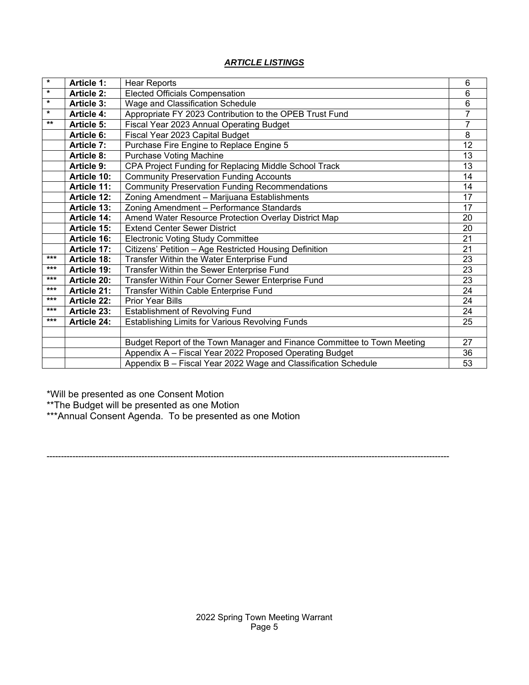#### *ARTICLE LISTINGS*

| $\star$ | <b>Article 1:</b>  | <b>Hear Reports</b>                                                     | 6              |
|---------|--------------------|-------------------------------------------------------------------------|----------------|
| $\star$ | <b>Article 2:</b>  | <b>Elected Officials Compensation</b>                                   | 6              |
| $\star$ | Article 3:         | Wage and Classification Schedule                                        | 6              |
| $\star$ | <b>Article 4:</b>  | Appropriate FY 2023 Contribution to the OPEB Trust Fund                 | 7              |
| $***$   | <b>Article 5:</b>  | Fiscal Year 2023 Annual Operating Budget                                | $\overline{7}$ |
|         | <b>Article 6:</b>  | Fiscal Year 2023 Capital Budget                                         | 8              |
|         | <b>Article 7:</b>  | Purchase Fire Engine to Replace Engine 5                                | 12             |
|         | <b>Article 8:</b>  | <b>Purchase Voting Machine</b>                                          | 13             |
|         | <b>Article 9:</b>  | CPA Project Funding for Replacing Middle School Track                   | 13             |
|         | Article 10:        | <b>Community Preservation Funding Accounts</b>                          | 14             |
|         | <b>Article 11:</b> | <b>Community Preservation Funding Recommendations</b>                   | 14             |
|         | <b>Article 12:</b> | Zoning Amendment - Marijuana Establishments                             | 17             |
|         | Article 13:        | Zoning Amendment - Performance Standards                                | 17             |
|         | <b>Article 14:</b> | Amend Water Resource Protection Overlay District Map                    | 20             |
|         | Article 15:        | <b>Extend Center Sewer District</b>                                     | 20             |
|         | Article 16:        | <b>Electronic Voting Study Committee</b>                                | 21             |
|         | Article 17:        | Citizens' Petition - Age Restricted Housing Definition                  | 21             |
| ***     | Article 18:        | Transfer Within the Water Enterprise Fund                               | 23             |
| ***     | Article 19:        | Transfer Within the Sewer Enterprise Fund                               | 23             |
| ***     | <b>Article 20:</b> | Transfer Within Four Corner Sewer Enterprise Fund                       | 23             |
| ***     | Article 21:        | Transfer Within Cable Enterprise Fund                                   | 24             |
| $***$   | Article 22:        | <b>Prior Year Bills</b>                                                 | 24             |
| ***     | Article 23:        | <b>Establishment of Revolving Fund</b>                                  | 24             |
| ***     | <b>Article 24:</b> | <b>Establishing Limits for Various Revolving Funds</b>                  | 25             |
|         |                    |                                                                         |                |
|         |                    | Budget Report of the Town Manager and Finance Committee to Town Meeting | 27             |
|         |                    | Appendix A - Fiscal Year 2022 Proposed Operating Budget                 | 36             |
|         |                    | Appendix B - Fiscal Year 2022 Wage and Classification Schedule          | 53             |

\*Will be presented as one Consent Motion

\*\*The Budget will be presented as one Motion

\*\*\*Annual Consent Agenda. To be presented as one Motion

2022 Spring Town Meeting Warrant Page 5

--------------------------------------------------------------------------------------------------------------------------------------------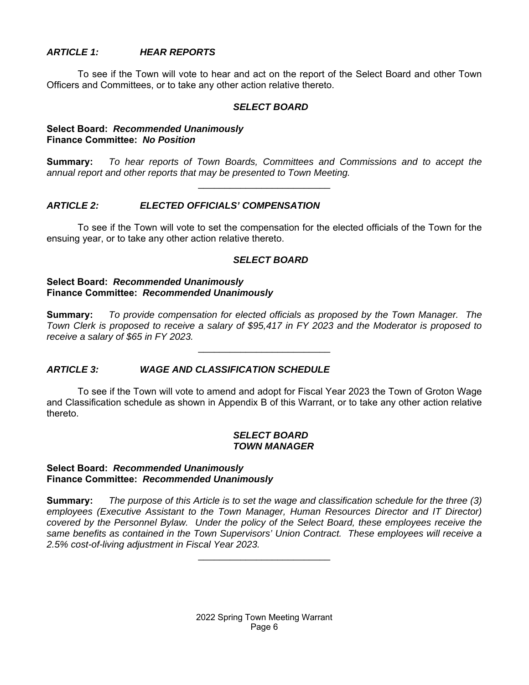#### *ARTICLE 1: HEAR REPORTS*

 To see if the Town will vote to hear and act on the report of the Select Board and other Town Officers and Committees, or to take any other action relative thereto.

#### *SELECT BOARD*

#### **Select Board:** *Recommended Unanimously* **Finance Committee:** *No Position*

**Summary:** *To hear reports of Town Boards, Committees and Commissions and to accept the annual report and other reports that may be presented to Town Meeting.*   $\mathcal{L}=\mathcal{L}=\mathcal{L}=\mathcal{L}=\mathcal{L}=\mathcal{L}=\mathcal{L}=\mathcal{L}=\mathcal{L}=\mathcal{L}=\mathcal{L}=\mathcal{L}=\mathcal{L}=\mathcal{L}=\mathcal{L}=\mathcal{L}=\mathcal{L}=\mathcal{L}=\mathcal{L}=\mathcal{L}=\mathcal{L}=\mathcal{L}=\mathcal{L}=\mathcal{L}=\mathcal{L}=\mathcal{L}=\mathcal{L}=\mathcal{L}=\mathcal{L}=\mathcal{L}=\mathcal{L}=\mathcal{L}=\mathcal{L}=\mathcal{L}=\mathcal{L}=\mathcal{L}=\mathcal{$ 

#### *ARTICLE 2: ELECTED OFFICIALS' COMPENSATION*

 To see if the Town will vote to set the compensation for the elected officials of the Town for the ensuing year, or to take any other action relative thereto.

#### *SELECT BOARD*

#### **Select Board:** *Recommended Unanimously* **Finance Committee:** *Recommended Unanimously*

**Summary:** *To provide compensation for elected officials as proposed by the Town Manager. The Town Clerk is proposed to receive a salary of \$95,417 in FY 2023 and the Moderator is proposed to receive a salary of \$65 in FY 2023.*

 $\overline{\phantom{a}}$  , where  $\overline{\phantom{a}}$  , where  $\overline{\phantom{a}}$  , where  $\overline{\phantom{a}}$ 

#### *ARTICLE 3: WAGE AND CLASSIFICATION SCHEDULE*

 To see if the Town will vote to amend and adopt for Fiscal Year 2023 the Town of Groton Wage and Classification schedule as shown in Appendix B of this Warrant, or to take any other action relative thereto.

#### *SELECT BOARD TOWN MANAGER*

#### **Select Board:** *Recommended Unanimously* **Finance Committee:** *Recommended Unanimously*

**Summary:** *The purpose of this Article is to set the wage and classification schedule for the three (3) employees (Executive Assistant to the Town Manager, Human Resources Director and IT Director) covered by the Personnel Bylaw. Under the policy of the Select Board, these employees receive the same benefits as contained in the Town Supervisors' Union Contract. These employees will receive a 2.5% cost-of-living adjustment in Fiscal Year 2023.*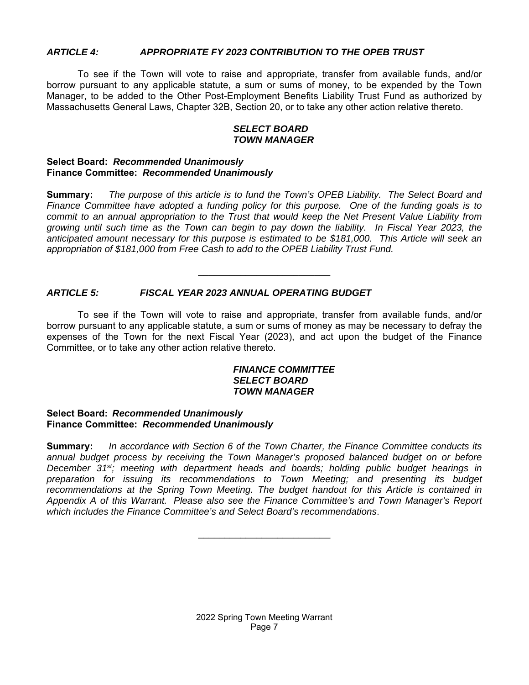#### *ARTICLE 4: APPROPRIATE FY 2023 CONTRIBUTION TO THE OPEB TRUST*

 To see if the Town will vote to raise and appropriate, transfer from available funds, and/or borrow pursuant to any applicable statute, a sum or sums of money, to be expended by the Town Manager, to be added to the Other Post-Employment Benefits Liability Trust Fund as authorized by Massachusetts General Laws, Chapter 32B, Section 20, or to take any other action relative thereto.

#### *SELECT BOARD TOWN MANAGER*

#### **Select Board:** *Recommended Unanimously* **Finance Committee:** *Recommended Unanimously*

**Summary:** *The purpose of this article is to fund the Town's OPEB Liability. The Select Board and Finance Committee have adopted a funding policy for this purpose. One of the funding goals is to commit to an annual appropriation to the Trust that would keep the Net Present Value Liability from growing until such time as the Town can begin to pay down the liability. In Fiscal Year 2023, the anticipated amount necessary for this purpose is estimated to be \$181,000. This Article will seek an appropriation of \$181,000 from Free Cash to add to the OPEB Liability Trust Fund.* 

 $\mathcal{L}=\mathcal{L}=\mathcal{L}=\mathcal{L}=\mathcal{L}=\mathcal{L}=\mathcal{L}=\mathcal{L}=\mathcal{L}=\mathcal{L}=\mathcal{L}=\mathcal{L}=\mathcal{L}=\mathcal{L}=\mathcal{L}=\mathcal{L}=\mathcal{L}=\mathcal{L}=\mathcal{L}=\mathcal{L}=\mathcal{L}=\mathcal{L}=\mathcal{L}=\mathcal{L}=\mathcal{L}=\mathcal{L}=\mathcal{L}=\mathcal{L}=\mathcal{L}=\mathcal{L}=\mathcal{L}=\mathcal{L}=\mathcal{L}=\mathcal{L}=\mathcal{L}=\mathcal{L}=\mathcal{$ 

#### *ARTICLE 5: FISCAL YEAR 2023 ANNUAL OPERATING BUDGET*

 To see if the Town will vote to raise and appropriate, transfer from available funds, and/or borrow pursuant to any applicable statute, a sum or sums of money as may be necessary to defray the expenses of the Town for the next Fiscal Year (2023), and act upon the budget of the Finance Committee, or to take any other action relative thereto.

#### *FINANCE COMMITTEE SELECT BOARD TOWN MANAGER*

#### **Select Board:** *Recommended Unanimously* **Finance Committee:** *Recommended Unanimously*

**Summary:** *In accordance with Section 6 of the Town Charter, the Finance Committee conducts its annual budget process by receiving the Town Manager's proposed balanced budget on or before December 31st; meeting with department heads and boards; holding public budget hearings in preparation for issuing its recommendations to Town Meeting; and presenting its budget recommendations at the Spring Town Meeting. The budget handout for this Article is contained in Appendix A of this Warrant. Please also see the Finance Committee's and Town Manager's Report which includes the Finance Committee's and Select Board's recommendations*.

 $\mathcal{L}=\mathcal{L}^{\mathcal{L}}$  , where  $\mathcal{L}^{\mathcal{L}}$  , we have the set of the set of the set of the set of the set of the set of the set of the set of the set of the set of the set of the set of the set of the set of the set of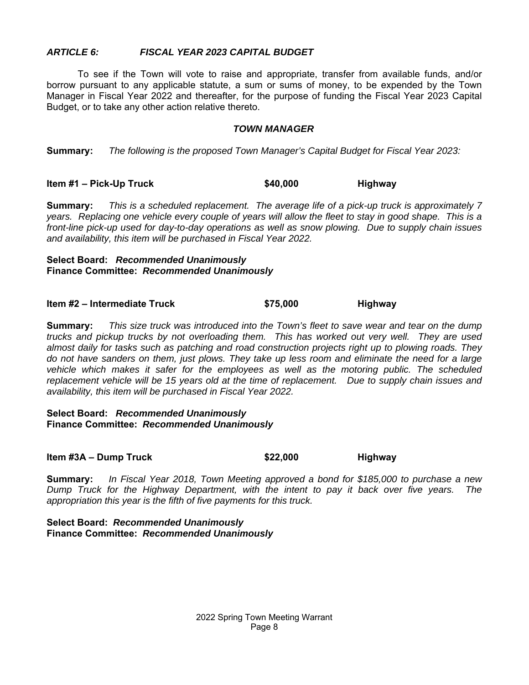#### *ARTICLE 6: FISCAL YEAR 2023 CAPITAL BUDGET*

 To see if the Town will vote to raise and appropriate, transfer from available funds, and/or borrow pursuant to any applicable statute, a sum or sums of money, to be expended by the Town Manager in Fiscal Year 2022 and thereafter, for the purpose of funding the Fiscal Year 2023 Capital Budget, or to take any other action relative thereto.

#### *TOWN MANAGER*

**Summary:** *The following is the proposed Town Manager's Capital Budget for Fiscal Year 2023:* 

**Item #1 – Pick-Up Truck \$40,000 Highway** 

**Summary:** *This is a scheduled replacement. The average life of a pick-up truck is approximately 7 years. Replacing one vehicle every couple of years will allow the fleet to stay in good shape. This is a front-line pick-up used for day-to-day operations as well as snow plowing. Due to supply chain issues and availability, this item will be purchased in Fiscal Year 2022.* 

#### **Select Board:** *Recommended Unanimously* **Finance Committee:** *Recommended Unanimously*

| \$75,000<br>Item #2 - Intermediate Truck | <b>Highway</b> |  |
|------------------------------------------|----------------|--|
|------------------------------------------|----------------|--|

**Summary:** *This size truck was introduced into the Town's fleet to save wear and tear on the dump trucks and pickup trucks by not overloading them. This has worked out very well. They are used almost daily for tasks such as patching and road construction projects right up to plowing roads. They do not have sanders on them, just plows. They take up less room and eliminate the need for a large vehicle which makes it safer for the employees as well as the motoring public. The scheduled replacement vehicle will be 15 years old at the time of replacement. Due to supply chain issues and availability, this item will be purchased in Fiscal Year 2022.*

#### **Select Board:** *Recommended Unanimously* **Finance Committee:** *Recommended Unanimously*

#### **Item #3A – Dump Truck \$22,000 Highway**

**Summary:** *In Fiscal Year 2018, Town Meeting approved a bond for \$185,000 to purchase a new Dump Truck for the Highway Department, with the intent to pay it back over five years. The appropriation this year is the fifth of five payments for this truck.* 

**Select Board:** *Recommended Unanimously* **Finance Committee:** *Recommended Unanimously*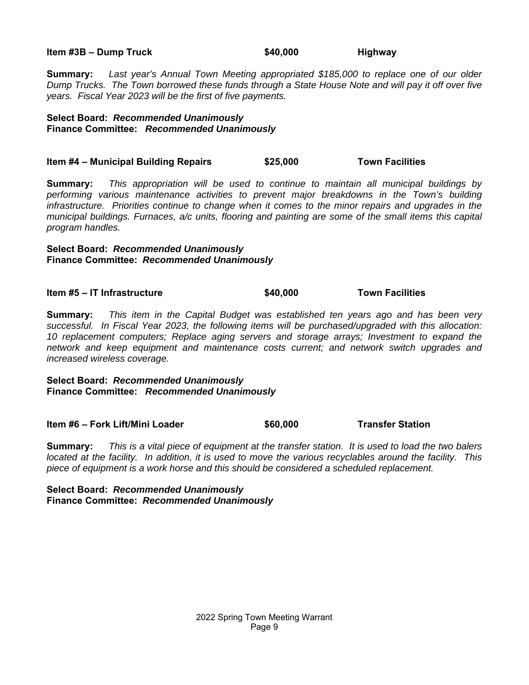#### **Item #3B – Dump Truck \$40,000 Highway**

**Summary:** *Last year's Annual Town Meeting appropriated \$185,000 to replace one of our older Dump Trucks. The Town borrowed these funds through a State House Note and will pay it off over five years. Fiscal Year 2023 will be the first of five payments.* 

#### **Select Board:** *Recommended Unanimously* **Finance Committee:** *Recommended Unanimously*

#### **Item #4 – Municipal Building Repairs**  $$25,000$  **Town Facilities**

**Summary:** *This appropriation will be used to continue to maintain all municipal buildings by performing various maintenance activities to prevent major breakdowns in the Town's building infrastructure. Priorities continue to change when it comes to the minor repairs and upgrades in the municipal buildings. Furnaces, a/c units, flooring and painting are some of the small items this capital program handles.* 

#### **Select Board:** *Recommended Unanimously* **Finance Committee:** *Recommended Unanimously*

**Item #5 – IT Infrastructure \$40,000 Town Facilities** 

**Summary:** *This item in the Capital Budget was established ten years ago and has been very successful. In Fiscal Year 2023, the following items will be purchased/upgraded with this allocation: 10 replacement computers; Replace aging servers and storage arrays; Investment to expand the network and keep equipment and maintenance costs current; and network switch upgrades and increased wireless coverage.* 

#### **Select Board:** *Recommended Unanimously* **Finance Committee:** *Recommended Unanimously*

**Item #6 – Fork Lift/Mini Loader 19th S60,000 Transfer Station Control of Article 2016** 

**Summary:** *This is a vital piece of equipment at the transfer station. It is used to load the two balers located at the facility. In addition, it is used to move the various recyclables around the facility. This piece of equipment is a work horse and this should be considered a scheduled replacement.* 

**Select Board:** *Recommended Unanimously* **Finance Committee:** *Recommended Unanimously*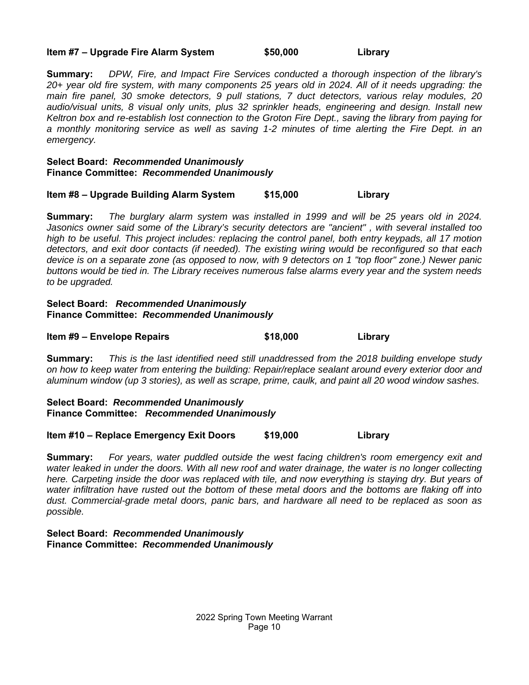#### **Item #7 – Upgrade Fire Alarm System**  $$50,000$  **Library**

**Summary:** *DPW, Fire, and Impact Fire Services conducted a thorough inspection of the library's 20+ year old fire system, with many components 25 years old in 2024. All of it needs upgrading: the main fire panel, 30 smoke detectors, 9 pull stations, 7 duct detectors, various relay modules, 20 audio/visual units, 8 visual only units, plus 32 sprinkler heads, engineering and design. Install new Keltron box and re-establish lost connection to the Groton Fire Dept., saving the library from paying for a monthly monitoring service as well as saving 1-2 minutes of time alerting the Fire Dept. in an emergency.* 

#### **Select Board:** *Recommended Unanimously* **Finance Committee:** *Recommended Unanimously*

**Item #8 – Upgrade Building Alarm System \$15,000 Library** 

**Summary:** *The burglary alarm system was installed in 1999 and will be 25 years old in 2024. Jasonics owner said some of the Library's security detectors are "ancient" , with several installed too high to be useful. This project includes: replacing the control panel, both entry keypads, all 17 motion detectors, and exit door contacts (if needed). The existing wiring would be reconfigured so that each device is on a separate zone (as opposed to now, with 9 detectors on 1 "top floor" zone.) Newer panic buttons would be tied in. The Library receives numerous false alarms every year and the system needs to be upgraded.* 

#### **Select Board:** *Recommended Unanimously* **Finance Committee:** *Recommended Unanimously*

| Item #9 – Envelope Repairs | \$18,000 | Library |
|----------------------------|----------|---------|
|----------------------------|----------|---------|

**Summary:** *This is the last identified need still unaddressed from the 2018 building envelope study on how to keep water from entering the building: Repair/replace sealant around every exterior door and aluminum window (up 3 stories), as well as scrape, prime, caulk, and paint all 20 wood window sashes.* 

#### **Select Board:** *Recommended Unanimously* **Finance Committee:** *Recommended Unanimously*

**Item #10 – Replace Emergency Exit Doors \$19,000 Library** 

**Summary:** *For years, water puddled outside the west facing children's room emergency exit and*  water leaked in under the doors. With all new roof and water drainage, the water is no longer collecting *here. Carpeting inside the door was replaced with tile, and now everything is staying dry. But years of*  water infiltration have rusted out the bottom of these metal doors and the bottoms are flaking off into *dust. Commercial-grade metal doors, panic bars, and hardware all need to be replaced as soon as possible.* 

#### **Select Board:** *Recommended Unanimously* **Finance Committee:** *Recommended Unanimously*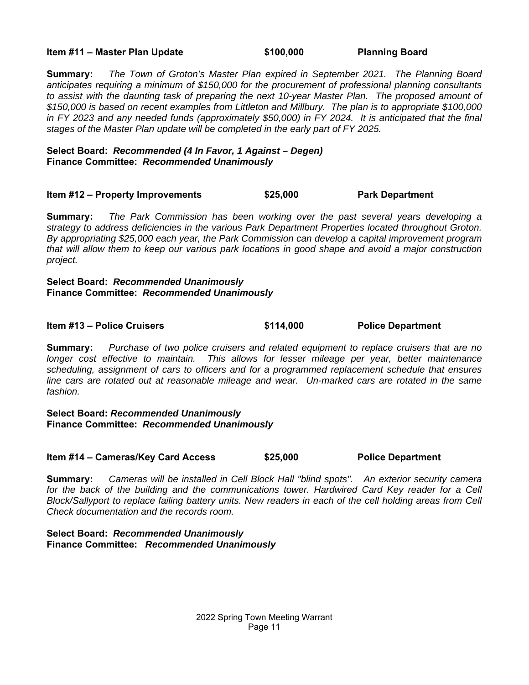#### **Item #11 – Master Plan Update 6 Convertised Convertisers** \$100,000 Planning Board

**Summary:** *The Town of Groton's Master Plan expired in September 2021. The Planning Board anticipates requiring a minimum of \$150,000 for the procurement of professional planning consultants to assist with the daunting task of preparing the next 10-year Master Plan. The proposed amount of \$150,000 is based on recent examples from Littleton and Millbury. The plan is to appropriate \$100,000 in FY 2023 and any needed funds (approximately \$50,000) in FY 2024. It is anticipated that the final stages of the Master Plan update will be completed in the early part of FY 2025.* 

#### **Select Board:** *Recommended (4 In Favor, 1 Against – Degen)*  **Finance Committee:** *Recommended Unanimously*

#### **Item #12 – Property Improvements**  $$25,000$  **Park Department**

**Summary:** *The Park Commission has been working over the past several years developing a strategy to address deficiencies in the various Park Department Properties located throughout Groton. By appropriating \$25,000 each year, the Park Commission can develop a capital improvement program that will allow them to keep our various park locations in good shape and avoid a major construction project.* 

#### **Select Board:** *Recommended Unanimously* **Finance Committee:** *Recommended Unanimously*

#### **Item #13 – Police Cruisers \$114,000 Police Department**

**Summary:** *Purchase of two police cruisers and related equipment to replace cruisers that are no longer cost effective to maintain. This allows for lesser mileage per year, better maintenance scheduling, assignment of cars to officers and for a programmed replacement schedule that ensures line cars are rotated out at reasonable mileage and wear. Un-marked cars are rotated in the same fashion.*

**Select Board:** *Recommended Unanimously* **Finance Committee:** *Recommended Unanimously*

**Item #14 – Cameras/Key Card Access \$25,000 Police Department** 

**Summary:** *Cameras will be installed in Cell Block Hall "blind spots". An exterior security camera*  for the back of the building and the communications tower. Hardwired Card Key reader for a Cell *Block/Sallyport to replace failing battery units. New readers in each of the cell holding areas from Cell Check documentation and the records room.* 

**Select Board:** *Recommended Unanimously* **Finance Committee:** *Recommended Unanimously*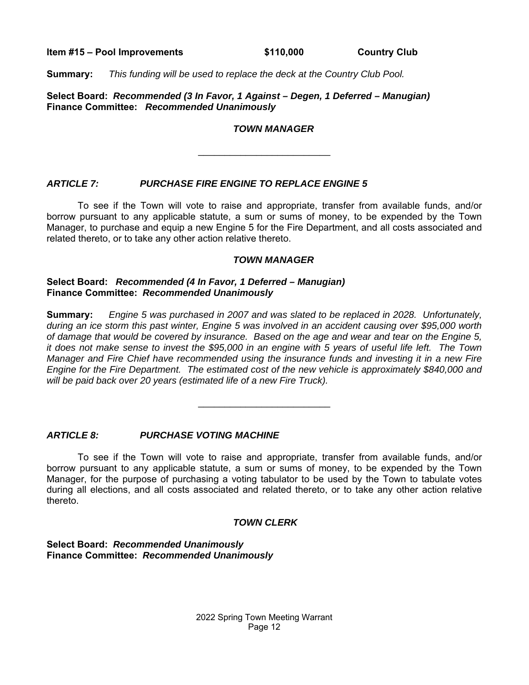**Item #15 – Pool Improvements 6110,000 Country Club** 

**Summary:** *This funding will be used to replace the deck at the Country Club Pool.* 

**Select Board:** *Recommended (3 In Favor, 1 Against – Degen, 1 Deferred – Manugian)* **Finance Committee:** *Recommended Unanimously*

#### *TOWN MANAGER*

#### *ARTICLE 7: PURCHASE FIRE ENGINE TO REPLACE ENGINE 5*

To see if the Town will vote to raise and appropriate, transfer from available funds, and/or borrow pursuant to any applicable statute, a sum or sums of money, to be expended by the Town Manager, to purchase and equip a new Engine 5 for the Fire Department, and all costs associated and related thereto, or to take any other action relative thereto.

#### *TOWN MANAGER*

#### **Select Board:** *Recommended (4 In Favor, 1 Deferred – Manugian)* **Finance Committee:** *Recommended Unanimously*

**Summary:** *Engine 5 was purchased in 2007 and was slated to be replaced in 2028. Unfortunately, during an ice storm this past winter, Engine 5 was involved in an accident causing over \$95,000 worth of damage that would be covered by insurance. Based on the age and wear and tear on the Engine 5, it does not make sense to invest the \$95,000 in an engine with 5 years of useful life left. The Town Manager and Fire Chief have recommended using the insurance funds and investing it in a new Fire Engine for the Fire Department. The estimated cost of the new vehicle is approximately \$840,000 and will be paid back over 20 years (estimated life of a new Fire Truck).* 

 $\mathcal{L}=\mathcal{L}=\mathcal{L}=\mathcal{L}=\mathcal{L}=\mathcal{L}=\mathcal{L}=\mathcal{L}=\mathcal{L}=\mathcal{L}=\mathcal{L}=\mathcal{L}=\mathcal{L}=\mathcal{L}=\mathcal{L}=\mathcal{L}=\mathcal{L}=\mathcal{L}=\mathcal{L}=\mathcal{L}=\mathcal{L}=\mathcal{L}=\mathcal{L}=\mathcal{L}=\mathcal{L}=\mathcal{L}=\mathcal{L}=\mathcal{L}=\mathcal{L}=\mathcal{L}=\mathcal{L}=\mathcal{L}=\mathcal{L}=\mathcal{L}=\mathcal{L}=\mathcal{L}=\mathcal{$ 

#### *ARTICLE 8: PURCHASE VOTING MACHINE*

 To see if the Town will vote to raise and appropriate, transfer from available funds, and/or borrow pursuant to any applicable statute, a sum or sums of money, to be expended by the Town Manager, for the purpose of purchasing a voting tabulator to be used by the Town to tabulate votes during all elections, and all costs associated and related thereto, or to take any other action relative thereto.

#### *TOWN CLERK*

#### **Select Board:** *Recommended Unanimously* **Finance Committee:** *Recommended Unanimously*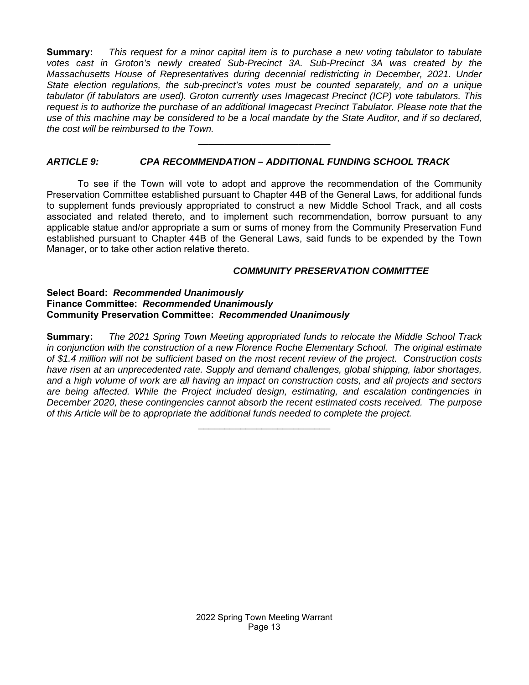**Summary:** *This request for a minor capital item is to purchase a new voting tabulator to tabulate votes cast in Groton's newly created Sub-Precinct 3A. Sub-Precinct 3A was created by the Massachusetts House of Representatives during decennial redistricting in December, 2021. Under State election regulations, the sub-precinct's votes must be counted separately, and on a unique tabulator (if tabulators are used). Groton currently uses Imagecast Precinct (ICP) vote tabulators. This request is to authorize the purchase of an additional Imagecast Precinct Tabulator. Please note that the use of this machine may be considered to be a local mandate by the State Auditor, and if so declared, the cost will be reimbursed to the Town.* 

#### *ARTICLE 9: CPA RECOMMENDATION – ADDITIONAL FUNDING SCHOOL TRACK*

 To see if the Town will vote to adopt and approve the recommendation of the Community Preservation Committee established pursuant to Chapter 44B of the General Laws, for additional funds to supplement funds previously appropriated to construct a new Middle School Track, and all costs associated and related thereto, and to implement such recommendation, borrow pursuant to any applicable statue and/or appropriate a sum or sums of money from the Community Preservation Fund established pursuant to Chapter 44B of the General Laws, said funds to be expended by the Town Manager, or to take other action relative thereto.

#### *COMMUNITY PRESERVATION COMMITTEE*

#### **Select Board:** *Recommended Unanimously* **Finance Committee:** *Recommended Unanimously* **Community Preservation Committee:** *Recommended Unanimously*

**Summary:** *The 2021 Spring Town Meeting appropriated funds to relocate the Middle School Track in conjunction with the construction of a new Florence Roche Elementary School. The original estimate of \$1.4 million will not be sufficient based on the most recent review of the project. Construction costs have risen at an unprecedented rate. Supply and demand challenges, global shipping, labor shortages, and a high volume of work are all having an impact on construction costs, and all projects and sectors are being affected. While the Project included design, estimating, and escalation contingencies in December 2020, these contingencies cannot absorb the recent estimated costs received. The purpose of this Article will be to appropriate the additional funds needed to complete the project.* 

 $\mathcal{L}=\mathcal{L}=\mathcal{L}=\mathcal{L}=\mathcal{L}=\mathcal{L}=\mathcal{L}=\mathcal{L}=\mathcal{L}=\mathcal{L}=\mathcal{L}=\mathcal{L}=\mathcal{L}=\mathcal{L}=\mathcal{L}=\mathcal{L}=\mathcal{L}=\mathcal{L}=\mathcal{L}=\mathcal{L}=\mathcal{L}=\mathcal{L}=\mathcal{L}=\mathcal{L}=\mathcal{L}=\mathcal{L}=\mathcal{L}=\mathcal{L}=\mathcal{L}=\mathcal{L}=\mathcal{L}=\mathcal{L}=\mathcal{L}=\mathcal{L}=\mathcal{L}=\mathcal{L}=\mathcal{$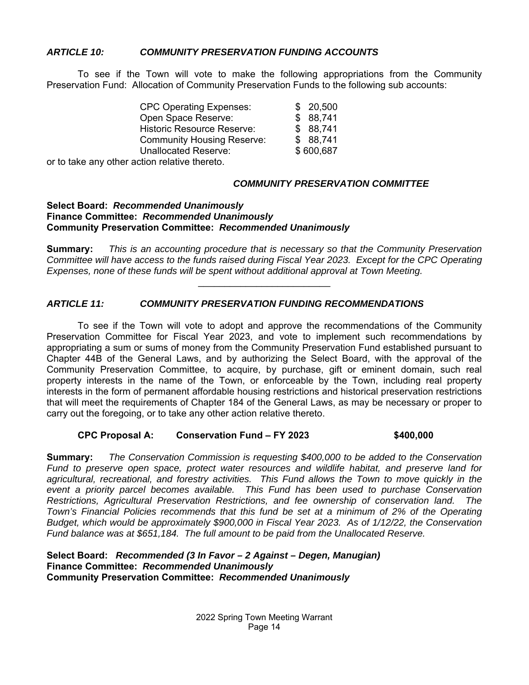#### *ARTICLE 10: COMMUNITY PRESERVATION FUNDING ACCOUNTS*

To see if the Town will vote to make the following appropriations from the Community Preservation Fund: Allocation of Community Preservation Funds to the following sub accounts:

| <b>CPC Operating Expenses:</b>                | \$20,500  |
|-----------------------------------------------|-----------|
| Open Space Reserve:                           | 88,741    |
| Historic Resource Reserve:                    | \$88,741  |
| <b>Community Housing Reserve:</b>             | \$88,741  |
| Unallocated Reserve:                          | \$600,687 |
| or to take any other action relative thereto. |           |

#### *COMMUNITY PRESERVATION COMMITTEE*

#### **Select Board:** *Recommended Unanimously* **Finance Committee:** *Recommended Unanimously* **Community Preservation Committee:** *Recommended Unanimously*

**Summary:** *This is an accounting procedure that is necessary so that the Community Preservation Committee will have access to the funds raised during Fiscal Year 2023. Except for the CPC Operating Expenses, none of these funds will be spent without additional approval at Town Meeting.* 

 $\mathcal{L}=\mathcal{L}=\mathcal{L}=\mathcal{L}=\mathcal{L}=\mathcal{L}=\mathcal{L}=\mathcal{L}=\mathcal{L}=\mathcal{L}=\mathcal{L}=\mathcal{L}=\mathcal{L}=\mathcal{L}=\mathcal{L}=\mathcal{L}=\mathcal{L}=\mathcal{L}=\mathcal{L}=\mathcal{L}=\mathcal{L}=\mathcal{L}=\mathcal{L}=\mathcal{L}=\mathcal{L}=\mathcal{L}=\mathcal{L}=\mathcal{L}=\mathcal{L}=\mathcal{L}=\mathcal{L}=\mathcal{L}=\mathcal{L}=\mathcal{L}=\mathcal{L}=\mathcal{L}=\mathcal{$ 

#### *ARTICLE 11: COMMUNITY PRESERVATION FUNDING RECOMMENDATIONS*

To see if the Town will vote to adopt and approve the recommendations of the Community Preservation Committee for Fiscal Year 2023, and vote to implement such recommendations by appropriating a sum or sums of money from the Community Preservation Fund established pursuant to Chapter 44B of the General Laws, and by authorizing the Select Board, with the approval of the Community Preservation Committee, to acquire, by purchase, gift or eminent domain, such real property interests in the name of the Town, or enforceable by the Town, including real property interests in the form of permanent affordable housing restrictions and historical preservation restrictions that will meet the requirements of Chapter 184 of the General Laws, as may be necessary or proper to carry out the foregoing, or to take any other action relative thereto.

#### **CPC Proposal A: Conservation Fund – FY 2023 \$400,000**

**Summary:** *The Conservation Commission is requesting \$400,000 to be added to the Conservation Fund to preserve open space, protect water resources and wildlife habitat, and preserve land for agricultural, recreational, and forestry activities. This Fund allows the Town to move quickly in the event a priority parcel becomes available. This Fund has been used to purchase Conservation Restrictions, Agricultural Preservation Restrictions, and fee ownership of conservation land. The Town's Financial Policies recommends that this fund be set at a minimum of 2% of the Operating Budget, which would be approximately \$900,000 in Fiscal Year 2023. As of 1/12/22, the Conservation Fund balance was at \$651,184. The full amount to be paid from the Unallocated Reserve.* 

#### **Select Board:** *Recommended (3 In Favor – 2 Against – Degen, Manugian)* **Finance Committee:** *Recommended Unanimously* **Community Preservation Committee:** *Recommended Unanimously*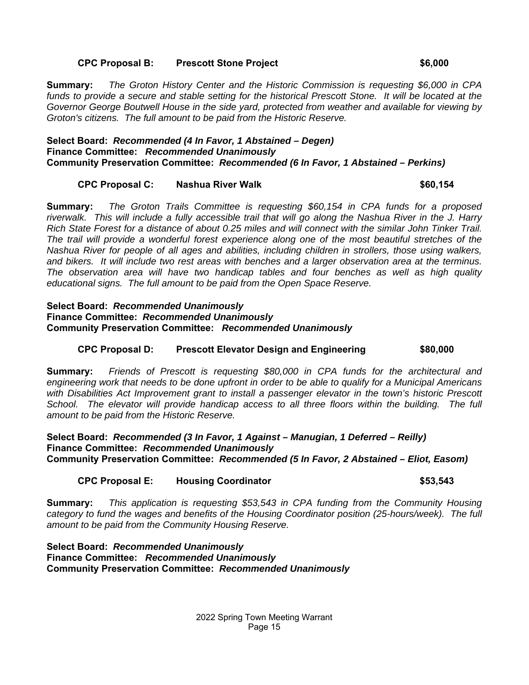#### **CPC Proposal B: Prescott Stone Project \$6,000**

**Summary:** *The Groton History Center and the Historic Commission is requesting \$6,000 in CPA funds to provide a secure and stable setting for the historical Prescott Stone. It will be located at the Governor George Boutwell House in the side yard, protected from weather and available for viewing by Groton's citizens. The full amount to be paid from the Historic Reserve.* 

#### **Select Board:** *Recommended (4 In Favor, 1 Abstained – Degen)* **Finance Committee:** *Recommended Unanimously* **Community Preservation Committee:** *Recommended (6 In Favor, 1 Abstained – Perkins)*

#### **CPC Proposal C: Nashua River Walk \$60,154**

**Summary:** *The Groton Trails Committee is requesting \$60,154 in CPA funds for a proposed riverwalk. This will include a fully accessible trail that will go along the Nashua River in the J. Harry Rich State Forest for a distance of about 0.25 miles and will connect with the similar John Tinker Trail. The trail will provide a wonderful forest experience along one of the most beautiful stretches of the Nashua River for people of all ages and abilities, including children in strollers, those using walkers, and bikers. It will include two rest areas with benches and a larger observation area at the terminus. The observation area will have two handicap tables and four benches as well as high quality educational signs. The full amount to be paid from the Open Space Reserve.* 

#### **Select Board:** *Recommended Unanimously* **Finance Committee:** *Recommended Unanimously* **Community Preservation Committee:** *Recommended Unanimously*

#### **CPC Proposal D: Prescott Elevator Design and Engineering \$80,000**

**Summary:** *Friends of Prescott is requesting \$80,000 in CPA funds for the architectural and engineering work that needs to be done upfront in order to be able to qualify for a Municipal Americans with Disabilities Act Improvement grant to install a passenger elevator in the town's historic Prescott*  School. The elevator will provide handicap access to all three floors within the building. The full *amount to be paid from the Historic Reserve.* 

#### **Select Board:** *Recommended (3 In Favor, 1 Against – Manugian, 1 Deferred – Reilly)* **Finance Committee:** *Recommended Unanimously* **Community Preservation Committee:** *Recommended (5 In Favor, 2 Abstained – Eliot, Easom)*

#### **CPC Proposal E: Housing Coordinator \$53,543**

**Summary:** *This application is requesting \$53,543 in CPA funding from the Community Housing category to fund the wages and benefits of the Housing Coordinator position (25-hours/week). The full amount to be paid from the Community Housing Reserve.*

#### **Select Board:** *Recommended Unanimously* **Finance Committee:** *Recommended Unanimously* **Community Preservation Committee:** *Recommended Unanimously*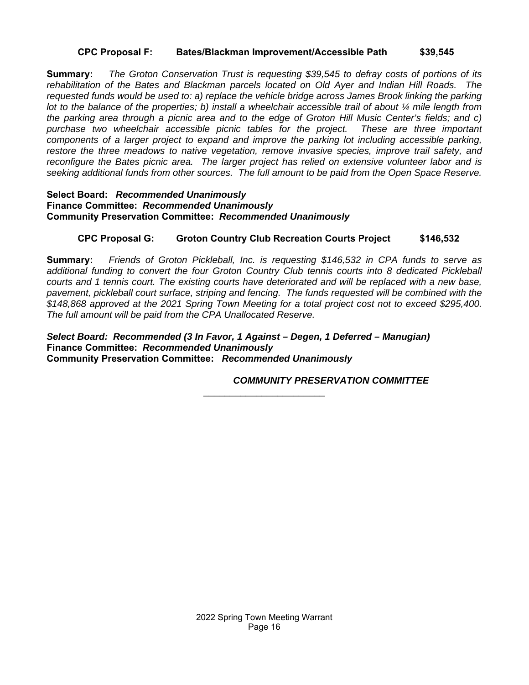#### **CPC Proposal F: Bates/Blackman Improvement/Accessible Path \$39,545**

**Summary:** *The Groton Conservation Trust is requesting \$39,545 to defray costs of portions of its rehabilitation of the Bates and Blackman parcels located on Old Ayer and Indian Hill Roads. The requested funds would be used to: a) replace the vehicle bridge across James Brook linking the parking lot to the balance of the properties; b) install a wheelchair accessible trail of about ¼ mile length from the parking area through a picnic area and to the edge of Groton Hill Music Center's fields; and c) purchase two wheelchair accessible picnic tables for the project. These are three important components of a larger project to expand and improve the parking lot including accessible parking, restore the three meadows to native vegetation, remove invasive species, improve trail safety, and reconfigure the Bates picnic area. The larger project has relied on extensive volunteer labor and is seeking additional funds from other sources. The full amount to be paid from the Open Space Reserve.* 

#### **Select Board:** *Recommended Unanimously* **Finance Committee:** *Recommended Unanimously* **Community Preservation Committee:** *Recommended Unanimously*

#### **CPC Proposal G: Groton Country Club Recreation Courts Project \$146,532**

**Summary:** *Friends of Groton Pickleball, Inc. is requesting \$146,532 in CPA funds to serve as additional funding to convert the four Groton Country Club tennis courts into 8 dedicated Pickleball courts and 1 tennis court. The existing courts have deteriorated and will be replaced with a new base, pavement, pickleball court surface, striping and fencing. The funds requested will be combined with the \$148,868 approved at the 2021 Spring Town Meeting for a total project cost not to exceed \$295,400. The full amount will be paid from the CPA Unallocated Reserve.* 

#### *Select Board: Recommended (3 In Favor, 1 Against – Degen, 1 Deferred – Manugian)*  **Finance Committee:** *Recommended Unanimously* **Community Preservation Committee:** *Recommended Unanimously*

#### *COMMUNITY PRESERVATION COMMITTEE*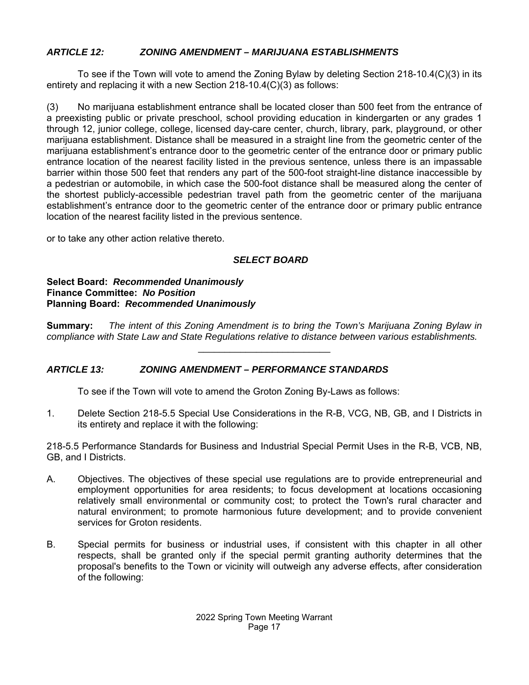#### *ARTICLE 12: ZONING AMENDMENT – MARIJUANA ESTABLISHMENTS*

To see if the Town will vote to amend the Zoning Bylaw by deleting Section 218-10.4(C)(3) in its entirety and replacing it with a new Section 218-10.4(C)(3) as follows:

(3) No marijuana establishment entrance shall be located closer than 500 feet from the entrance of a preexisting public or private preschool, school providing education in kindergarten or any grades 1 through 12, junior college, college, licensed day-care center, church, library, park, playground, or other marijuana establishment. Distance shall be measured in a straight line from the geometric center of the marijuana establishment's entrance door to the geometric center of the entrance door or primary public entrance location of the nearest facility listed in the previous sentence, unless there is an impassable barrier within those 500 feet that renders any part of the 500-foot straight-line distance inaccessible by a pedestrian or automobile, in which case the 500-foot distance shall be measured along the center of the shortest publicly-accessible pedestrian travel path from the geometric center of the marijuana establishment's entrance door to the geometric center of the entrance door or primary public entrance location of the nearest facility listed in the previous sentence.

or to take any other action relative thereto.

#### *SELECT BOARD*

#### **Select Board:** *Recommended Unanimously* **Finance Committee:** *No Position*  **Planning Board:** *Recommended Unanimously*

**Summary:** *The intent of this Zoning Amendment is to bring the Town's Marijuana Zoning Bylaw in compliance with State Law and State Regulations relative to distance between various establishments.*  $\mathcal{L}=\mathcal{L}=\mathcal{L}=\mathcal{L}=\mathcal{L}=\mathcal{L}=\mathcal{L}=\mathcal{L}=\mathcal{L}=\mathcal{L}=\mathcal{L}=\mathcal{L}=\mathcal{L}=\mathcal{L}=\mathcal{L}=\mathcal{L}=\mathcal{L}=\mathcal{L}=\mathcal{L}=\mathcal{L}=\mathcal{L}=\mathcal{L}=\mathcal{L}=\mathcal{L}=\mathcal{L}=\mathcal{L}=\mathcal{L}=\mathcal{L}=\mathcal{L}=\mathcal{L}=\mathcal{L}=\mathcal{L}=\mathcal{L}=\mathcal{L}=\mathcal{L}=\mathcal{L}=\mathcal{$ 

#### *ARTICLE 13: ZONING AMENDMENT – PERFORMANCE STANDARDS*

To see if the Town will vote to amend the Groton Zoning By-Laws as follows:

1. Delete Section 218-5.5 Special Use Considerations in the R-B, VCG, NB, GB, and I Districts in its entirety and replace it with the following:

218-5.5 Performance Standards for Business and Industrial Special Permit Uses in the R-B, VCB, NB, GB, and I Districts.

- A. Objectives. The objectives of these special use regulations are to provide entrepreneurial and employment opportunities for area residents; to focus development at locations occasioning relatively small environmental or community cost; to protect the Town's rural character and natural environment; to promote harmonious future development; and to provide convenient services for Groton residents.
- B. Special permits for business or industrial uses, if consistent with this chapter in all other respects, shall be granted only if the special permit granting authority determines that the proposal's benefits to the Town or vicinity will outweigh any adverse effects, after consideration of the following: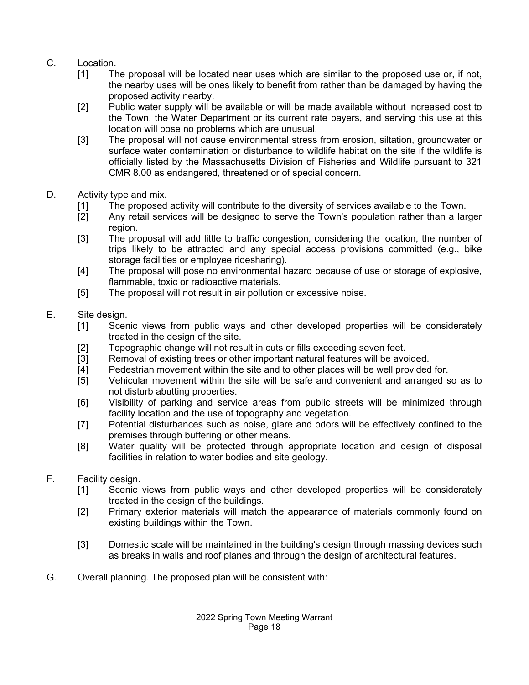- C. Location.
	- [1] The proposal will be located near uses which are similar to the proposed use or, if not, the nearby uses will be ones likely to benefit from rather than be damaged by having the proposed activity nearby.
	- [2] Public water supply will be available or will be made available without increased cost to the Town, the Water Department or its current rate payers, and serving this use at this location will pose no problems which are unusual.
	- [3] The proposal will not cause environmental stress from erosion, siltation, groundwater or surface water contamination or disturbance to wildlife habitat on the site if the wildlife is officially listed by the Massachusetts Division of Fisheries and Wildlife pursuant to 321 CMR 8.00 as endangered, threatened or of special concern.
- D. Activity type and mix.
	- [1] The proposed activity will contribute to the diversity of services available to the Town.
	- [2] Any retail services will be designed to serve the Town's population rather than a larger region.
	- [3] The proposal will add little to traffic congestion, considering the location, the number of trips likely to be attracted and any special access provisions committed (e.g., bike storage facilities or employee ridesharing).
	- [4] The proposal will pose no environmental hazard because of use or storage of explosive, flammable, toxic or radioactive materials.
	- [5] The proposal will not result in air pollution or excessive noise.
- E. Site design.
	- [1] Scenic views from public ways and other developed properties will be considerately treated in the design of the site.
	- [2] Topographic change will not result in cuts or fills exceeding seven feet.
	- [3] Removal of existing trees or other important natural features will be avoided.
	- [4] Pedestrian movement within the site and to other places will be well provided for.
	- [5] Vehicular movement within the site will be safe and convenient and arranged so as to not disturb abutting properties.
	- [6] Visibility of parking and service areas from public streets will be minimized through facility location and the use of topography and vegetation.
	- [7] Potential disturbances such as noise, glare and odors will be effectively confined to the premises through buffering or other means.
	- [8] Water quality will be protected through appropriate location and design of disposal facilities in relation to water bodies and site geology.
- F. Facility design.
	- [1] Scenic views from public ways and other developed properties will be considerately treated in the design of the buildings.
	- [2] Primary exterior materials will match the appearance of materials commonly found on existing buildings within the Town.
	- [3] Domestic scale will be maintained in the building's design through massing devices such as breaks in walls and roof planes and through the design of architectural features.
- G. Overall planning. The proposed plan will be consistent with: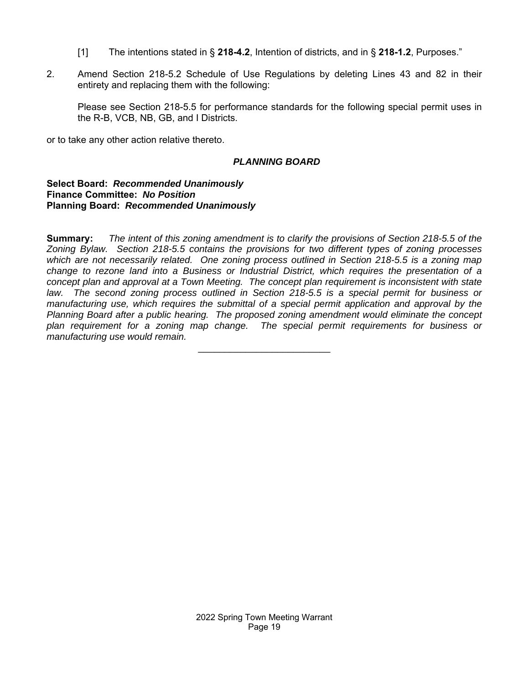- [1] The intentions stated in § **218-4.2**, Intention of districts, and in § **218-1.2**, Purposes."
- 2. Amend Section 218-5.2 Schedule of Use Regulations by deleting Lines 43 and 82 in their entirety and replacing them with the following:

Please see Section 218-5.5 for performance standards for the following special permit uses in the R-B, VCB, NB, GB, and I Districts.

or to take any other action relative thereto.

#### *PLANNING BOARD*

#### **Select Board:** *Recommended Unanimously* **Finance Committee:** *No Position*  **Planning Board:** *Recommended Unanimously*

**Summary:** *The intent of this zoning amendment is to clarify the provisions of Section 218-5.5 of the Zoning Bylaw. Section 218-5.5 contains the provisions for two different types of zoning processes which are not necessarily related. One zoning process outlined in Section 218-5.5 is a zoning map change to rezone land into a Business or Industrial District, which requires the presentation of a concept plan and approval at a Town Meeting. The concept plan requirement is inconsistent with state law. The second zoning process outlined in Section 218-5.5 is a special permit for business or manufacturing use, which requires the submittal of a special permit application and approval by the Planning Board after a public hearing. The proposed zoning amendment would eliminate the concept plan requirement for a zoning map change. The special permit requirements for business or manufacturing use would remain.*

 $\mathcal{L}=\mathcal{L}=\mathcal{L}=\mathcal{L}=\mathcal{L}=\mathcal{L}=\mathcal{L}=\mathcal{L}=\mathcal{L}=\mathcal{L}=\mathcal{L}=\mathcal{L}=\mathcal{L}=\mathcal{L}=\mathcal{L}=\mathcal{L}=\mathcal{L}=\mathcal{L}=\mathcal{L}=\mathcal{L}=\mathcal{L}=\mathcal{L}=\mathcal{L}=\mathcal{L}=\mathcal{L}=\mathcal{L}=\mathcal{L}=\mathcal{L}=\mathcal{L}=\mathcal{L}=\mathcal{L}=\mathcal{L}=\mathcal{L}=\mathcal{L}=\mathcal{L}=\mathcal{L}=\mathcal{$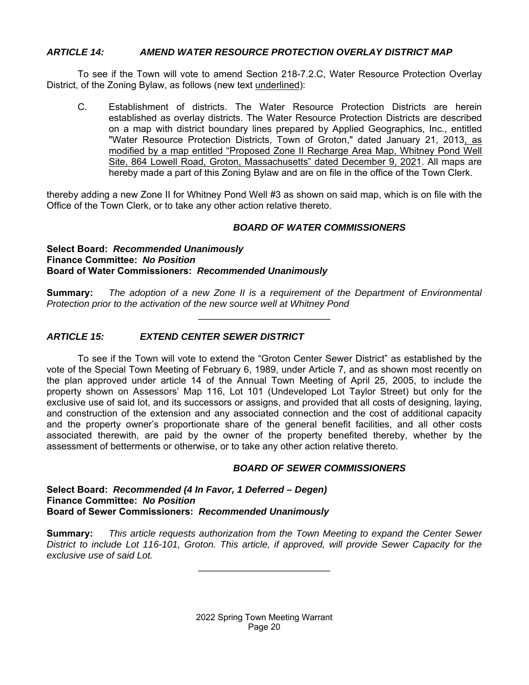#### *ARTICLE 14: AMEND WATER RESOURCE PROTECTION OVERLAY DISTRICT MAP*

To see if the Town will vote to amend Section 218-7.2.C, Water Resource Protection Overlay District, of the Zoning Bylaw, as follows (new text underlined):

C. Establishment of districts. The Water Resource Protection Districts are herein established as overlay districts. The Water Resource Protection Districts are described on a map with district boundary lines prepared by Applied Geographics, Inc., entitled "Water Resource Protection Districts, Town of Groton," dated January 21, 2013, as modified by a map entitled "Proposed Zone II Recharge Area Map, Whitney Pond Well Site, 864 Lowell Road, Groton, Massachusetts" dated December 9, 2021. All maps are hereby made a part of this Zoning Bylaw and are on file in the office of the Town Clerk.

thereby adding a new Zone II for Whitney Pond Well #3 as shown on said map, which is on file with the Office of the Town Clerk, or to take any other action relative thereto.

#### *BOARD OF WATER COMMISSIONERS*

#### **Select Board:** *Recommended Unanimously* **Finance Committee:** *No Position* **Board of Water Commissioners:** *Recommended Unanimously*

**Summary:** *The adoption of a new Zone II is a requirement of the Department of Environmental Protection prior to the activation of the new source well at Whitney Pond*   $\mathcal{L}=\mathcal{L}=\mathcal{L}=\mathcal{L}=\mathcal{L}=\mathcal{L}=\mathcal{L}=\mathcal{L}=\mathcal{L}=\mathcal{L}=\mathcal{L}=\mathcal{L}=\mathcal{L}=\mathcal{L}=\mathcal{L}=\mathcal{L}=\mathcal{L}=\mathcal{L}=\mathcal{L}=\mathcal{L}=\mathcal{L}=\mathcal{L}=\mathcal{L}=\mathcal{L}=\mathcal{L}=\mathcal{L}=\mathcal{L}=\mathcal{L}=\mathcal{L}=\mathcal{L}=\mathcal{L}=\mathcal{L}=\mathcal{L}=\mathcal{L}=\mathcal{L}=\mathcal{L}=\mathcal{$ 

#### *ARTICLE 15: EXTEND CENTER SEWER DISTRICT*

To see if the Town will vote to extend the "Groton Center Sewer District" as established by the vote of the Special Town Meeting of February 6, 1989, under Article 7, and as shown most recently on the plan approved under article 14 of the Annual Town Meeting of April 25, 2005, to include the property shown on Assessors' Map 116, Lot 101 (Undeveloped Lot Taylor Street) but only for the exclusive use of said lot, and its successors or assigns, and provided that all costs of designing, laying, and construction of the extension and any associated connection and the cost of additional capacity and the property owner's proportionate share of the general benefit facilities, and all other costs associated therewith, are paid by the owner of the property benefited thereby, whether by the assessment of betterments or otherwise, or to take any other action relative thereto.

#### *BOARD OF SEWER COMMISSIONERS*

#### **Select Board:** *Recommended (4 In Favor, 1 Deferred – Degen)* **Finance Committee:** *No Position*  **Board of Sewer Commissioners:** *Recommended Unanimously*

**Summary:** *This article requests authorization from the Town Meeting to expand the Center Sewer District to include Lot 116-101, Groton. This article, if approved, will provide Sewer Capacity for the exclusive use of said Lot.* 

 $\mathcal{L}=\mathcal{L}=\mathcal{L}=\mathcal{L}=\mathcal{L}=\mathcal{L}=\mathcal{L}=\mathcal{L}=\mathcal{L}=\mathcal{L}=\mathcal{L}=\mathcal{L}=\mathcal{L}=\mathcal{L}=\mathcal{L}=\mathcal{L}=\mathcal{L}=\mathcal{L}=\mathcal{L}=\mathcal{L}=\mathcal{L}=\mathcal{L}=\mathcal{L}=\mathcal{L}=\mathcal{L}=\mathcal{L}=\mathcal{L}=\mathcal{L}=\mathcal{L}=\mathcal{L}=\mathcal{L}=\mathcal{L}=\mathcal{L}=\mathcal{L}=\mathcal{L}=\mathcal{L}=\mathcal{$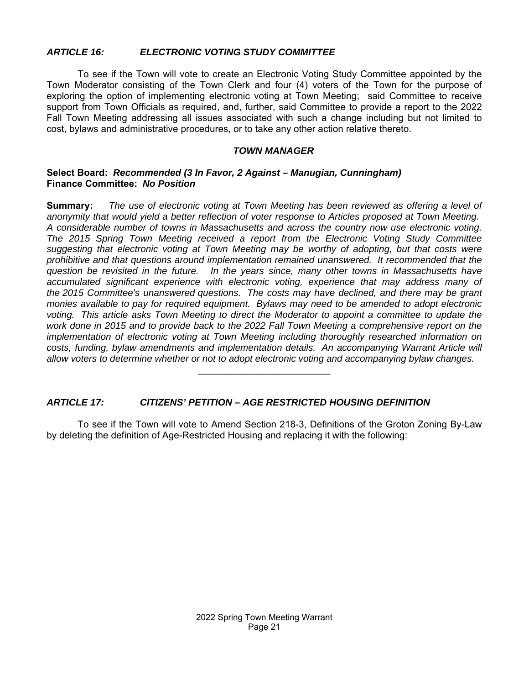#### *ARTICLE 16: ELECTRONIC VOTING STUDY COMMITTEE*

 To see if the Town will vote to create an Electronic Voting Study Committee appointed by the Town Moderator consisting of the Town Clerk and four (4) voters of the Town for the purpose of exploring the option of implementing electronic voting at Town Meeting; said Committee to receive support from Town Officials as required, and, further, said Committee to provide a report to the 2022 Fall Town Meeting addressing all issues associated with such a change including but not limited to cost, bylaws and administrative procedures, or to take any other action relative thereto.

#### *TOWN MANAGER*

#### **Select Board:** *Recommended (3 In Favor, 2 Against – Manugian, Cunningham)* **Finance Committee:** *No Position*

**Summary:** *The use of electronic voting at Town Meeting has been reviewed as offering a level of anonymity that would yield a better reflection of voter response to Articles proposed at Town Meeting. A considerable number of towns in Massachusetts and across the country now use electronic voting. The 2015 Spring Town Meeting received a report from the Electronic Voting Study Committee suggesting that electronic voting at Town Meeting may be worthy of adopting, but that costs were prohibitive and that questions around implementation remained unanswered. It recommended that the question be revisited in the future. In the years since, many other towns in Massachusetts have accumulated significant experience with electronic voting, experience that may address many of the 2015 Committee's unanswered questions. The costs may have declined, and there may be grant monies available to pay for required equipment. Bylaws may need to be amended to adopt electronic voting. This article asks Town Meeting to direct the Moderator to appoint a committee to update the work done in 2015 and to provide back to the 2022 Fall Town Meeting a comprehensive report on the implementation of electronic voting at Town Meeting including thoroughly researched information on costs, funding, bylaw amendments and implementation details. An accompanying Warrant Article will allow voters to determine whether or not to adopt electronic voting and accompanying bylaw changes.*

#### *ARTICLE 17: CITIZENS' PETITION – AGE RESTRICTED HOUSING DEFINITION*

To see if the Town will vote to Amend Section 218-3, Definitions of the Groton Zoning By-Law by deleting the definition of Age-Restricted Housing and replacing it with the following:

 $\mathcal{L}=\mathcal{L}^{\mathcal{L}}$  , where  $\mathcal{L}^{\mathcal{L}}$  , we have the set of the set of the set of the set of the set of the set of the set of the set of the set of the set of the set of the set of the set of the set of the set of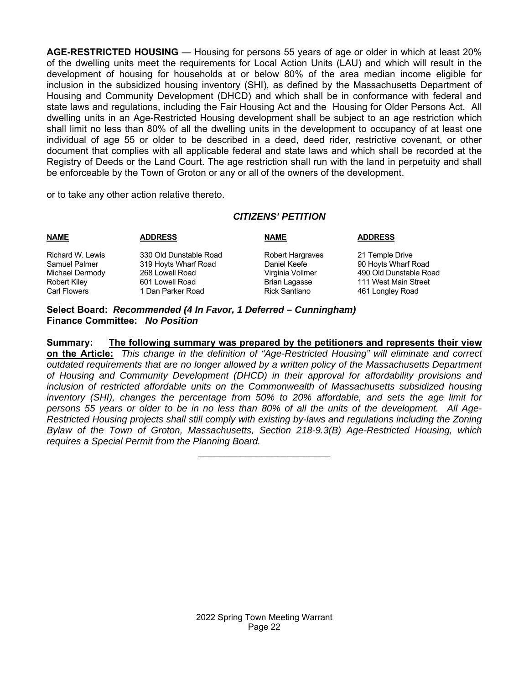**AGE-RESTRICTED HOUSING** — Housing for persons 55 years of age or older in which at least 20% of the dwelling units meet the requirements for Local Action Units (LAU) and which will result in the development of housing for households at or below 80% of the area median income eligible for inclusion in the subsidized housing inventory (SHI), as defined by the Massachusetts Department of Housing and Community Development (DHCD) and which shall be in conformance with federal and state laws and regulations, including the Fair Housing Act and the Housing for Older Persons Act. All dwelling units in an Age-Restricted Housing development shall be subject to an age restriction which shall limit no less than 80% of all the dwelling units in the development to occupancy of at least one individual of age 55 or older to be described in a deed, deed rider, restrictive covenant, or other document that complies with all applicable federal and state laws and which shall be recorded at the Registry of Deeds or the Land Court. The age restriction shall run with the land in perpetuity and shall be enforceable by the Town of Groton or any or all of the owners of the development.

or to take any other action relative thereto.

#### *CITIZENS' PETITION*

| <b>NAME</b>          | <b>ADDRESS</b>         | <b>NAME</b>          | <b>ADDRESS</b>         |
|----------------------|------------------------|----------------------|------------------------|
| Richard W. Lewis     | 330 Old Dunstable Road | Robert Hargraves     | 21 Temple Drive        |
| <b>Samuel Palmer</b> | 319 Hoyts Wharf Road   | Daniel Keefe         | 90 Hoyts Wharf Road    |
| Michael Dermody      | 268 Lowell Road        | Virginia Vollmer     | 490 Old Dunstable Road |
| <b>Robert Kiley</b>  | 601 Lowell Road        | <b>Brian Lagasse</b> | 111 West Main Street   |
| <b>Carl Flowers</b>  | 1 Dan Parker Road      | <b>Rick Santiano</b> | 461 Longley Road       |
|                      |                        |                      |                        |

**Select Board:** *Recommended (4 In Favor, 1 Deferred – Cunningham)*  **Finance Committee:** *No Position*

**Summary: The following summary was prepared by the petitioners and represents their view on the Article:** *This change in the definition of "Age-Restricted Housing" will eliminate and correct outdated requirements that are no longer allowed by a written policy of the Massachusetts Department of Housing and Community Development (DHCD) in their approval for affordability provisions and inclusion of restricted affordable units on the Commonwealth of Massachusetts subsidized housing inventory (SHI), changes the percentage from 50% to 20% affordable, and sets the age limit for persons 55 years or older to be in no less than 80% of all the units of the development. All Age-Restricted Housing projects shall still comply with existing by-laws and regulations including the Zoning Bylaw of the Town of Groton, Massachusetts, Section 218-9.3(B) Age-Restricted Housing, which requires a Special Permit from the Planning Board.* 

 $\mathcal{L}=\mathcal{L}=\mathcal{L}=\mathcal{L}=\mathcal{L}=\mathcal{L}=\mathcal{L}=\mathcal{L}=\mathcal{L}=\mathcal{L}=\mathcal{L}=\mathcal{L}=\mathcal{L}=\mathcal{L}=\mathcal{L}=\mathcal{L}=\mathcal{L}=\mathcal{L}=\mathcal{L}=\mathcal{L}=\mathcal{L}=\mathcal{L}=\mathcal{L}=\mathcal{L}=\mathcal{L}=\mathcal{L}=\mathcal{L}=\mathcal{L}=\mathcal{L}=\mathcal{L}=\mathcal{L}=\mathcal{L}=\mathcal{L}=\mathcal{L}=\mathcal{L}=\mathcal{L}=\mathcal{$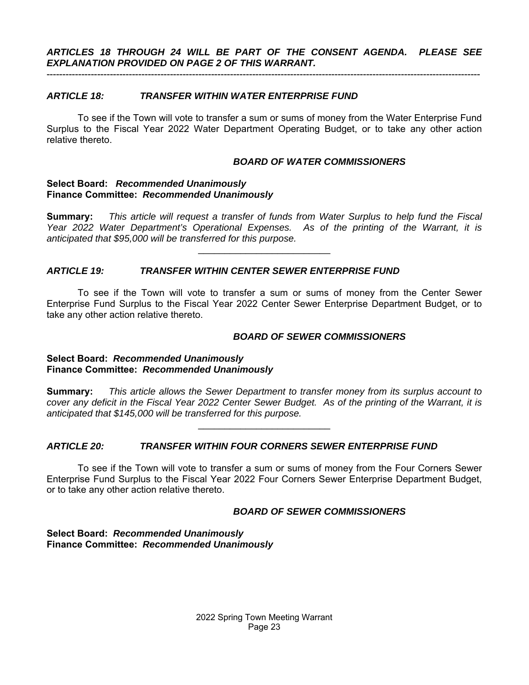*ARTICLES 18 THROUGH 24 WILL BE PART OF THE CONSENT AGENDA. PLEASE SEE EXPLANATION PROVIDED ON PAGE 2 OF THIS WARRANT.* 

#### -----------------------------------------------------------------------------------------------------------------------------------------

#### *ARTICLE 18: TRANSFER WITHIN WATER ENTERPRISE FUND*

To see if the Town will vote to transfer a sum or sums of money from the Water Enterprise Fund Surplus to the Fiscal Year 2022 Water Department Operating Budget, or to take any other action relative thereto.

#### *BOARD OF WATER COMMISSIONERS*

#### **Select Board:** *Recommended Unanimously* **Finance Committee:** *Recommended Unanimously*

**Summary:** *This article will request a transfer of funds from Water Surplus to help fund the Fiscal Year 2022 Water Department's Operational Expenses. As of the printing of the Warrant, it is anticipated that \$95,000 will be transferred for this purpose.* 

 $\mathcal{L}=\mathcal{L}^{\mathcal{L}}$  , where  $\mathcal{L}^{\mathcal{L}}$  , we have the set of the set of the set of the set of the set of the set of the set of the set of the set of the set of the set of the set of the set of the set of the set of

#### *ARTICLE 19: TRANSFER WITHIN CENTER SEWER ENTERPRISE FUND*

 To see if the Town will vote to transfer a sum or sums of money from the Center Sewer Enterprise Fund Surplus to the Fiscal Year 2022 Center Sewer Enterprise Department Budget, or to take any other action relative thereto.

#### *BOARD OF SEWER COMMISSIONERS*

#### **Select Board:** *Recommended Unanimously* **Finance Committee:** *Recommended Unanimously*

**Summary:** *This article allows the Sewer Department to transfer money from its surplus account to cover any deficit in the Fiscal Year 2022 Center Sewer Budget. As of the printing of the Warrant, it is anticipated that \$145,000 will be transferred for this purpose.* 

 $\mathcal{L}=\mathcal{L}=\mathcal{L}=\mathcal{L}=\mathcal{L}=\mathcal{L}=\mathcal{L}=\mathcal{L}=\mathcal{L}=\mathcal{L}=\mathcal{L}=\mathcal{L}=\mathcal{L}=\mathcal{L}=\mathcal{L}=\mathcal{L}=\mathcal{L}=\mathcal{L}=\mathcal{L}=\mathcal{L}=\mathcal{L}=\mathcal{L}=\mathcal{L}=\mathcal{L}=\mathcal{L}=\mathcal{L}=\mathcal{L}=\mathcal{L}=\mathcal{L}=\mathcal{L}=\mathcal{L}=\mathcal{L}=\mathcal{L}=\mathcal{L}=\mathcal{L}=\mathcal{L}=\mathcal{$ 

#### *ARTICLE 20: TRANSFER WITHIN FOUR CORNERS SEWER ENTERPRISE FUND*

 To see if the Town will vote to transfer a sum or sums of money from the Four Corners Sewer Enterprise Fund Surplus to the Fiscal Year 2022 Four Corners Sewer Enterprise Department Budget, or to take any other action relative thereto.

#### *BOARD OF SEWER COMMISSIONERS*

#### **Select Board:** *Recommended Unanimously* **Finance Committee:** *Recommended Unanimously*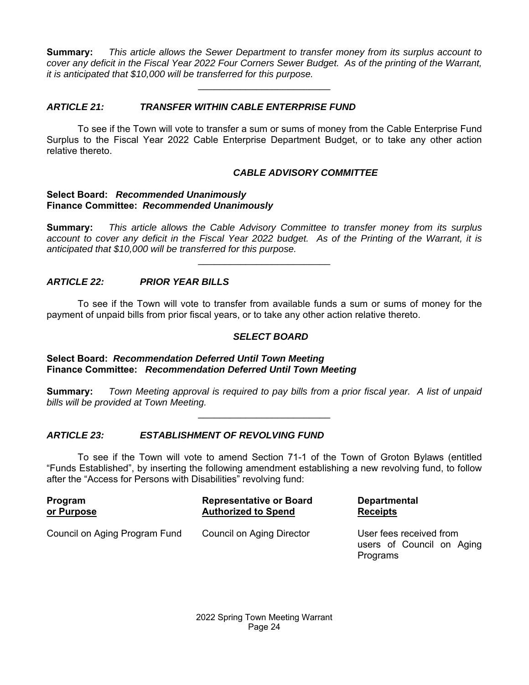**Summary:** *This article allows the Sewer Department to transfer money from its surplus account to cover any deficit in the Fiscal Year 2022 Four Corners Sewer Budget. As of the printing of the Warrant, it is anticipated that \$10,000 will be transferred for this purpose.* 

 $\mathcal{L}=\mathcal{L}^{\mathcal{L}}$  , where  $\mathcal{L}^{\mathcal{L}}$  , we have the set of the set of the set of the set of the set of the set of the set of the set of the set of the set of the set of the set of the set of the set of the set of

#### *ARTICLE 21: TRANSFER WITHIN CABLE ENTERPRISE FUND*

 To see if the Town will vote to transfer a sum or sums of money from the Cable Enterprise Fund Surplus to the Fiscal Year 2022 Cable Enterprise Department Budget, or to take any other action relative thereto.

#### *CABLE ADVISORY COMMITTEE*

#### **Select Board:** *Recommended Unanimously* **Finance Committee:** *Recommended Unanimously*

**Summary:** *This article allows the Cable Advisory Committee to transfer money from its surplus account to cover any deficit in the Fiscal Year 2022 budget. As of the Printing of the Warrant, it is anticipated that \$10,000 will be transferred for this purpose.* 

 $\mathcal{L}=\mathcal{L}=\mathcal{L}=\mathcal{L}=\mathcal{L}=\mathcal{L}=\mathcal{L}=\mathcal{L}=\mathcal{L}=\mathcal{L}=\mathcal{L}=\mathcal{L}=\mathcal{L}=\mathcal{L}=\mathcal{L}=\mathcal{L}=\mathcal{L}=\mathcal{L}=\mathcal{L}=\mathcal{L}=\mathcal{L}=\mathcal{L}=\mathcal{L}=\mathcal{L}=\mathcal{L}=\mathcal{L}=\mathcal{L}=\mathcal{L}=\mathcal{L}=\mathcal{L}=\mathcal{L}=\mathcal{L}=\mathcal{L}=\mathcal{L}=\mathcal{L}=\mathcal{L}=\mathcal{$ 

#### *ARTICLE 22: PRIOR YEAR BILLS*

 To see if the Town will vote to transfer from available funds a sum or sums of money for the payment of unpaid bills from prior fiscal years, or to take any other action relative thereto.

#### *SELECT BOARD*

#### **Select Board:** *Recommendation Deferred Until Town Meeting* **Finance Committee:** *Recommendation Deferred Until Town Meeting*

**Summary:** *Town Meeting approval is required to pay bills from a prior fiscal year. A list of unpaid bills will be provided at Town Meeting.*   $\mathcal{L}=\mathcal{L}^{\mathcal{L}}$  , where  $\mathcal{L}^{\mathcal{L}}$  , we have the set of the set of the set of the set of the set of the set of the set of the set of the set of the set of the set of the set of the set of the set of the set of

#### *ARTICLE 23: ESTABLISHMENT OF REVOLVING FUND*

 To see if the Town will vote to amend Section 71-1 of the Town of Groton Bylaws (entitled "Funds Established", by inserting the following amendment establishing a new revolving fund, to follow after the "Access for Persons with Disabilities" revolving fund:

| Program    | <b>Representative or Board</b> |
|------------|--------------------------------|
| or Purpose | <b>Authorized to Spend</b>     |

**Departmental Receipts** 

users of Council on Aging Programs

Council on Aging Program Fund Council on Aging Director User fees received from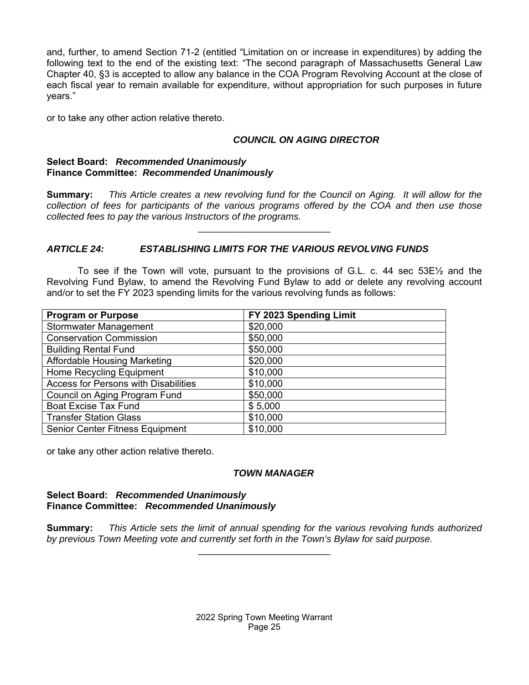and, further, to amend Section 71-2 (entitled "Limitation on or increase in expenditures) by adding the following text to the end of the existing text: "The second paragraph of Massachusetts General Law Chapter 40, §3 is accepted to allow any balance in the COA Program Revolving Account at the close of each fiscal year to remain available for expenditure, without appropriation for such purposes in future years."

or to take any other action relative thereto.

#### *COUNCIL ON AGING DIRECTOR*

#### **Select Board:** *Recommended Unanimously* **Finance Committee:** *Recommended Unanimously*

**Summary:** *This Article creates a new revolving fund for the Council on Aging. It will allow for the collection of fees for participants of the various programs offered by the COA and then use those collected fees to pay the various Instructors of the programs.* 

#### *ARTICLE 24: ESTABLISHING LIMITS FOR THE VARIOUS REVOLVING FUNDS*

To see if the Town will vote, pursuant to the provisions of G.L. c. 44 sec  $53E\frac{1}{2}$  and the Revolving Fund Bylaw, to amend the Revolving Fund Bylaw to add or delete any revolving account and/or to set the FY 2023 spending limits for the various revolving funds as follows:

| <b>Program or Purpose</b>            | FY 2023 Spending Limit |
|--------------------------------------|------------------------|
| Stormwater Management                | \$20,000               |
| <b>Conservation Commission</b>       | \$50,000               |
| <b>Building Rental Fund</b>          | \$50,000               |
| <b>Affordable Housing Marketing</b>  | \$20,000               |
| Home Recycling Equipment             | \$10,000               |
| Access for Persons with Disabilities | \$10,000               |
| Council on Aging Program Fund        | \$50,000               |
| <b>Boat Excise Tax Fund</b>          | \$5,000                |
| <b>Transfer Station Glass</b>        | \$10,000               |
| Senior Center Fitness Equipment      | \$10,000               |

or take any other action relative thereto.

#### *TOWN MANAGER*

#### **Select Board:** *Recommended Unanimously* **Finance Committee:** *Recommended Unanimously*

**Summary:** *This Article sets the limit of annual spending for the various revolving funds authorized by previous Town Meeting vote and currently set forth in the Town's Bylaw for said purpose.*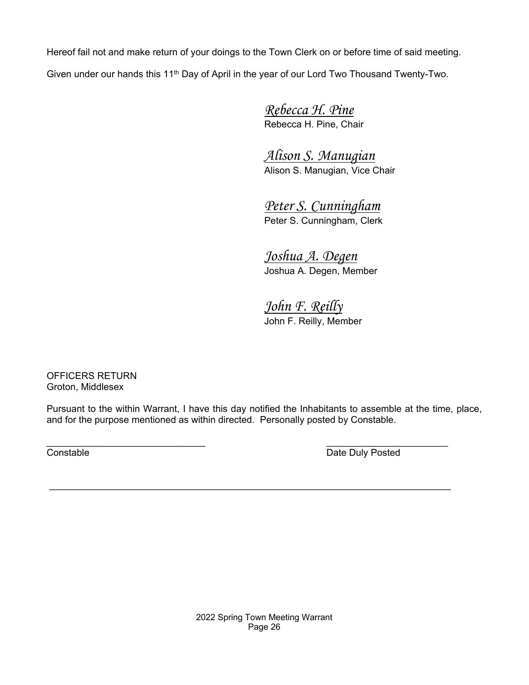Hereof fail not and make return of your doings to the Town Clerk on or before time of said meeting. Given under our hands this 11<sup>th</sup> Day of April in the year of our Lord Two Thousand Twenty-Two.

> *Rebecca H. Pine*  Rebecca H. Pine, Chair

*Alison S. Manugian*  Alison S. Manugian, Vice Chair

 *Peter S. Cunningham* Peter S. Cunningham, Clerk

 *Joshua A. Degen* Joshua A. Degen, Member

 *John F. Reilly*  John F. Reilly, Member

OFFICERS RETURN Groton, Middlesex

Pursuant to the within Warrant, I have this day notified the Inhabitants to assemble at the time, place, and for the purpose mentioned as within directed. Personally posted by Constable.

\_\_\_\_\_\_\_\_\_\_\_\_\_\_\_\_\_\_\_\_\_\_\_\_\_\_\_\_\_\_\_\_\_\_\_\_\_\_\_\_\_\_\_\_\_\_\_\_\_\_\_\_\_\_\_\_\_\_\_\_\_\_\_\_\_\_\_\_\_\_\_\_\_\_\_\_

 $\frac{1}{2}$  , and the contribution of the contribution of  $\frac{1}{2}$  , and the contribution of  $\frac{1}{2}$ 

**Constable Date Duly Posted**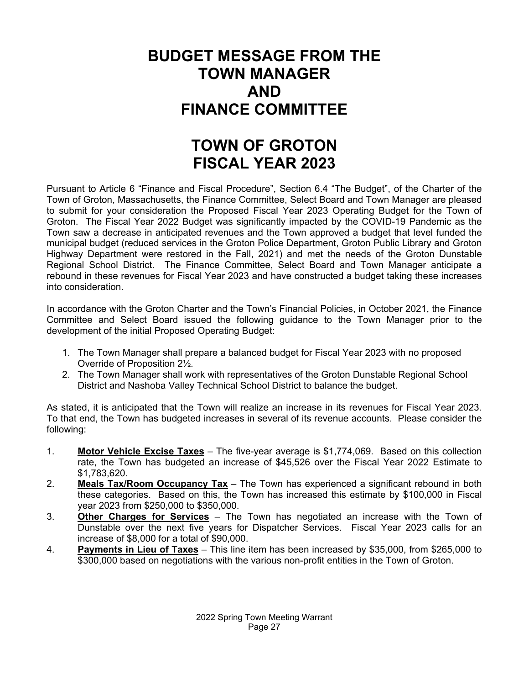## **BUDGET MESSAGE FROM THE TOWN MANAGER AND FINANCE COMMITTEE**

## **TOWN OF GROTON FISCAL YEAR 2023**

Pursuant to Article 6 "Finance and Fiscal Procedure", Section 6.4 "The Budget", of the Charter of the Town of Groton, Massachusetts, the Finance Committee, Select Board and Town Manager are pleased to submit for your consideration the Proposed Fiscal Year 2023 Operating Budget for the Town of Groton. The Fiscal Year 2022 Budget was significantly impacted by the COVID-19 Pandemic as the Town saw a decrease in anticipated revenues and the Town approved a budget that level funded the municipal budget (reduced services in the Groton Police Department, Groton Public Library and Groton Highway Department were restored in the Fall, 2021) and met the needs of the Groton Dunstable Regional School District. The Finance Committee, Select Board and Town Manager anticipate a rebound in these revenues for Fiscal Year 2023 and have constructed a budget taking these increases into consideration.

In accordance with the Groton Charter and the Town's Financial Policies, in October 2021, the Finance Committee and Select Board issued the following guidance to the Town Manager prior to the development of the initial Proposed Operating Budget:

- 1. The Town Manager shall prepare a balanced budget for Fiscal Year 2023 with no proposed Override of Proposition 2½.
- 2. The Town Manager shall work with representatives of the Groton Dunstable Regional School District and Nashoba Valley Technical School District to balance the budget.

As stated, it is anticipated that the Town will realize an increase in its revenues for Fiscal Year 2023. To that end, the Town has budgeted increases in several of its revenue accounts. Please consider the following:

- 1. **Motor Vehicle Excise Taxes** The five-year average is \$1,774,069. Based on this collection rate, the Town has budgeted an increase of \$45,526 over the Fiscal Year 2022 Estimate to \$1,783,620.
- 2. **Meals Tax/Room Occupancy Tax** The Town has experienced a significant rebound in both these categories. Based on this, the Town has increased this estimate by \$100,000 in Fiscal year 2023 from \$250,000 to \$350,000.
- 3. **Other Charges for Services** The Town has negotiated an increase with the Town of Dunstable over the next five years for Dispatcher Services. Fiscal Year 2023 calls for an increase of \$8,000 for a total of \$90,000.
- 4. **Payments in Lieu of Taxes** This line item has been increased by \$35,000, from \$265,000 to \$300,000 based on negotiations with the various non-profit entities in the Town of Groton.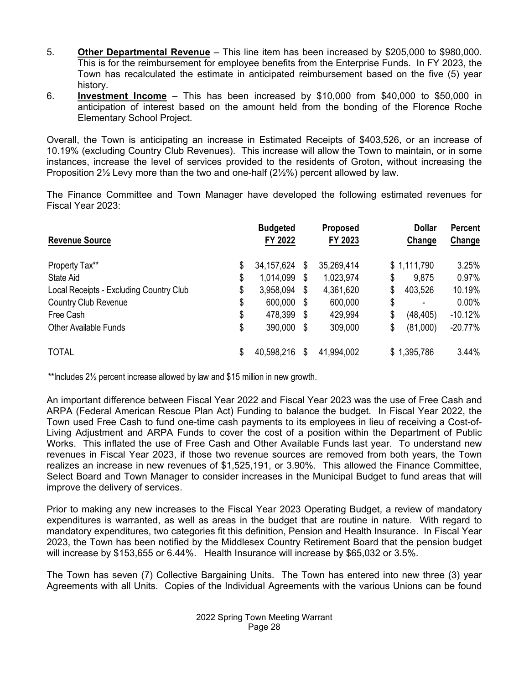- 5. **Other Departmental Revenue** This line item has been increased by \$205,000 to \$980,000. This is for the reimbursement for employee benefits from the Enterprise Funds. In FY 2023, the Town has recalculated the estimate in anticipated reimbursement based on the five (5) year history.
- 6. **Investment Income** This has been increased by \$10,000 from \$40,000 to \$50,000 in anticipation of interest based on the amount held from the bonding of the Florence Roche Elementary School Project.

Overall, the Town is anticipating an increase in Estimated Receipts of \$403,526, or an increase of 10.19% (excluding Country Club Revenues). This increase will allow the Town to maintain, or in some instances, increase the level of services provided to the residents of Groton, without increasing the Proposition  $2\frac{1}{2}$  Levy more than the two and one-half ( $2\frac{1}{2}\%$ ) percent allowed by law.

The Finance Committee and Town Manager have developed the following estimated revenues for Fiscal Year 2023:

| <b>Revenue Source</b>                   | <b>Budgeted</b><br>FY 2022 |    | <b>Proposed</b><br>FY 2023 | <b>Dollar</b><br>Change | <b>Percent</b><br>Change |
|-----------------------------------------|----------------------------|----|----------------------------|-------------------------|--------------------------|
| Property Tax**                          | \$<br>34, 157, 624         | \$ | 35,269,414                 | \$1,111,790             | 3.25%                    |
| State Aid                               | \$<br>1,014,099            | \$ | 1,023,974                  | \$<br>9,875             | 0.97%                    |
| Local Receipts - Excluding Country Club | \$<br>3,958,094            | \$ | 4,361,620                  | \$<br>403,526           | 10.19%                   |
| <b>Country Club Revenue</b>             | \$<br>600,000              | S  | 600,000                    | \$<br>۰                 | $0.00\%$                 |
| Free Cash                               | \$<br>478,399              | S  | 429,994                    | \$<br>(48, 405)         | $-10.12%$                |
| <b>Other Available Funds</b>            | \$<br>390,000              | S  | 309,000                    | \$<br>(81,000)          | $-20.77%$                |
| <b>TOTAL</b>                            | \$<br>40,598,216           | \$ | 41,994,002                 | \$1,395,786             | 3.44%                    |

\*\*Includes 2½ percent increase allowed by law and \$15 million in new growth.

An important difference between Fiscal Year 2022 and Fiscal Year 2023 was the use of Free Cash and ARPA (Federal American Rescue Plan Act) Funding to balance the budget. In Fiscal Year 2022, the Town used Free Cash to fund one-time cash payments to its employees in lieu of receiving a Cost-of-Living Adjustment and ARPA Funds to cover the cost of a position within the Department of Public Works. This inflated the use of Free Cash and Other Available Funds last year. To understand new revenues in Fiscal Year 2023, if those two revenue sources are removed from both years, the Town realizes an increase in new revenues of \$1,525,191, or 3.90%. This allowed the Finance Committee, Select Board and Town Manager to consider increases in the Municipal Budget to fund areas that will improve the delivery of services.

Prior to making any new increases to the Fiscal Year 2023 Operating Budget, a review of mandatory expenditures is warranted, as well as areas in the budget that are routine in nature. With regard to mandatory expenditures, two categories fit this definition, Pension and Health Insurance. In Fiscal Year 2023, the Town has been notified by the Middlesex Country Retirement Board that the pension budget will increase by \$153,655 or 6.44%. Health Insurance will increase by \$65,032 or 3.5%.

The Town has seven (7) Collective Bargaining Units. The Town has entered into new three (3) year Agreements with all Units. Copies of the Individual Agreements with the various Unions can be found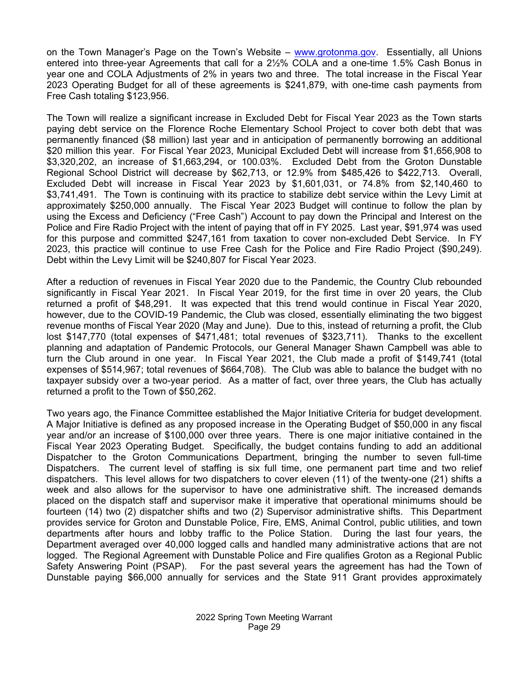on the Town Manager's Page on the Town's Website – www.grotonma.gov. Essentially, all Unions entered into three-year Agreements that call for a 2½% COLA and a one-time 1.5% Cash Bonus in year one and COLA Adjustments of 2% in years two and three. The total increase in the Fiscal Year 2023 Operating Budget for all of these agreements is \$241,879, with one-time cash payments from Free Cash totaling \$123,956.

The Town will realize a significant increase in Excluded Debt for Fiscal Year 2023 as the Town starts paying debt service on the Florence Roche Elementary School Project to cover both debt that was permanently financed (\$8 million) last year and in anticipation of permanently borrowing an additional \$20 million this year. For Fiscal Year 2023, Municipal Excluded Debt will increase from \$1,656,908 to \$3,320,202, an increase of \$1,663,294, or 100.03%. Excluded Debt from the Groton Dunstable Regional School District will decrease by \$62,713, or 12.9% from \$485,426 to \$422,713. Overall, Excluded Debt will increase in Fiscal Year 2023 by \$1,601,031, or 74.8% from \$2,140,460 to \$3,741,491. The Town is continuing with its practice to stabilize debt service within the Levy Limit at approximately \$250,000 annually. The Fiscal Year 2023 Budget will continue to follow the plan by using the Excess and Deficiency ("Free Cash") Account to pay down the Principal and Interest on the Police and Fire Radio Project with the intent of paying that off in FY 2025. Last year, \$91,974 was used for this purpose and committed \$247,161 from taxation to cover non-excluded Debt Service. In FY 2023, this practice will continue to use Free Cash for the Police and Fire Radio Project (\$90,249). Debt within the Levy Limit will be \$240,807 for Fiscal Year 2023.

After a reduction of revenues in Fiscal Year 2020 due to the Pandemic, the Country Club rebounded significantly in Fiscal Year 2021. In Fiscal Year 2019, for the first time in over 20 years, the Club returned a profit of \$48,291. It was expected that this trend would continue in Fiscal Year 2020, however, due to the COVID-19 Pandemic, the Club was closed, essentially eliminating the two biggest revenue months of Fiscal Year 2020 (May and June). Due to this, instead of returning a profit, the Club lost \$147,770 (total expenses of \$471,481; total revenues of \$323,711). Thanks to the excellent planning and adaptation of Pandemic Protocols, our General Manager Shawn Campbell was able to turn the Club around in one year. In Fiscal Year 2021, the Club made a profit of \$149,741 (total expenses of \$514,967; total revenues of \$664,708). The Club was able to balance the budget with no taxpayer subsidy over a two-year period. As a matter of fact, over three years, the Club has actually returned a profit to the Town of \$50,262.

Two years ago, the Finance Committee established the Major Initiative Criteria for budget development. A Major Initiative is defined as any proposed increase in the Operating Budget of \$50,000 in any fiscal year and/or an increase of \$100,000 over three years. There is one major initiative contained in the Fiscal Year 2023 Operating Budget. Specifically, the budget contains funding to add an additional Dispatcher to the Groton Communications Department, bringing the number to seven full-time Dispatchers. The current level of staffing is six full time, one permanent part time and two relief dispatchers. This level allows for two dispatchers to cover eleven (11) of the twenty-one (21) shifts a week and also allows for the supervisor to have one administrative shift. The increased demands placed on the dispatch staff and supervisor make it imperative that operational minimums should be fourteen (14) two (2) dispatcher shifts and two (2) Supervisor administrative shifts. This Department provides service for Groton and Dunstable Police, Fire, EMS, Animal Control, public utilities, and town departments after hours and lobby traffic to the Police Station. During the last four years, the Department averaged over 40,000 logged calls and handled many administrative actions that are not logged. The Regional Agreement with Dunstable Police and Fire qualifies Groton as a Regional Public Safety Answering Point (PSAP). For the past several years the agreement has had the Town of Dunstable paying \$66,000 annually for services and the State 911 Grant provides approximately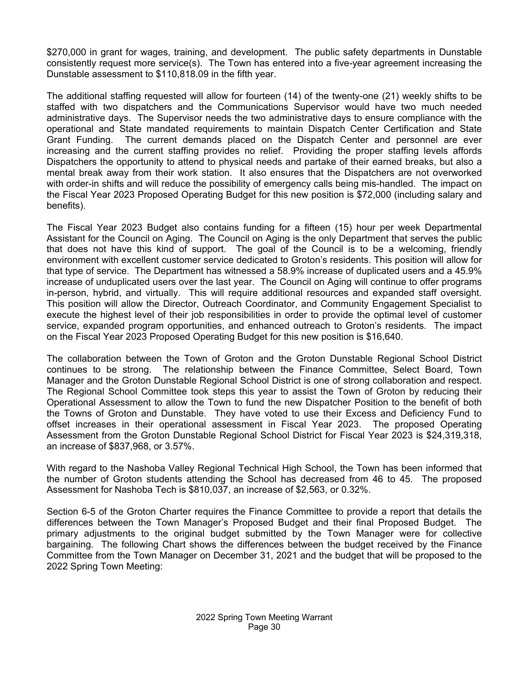\$270,000 in grant for wages, training, and development. The public safety departments in Dunstable consistently request more service(s). The Town has entered into a five-year agreement increasing the Dunstable assessment to \$110,818.09 in the fifth year.

The additional staffing requested will allow for fourteen (14) of the twenty-one (21) weekly shifts to be staffed with two dispatchers and the Communications Supervisor would have two much needed administrative days. The Supervisor needs the two administrative days to ensure compliance with the operational and State mandated requirements to maintain Dispatch Center Certification and State Grant Funding. The current demands placed on the Dispatch Center and personnel are ever increasing and the current staffing provides no relief. Providing the proper staffing levels affords Dispatchers the opportunity to attend to physical needs and partake of their earned breaks, but also a mental break away from their work station. It also ensures that the Dispatchers are not overworked with order-in shifts and will reduce the possibility of emergency calls being mis-handled. The impact on the Fiscal Year 2023 Proposed Operating Budget for this new position is \$72,000 (including salary and benefits).

The Fiscal Year 2023 Budget also contains funding for a fifteen (15) hour per week Departmental Assistant for the Council on Aging. The Council on Aging is the only Department that serves the public that does not have this kind of support. The goal of the Council is to be a welcoming, friendly environment with excellent customer service dedicated to Groton's residents. This position will allow for that type of service. The Department has witnessed a 58.9% increase of duplicated users and a 45.9% increase of unduplicated users over the last year. The Council on Aging will continue to offer programs in-person, hybrid, and virtually. This will require additional resources and expanded staff oversight. This position will allow the Director, Outreach Coordinator, and Community Engagement Specialist to execute the highest level of their job responsibilities in order to provide the optimal level of customer service, expanded program opportunities, and enhanced outreach to Groton's residents. The impact on the Fiscal Year 2023 Proposed Operating Budget for this new position is \$16,640.

The collaboration between the Town of Groton and the Groton Dunstable Regional School District continues to be strong. The relationship between the Finance Committee, Select Board, Town Manager and the Groton Dunstable Regional School District is one of strong collaboration and respect. The Regional School Committee took steps this year to assist the Town of Groton by reducing their Operational Assessment to allow the Town to fund the new Dispatcher Position to the benefit of both the Towns of Groton and Dunstable. They have voted to use their Excess and Deficiency Fund to offset increases in their operational assessment in Fiscal Year 2023. The proposed Operating Assessment from the Groton Dunstable Regional School District for Fiscal Year 2023 is \$24,319,318, an increase of \$837,968, or 3.57%.

With regard to the Nashoba Valley Regional Technical High School, the Town has been informed that the number of Groton students attending the School has decreased from 46 to 45. The proposed Assessment for Nashoba Tech is \$810,037, an increase of \$2,563, or 0.32%.

Section 6-5 of the Groton Charter requires the Finance Committee to provide a report that details the differences between the Town Manager's Proposed Budget and their final Proposed Budget. The primary adjustments to the original budget submitted by the Town Manager were for collective bargaining. The following Chart shows the differences between the budget received by the Finance Committee from the Town Manager on December 31, 2021 and the budget that will be proposed to the 2022 Spring Town Meeting: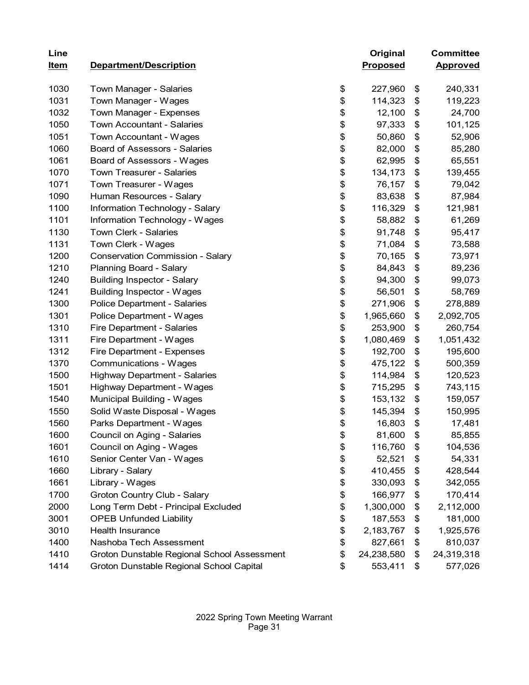| Line<br><u>Item</u> | Department/Description                      | Original<br><b>Proposed</b> | <b>Committee</b><br><b>Approved</b> |
|---------------------|---------------------------------------------|-----------------------------|-------------------------------------|
| 1030                | Town Manager - Salaries                     | \$<br>227,960               | \$<br>240,331                       |
| 1031                | Town Manager - Wages                        | \$<br>114,323               | \$<br>119,223                       |
| 1032                | Town Manager - Expenses                     | \$<br>12,100                | \$<br>24,700                        |
| 1050                | Town Accountant - Salaries                  | \$<br>97,333                | \$<br>101,125                       |
| 1051                | Town Accountant - Wages                     | \$<br>50,860                | \$<br>52,906                        |
| 1060                | Board of Assessors - Salaries               | \$<br>82,000                | \$<br>85,280                        |
| 1061                | Board of Assessors - Wages                  | \$<br>62,995                | \$<br>65,551                        |
| 1070                | <b>Town Treasurer - Salaries</b>            | \$<br>134,173               | \$<br>139,455                       |
| 1071                | Town Treasurer - Wages                      | \$<br>76,157                | \$<br>79,042                        |
| 1090                | Human Resources - Salary                    | \$<br>83,638                | \$<br>87,984                        |
| 1100                | Information Technology - Salary             | \$<br>116,329               | \$<br>121,981                       |
| 1101                | Information Technology - Wages              | \$<br>58,882                | \$<br>61,269                        |
| 1130                | Town Clerk - Salaries                       | \$<br>91,748                | \$<br>95,417                        |
| 1131                | Town Clerk - Wages                          | \$<br>71,084                | \$<br>73,588                        |
| 1200                | <b>Conservation Commission - Salary</b>     | \$<br>70,165                | \$<br>73,971                        |
| 1210                | <b>Planning Board - Salary</b>              | \$<br>84,843                | \$<br>89,236                        |
| 1240                | <b>Building Inspector - Salary</b>          | \$<br>94,300                | \$<br>99,073                        |
| 1241                | <b>Building Inspector - Wages</b>           | \$<br>56,501                | \$<br>58,769                        |
| 1300                | Police Department - Salaries                | \$<br>271,906               | \$<br>278,889                       |
| 1301                | Police Department - Wages                   | \$<br>1,965,660             | \$<br>2,092,705                     |
| 1310                | Fire Department - Salaries                  | \$<br>253,900               | \$<br>260,754                       |
| 1311                | Fire Department - Wages                     | \$<br>1,080,469             | \$<br>1,051,432                     |
| 1312                | Fire Department - Expenses                  | \$<br>192,700               | \$<br>195,600                       |
| 1370                | Communications - Wages                      | \$<br>475,122               | \$<br>500,359                       |
| 1500                | <b>Highway Department - Salaries</b>        | \$<br>114,984               | \$<br>120,523                       |
| 1501                | Highway Department - Wages                  | \$<br>715,295               | \$<br>743,115                       |
| 1540                | Municipal Building - Wages                  | \$<br>153,132               | \$<br>159,057                       |
| 1550                | Solid Waste Disposal - Wages                | \$<br>145,394               | \$<br>150,995                       |
| 1560                | Parks Department - Wages                    | \$<br>16,803                | \$<br>17,481                        |
| 1600                | Council on Aging - Salaries                 | \$<br>81,600                | \$<br>85,855                        |
| 1601                | Council on Aging - Wages                    | \$<br>116,760               | \$<br>104,536                       |
| 1610                | Senior Center Van - Wages                   | \$<br>52,521                | \$<br>54,331                        |
| 1660                | Library - Salary                            | \$<br>410,455               | \$<br>428,544                       |
| 1661                | Library - Wages                             | \$<br>330,093               | \$<br>342,055                       |
| 1700                | Groton Country Club - Salary                | \$<br>166,977               | \$<br>170,414                       |
| 2000                | Long Term Debt - Principal Excluded         | \$<br>1,300,000             | \$<br>2,112,000                     |
| 3001                | <b>OPEB Unfunded Liability</b>              | \$<br>187,553               | \$<br>181,000                       |
| 3010                | Health Insurance                            | \$<br>2,183,767             | \$<br>1,925,576                     |
| 1400                | Nashoba Tech Assessment                     | \$<br>827,661               | \$<br>810,037                       |
| 1410                | Groton Dunstable Regional School Assessment | \$<br>24,238,580            | \$<br>24,319,318                    |
| 1414                | Groton Dunstable Regional School Capital    | \$<br>553,411               | \$<br>577,026                       |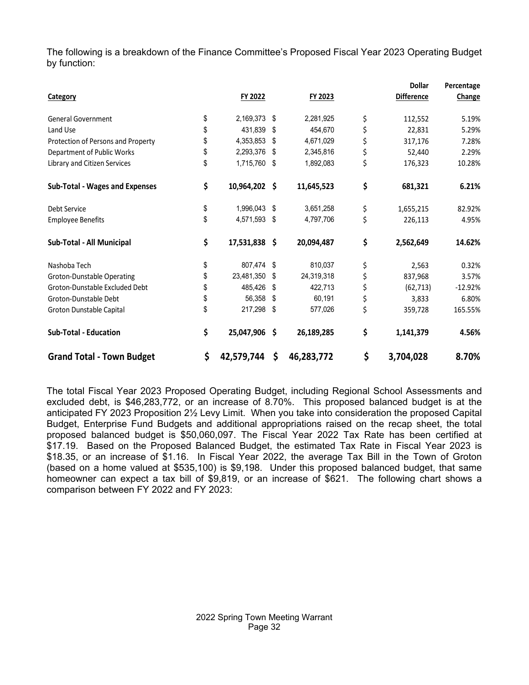The following is a breakdown of the Finance Committee's Proposed Fiscal Year 2023 Operating Budget by function:

|                                       |                     |      |            | Dollar            | Percentage |
|---------------------------------------|---------------------|------|------------|-------------------|------------|
| <b>Category</b>                       | FY 2022             |      | FY 2023    | <b>Difference</b> | Change     |
| <b>General Government</b>             | \$<br>2,169,373 \$  |      | 2,281,925  | \$<br>112,552     | 5.19%      |
| Land Use                              | \$<br>431,839       | \$   | 454,670    | \$<br>22,831      | 5.29%      |
| Protection of Persons and Property    | \$<br>4,353,853     | \$   | 4,671,029  | \$<br>317,176     | 7.28%      |
| Department of Public Works            | \$<br>2,293,376     | \$   | 2,345,816  | \$<br>52,440      | 2.29%      |
| Library and Citizen Services          | \$<br>1,715,760     | \$   | 1,892,083  | \$<br>176,323     | 10.28%     |
| <b>Sub-Total - Wages and Expenses</b> | \$<br>10,964,202 \$ |      | 11,645,523 | \$<br>681,321     | 6.21%      |
| Debt Service                          | \$<br>1,996,043     | \$   | 3,651,258  | \$<br>1,655,215   | 82.92%     |
| <b>Employee Benefits</b>              | \$<br>4,571,593     | - \$ | 4,797,706  | \$<br>226,113     | 4.95%      |
| Sub-Total - All Municipal             | \$<br>17,531,838 \$ |      | 20,094,487 | \$<br>2,562,649   | 14.62%     |
| Nashoba Tech                          | \$<br>807,474 \$    |      | 810,037    | \$<br>2,563       | 0.32%      |
| Groton-Dunstable Operating            | \$<br>23,481,350    | \$   | 24,319,318 | \$<br>837,968     | 3.57%      |
| Groton-Dunstable Excluded Debt        | \$<br>485,426       | \$   | 422,713    | \$<br>(62, 713)   | $-12.92%$  |
| Groton-Dunstable Debt                 | \$<br>56,358        | -\$  | 60,191     | \$<br>3,833       | 6.80%      |
| Groton Dunstable Capital              | \$<br>217,298       | \$   | 577,026    | \$<br>359,728     | 165.55%    |
| <b>Sub-Total - Education</b>          | \$<br>25,047,906    | \$   | 26,189,285 | \$<br>1,141,379   | 4.56%      |
| <b>Grand Total - Town Budget</b>      | \$<br>42,579,744    | \$   | 46,283,772 | \$<br>3,704,028   | 8.70%      |

The total Fiscal Year 2023 Proposed Operating Budget, including Regional School Assessments and excluded debt, is \$46,283,772, or an increase of 8.70%. This proposed balanced budget is at the anticipated FY 2023 Proposition 2½ Levy Limit. When you take into consideration the proposed Capital Budget, Enterprise Fund Budgets and additional appropriations raised on the recap sheet, the total proposed balanced budget is \$50,060,097. The Fiscal Year 2022 Tax Rate has been certified at \$17.19. Based on the Proposed Balanced Budget, the estimated Tax Rate in Fiscal Year 2023 is \$18.35, or an increase of \$1.16. In Fiscal Year 2022, the average Tax Bill in the Town of Groton (based on a home valued at \$535,100) is \$9,198. Under this proposed balanced budget, that same homeowner can expect a tax bill of \$9,819, or an increase of \$621. The following chart shows a comparison between FY 2022 and FY 2023: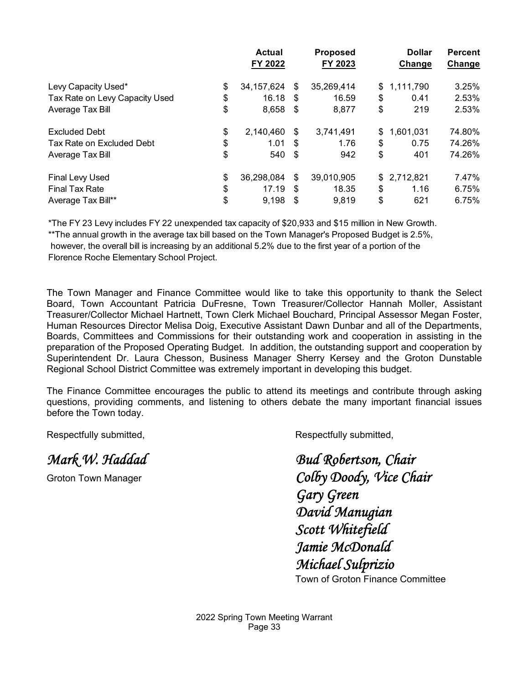|                                      | <b>Actual</b><br>FY 2022 |               | <b>Proposed</b><br>FY 2023 | <b>Dollar</b><br>Change | <b>Percent</b><br>Change |
|--------------------------------------|--------------------------|---------------|----------------------------|-------------------------|--------------------------|
| Levy Capacity Used*<br>\$            | 34, 157, 624             | $\frac{1}{2}$ | 35,269,414                 | \$<br>1,111,790         | 3.25%                    |
| \$<br>Tax Rate on Levy Capacity Used | $16.18$ \$               |               | 16.59                      | \$<br>0.41              | 2.53%                    |
| \$<br>Average Tax Bill               | 8,658 \$                 |               | 8,877                      | \$<br>219               | 2.53%                    |
| \$<br><b>Excluded Debt</b>           | 2,140,460                | -\$           | 3,741,491                  | \$<br>1,601,031         | 74.80%                   |
| \$<br>Tax Rate on Excluded Debt      | 1.01                     | - \$          | 1.76                       | \$<br>0.75              | 74.26%                   |
| \$<br>Average Tax Bill               | 540                      | -\$           | 942                        | \$<br>401               | 74.26%                   |
| \$<br>Final Levy Used                | 36,298,084               | \$            | 39,010,905                 | \$<br>2,712,821         | 7.47%                    |
| \$<br><b>Final Tax Rate</b>          | 17.19                    | - \$          | 18.35                      | \$<br>1.16              | 6.75%                    |
| \$<br>Average Tax Bill**             | 9,198                    | - \$          | 9,819                      | \$<br>621               | 6.75%                    |

\*The FY 23 Levy includes FY 22 unexpended tax capacity of \$20,933 and \$15 million in New Growth. \*\*The annual growth in the average tax bill based on the Town Manager's Proposed Budget is 2.5%, however, the overall bill is increasing by an additional 5.2% due to the first year of a portion of the Florence Roche Elementary School Project.

The Town Manager and Finance Committee would like to take this opportunity to thank the Select Board, Town Accountant Patricia DuFresne, Town Treasurer/Collector Hannah Moller, Assistant Treasurer/Collector Michael Hartnett, Town Clerk Michael Bouchard, Principal Assessor Megan Foster, Human Resources Director Melisa Doig, Executive Assistant Dawn Dunbar and all of the Departments, Boards, Committees and Commissions for their outstanding work and cooperation in assisting in the preparation of the Proposed Operating Budget. In addition, the outstanding support and cooperation by Superintendent Dr. Laura Chesson, Business Manager Sherry Kersey and the Groton Dunstable Regional School District Committee was extremely important in developing this budget.

The Finance Committee encourages the public to attend its meetings and contribute through asking questions, providing comments, and listening to others debate the many important financial issues before the Town today.

Respectfully submitted, The Control of the Respectfully submitted, Respectfully submitted,

*Mark W. Haddad Bud Robertson, Chair*  Groton Town Manager *Colby Doody, Vice Chair Gary Green David Manugian Scott Whitefield Jamie McDonald Michael Sulprizio* 

**Town of Groton Finance Committee**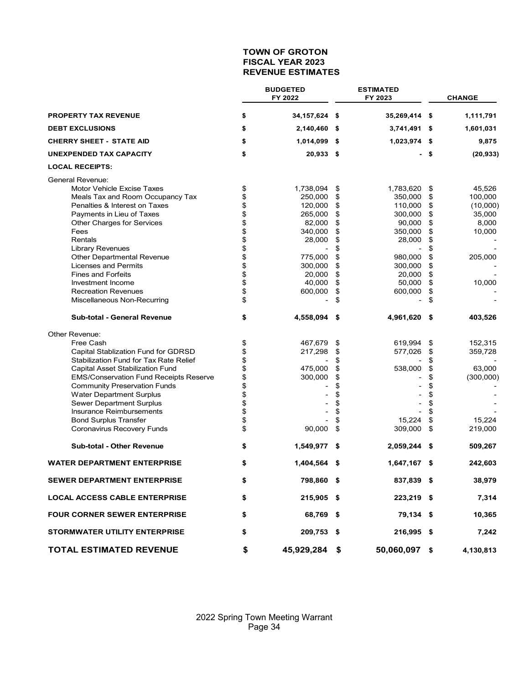#### **TOWN OF GROTON FISCAL YEAR 2023 REVENUE ESTIMATES**

|                                               | <b>BUDGETED</b><br>FY 2022 |      | <b>ESTIMATED</b><br>FY 2023 |      | <b>CHANGE</b> |
|-----------------------------------------------|----------------------------|------|-----------------------------|------|---------------|
| <b>PROPERTY TAX REVENUE</b>                   | \$<br>34,157,624 \$        |      | 35,269,414 \$               |      | 1,111,791     |
| <b>DEBT EXCLUSIONS</b>                        | \$<br>2,140,460            | - \$ | 3,741,491 \$                |      | 1,601,031     |
| <b>CHERRY SHEET - STATE AID</b>               | \$<br>1,014,099            | -\$  | 1,023,974 \$                |      | 9,875         |
| <b>UNEXPENDED TAX CAPACITY</b>                | \$<br>$20,933$ \$          |      |                             | - \$ | (20, 933)     |
| <b>LOCAL RECEIPTS:</b>                        |                            |      |                             |      |               |
| General Revenue:                              |                            |      |                             |      |               |
| <b>Motor Vehicle Excise Taxes</b>             | \$<br>1,738,094            | \$   | 1,783,620                   | \$   | 45,526        |
| Meals Tax and Room Occupancy Tax              | \$<br>250,000              | \$   | 350,000                     | \$   | 100,000       |
| Penalties & Interest on Taxes                 | \$<br>120,000              | \$   | 110,000                     | \$   | (10,000)      |
| Payments in Lieu of Taxes                     | \$<br>265,000              | \$   | 300,000                     | \$   | 35,000        |
| Other Charges for Services                    | \$<br>82,000               | \$   | 90,000                      | \$   | 8,000         |
| Fees                                          | \$<br>340,000              | \$   | 350,000                     | \$   | 10,000        |
| Rentals                                       | 28,000                     | \$   | 28,000                      | \$   |               |
| <b>Library Revenues</b>                       | \$                         | \$   |                             | \$   |               |
| Other Departmental Revenue                    | \$<br>775,000              | \$   | 980,000                     | \$   | 205,000       |
| Licenses and Permits                          | \$<br>300,000              | \$   | 300,000                     | \$   |               |
| <b>Fines and Forfeits</b>                     | \$<br>20,000               | \$   | 20,000                      | \$   |               |
|                                               |                            |      |                             |      |               |
| Investment Income                             | \$<br>40,000               | \$   | 50,000                      | \$   | 10,000        |
| <b>Recreation Revenues</b>                    | \$<br>600,000              | \$   | 600,000                     | \$   |               |
| Miscellaneous Non-Recurring                   | \$                         | \$   |                             | \$   |               |
| Sub-total - General Revenue                   | \$<br>4,558,094 \$         |      | 4,961,620                   | \$   | 403,526       |
| Other Revenue:                                |                            |      |                             |      |               |
| Free Cash                                     | \$<br>467,679              | \$   | 619,994                     | \$   | 152,315       |
| Capital Stablization Fund for GDRSD           | \$<br>217,298              | \$   | 577,026                     | \$   | 359,728       |
| Stabilization Fund for Tax Rate Relief        | \$                         | \$   |                             | \$   |               |
| Capital Asset Stabilization Fund              | \$<br>475,000              | \$   | 538,000                     | \$   | 63,000        |
| <b>EMS/Conservation Fund Receipts Reserve</b> | \$<br>300,000              | \$   |                             | \$   | (300,000)     |
| <b>Community Preservation Funds</b>           |                            | \$   |                             | \$   |               |
|                                               | \$                         |      |                             |      |               |
| <b>Water Department Surplus</b>               | \$                         | \$   |                             | \$   |               |
| Sewer Department Surplus                      | \$                         | \$   |                             | \$   |               |
| Insurance Reimbursements                      | \$                         | \$   |                             | \$   |               |
| <b>Bond Surplus Transfer</b>                  | \$                         | \$   | 15,224                      | \$   | 15,224        |
| Coronavirus Recovery Funds                    | \$<br>90,000               | \$   | 309,000                     | \$   | 219,000       |
| <b>Sub-total - Other Revenue</b>              | \$<br>1,549,977            | -\$  | 2,059,244 \$                |      | 509,267       |
| <b>WATER DEPARTMENT ENTERPRISE</b>            | \$<br>1,404,564            | \$   | 1,647,167                   | \$   | 242,603       |
| <b>SEWER DEPARTMENT ENTERPRISE</b>            | \$<br>798,860 \$           |      | 837,839 \$                  |      | 38,979        |
| <b>LOCAL ACCESS CABLE ENTERPRISE</b>          | \$<br>215,905 \$           |      | 223,219 \$                  |      | 7,314         |
| <b>FOUR CORNER SEWER ENTERPRISE</b>           | \$<br>68,769 \$            |      | 79,134 \$                   |      | 10,365        |
| <b>STORMWATER UTILITY ENTERPRISE</b>          | \$<br>209,753 \$           |      | 216,995 \$                  |      | 7,242         |
| <b>TOTAL ESTIMATED REVENUE</b>                | \$<br>45,929,284 \$        |      | 50,060,097 \$               |      | 4,130,813     |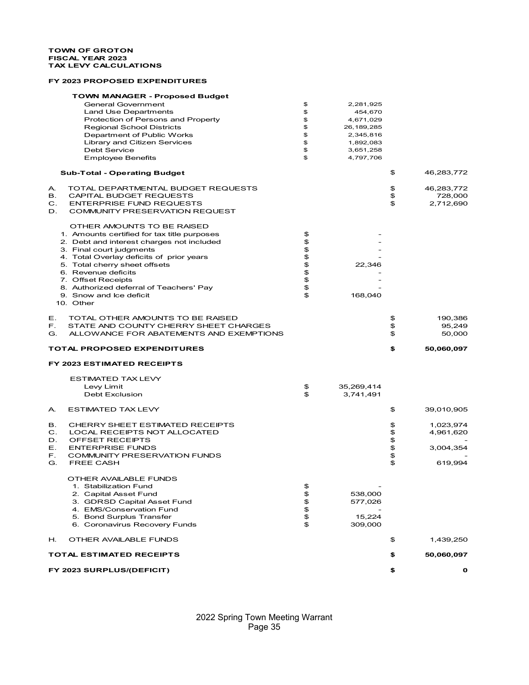#### **TOWN OF GROTON FISCAL YEAR 2023 TAX LEVY CALCULATIONS**

#### **FY 2023 PROPOSED EXPENDITURES**

| TOWN MANAGER - Proposed Budget                |                    |                  |
|-----------------------------------------------|--------------------|------------------|
| <b>General Government</b>                     | \$<br>2,281,925    |                  |
| <b>Land Use Departments</b>                   | \$<br>454,670      |                  |
| Protection of Persons and Property            | \$<br>4,671,029    |                  |
| Regional School Districts                     | \$<br>26, 189, 285 |                  |
| Department of Public Works                    | \$<br>2,345,816    |                  |
| Library and Citizen Services                  | \$<br>1,892,083    |                  |
| <b>Debt Service</b>                           | \$<br>3,651,258    |                  |
| <b>Employee Benefits</b>                      | \$<br>4,797,706    |                  |
| <b>Sub-Total - Operating Budget</b>           |                    | \$<br>46,283,772 |
| TOTAL DEPARTMENTAL BUDGET REQUESTS<br>A.      |                    | \$<br>46,283,772 |
| <b>CAPITAL BUDGET REQUESTS</b><br>в.          |                    | \$<br>728,000    |
| C.<br><b>ENTERPRISE FUND REQUESTS</b>         |                    | \$<br>2,712,690  |
| COMMUNITY PRESERVATION REQUEST<br>D.          |                    |                  |
| OTHER AMOUNTS TO BE RAISED                    |                    |                  |
| 1. Amounts certified for tax title purposes   | \$                 |                  |
| 2. Debt and interest charges not included     | \$                 |                  |
| 3. Final court judgments                      | \$                 |                  |
| 4. Total Overlay deficits of prior years      | \$                 |                  |
| 5. Total cherry sheet offsets                 | \$<br>22,346       |                  |
| 6. Revenue deficits                           | \$                 |                  |
| 7. Offset Receipts                            | \$                 |                  |
| 8. Authorized deferral of Teachers' Pay       | \$                 |                  |
| 9. Snow and Ice deficit                       | \$<br>168,040      |                  |
| 10. Other                                     |                    |                  |
| Е.<br>TOTAL OTHER AMOUNTS TO BE RAISED        |                    | \$<br>190,386    |
| F.<br>STATE AND COUNTY CHERRY SHEET CHARGES   |                    | \$<br>95,249     |
| G.<br>ALLOWANCE FOR ABATEMENTS AND EXEMPTIONS |                    | \$<br>50,000     |
|                                               |                    |                  |
| TOTAL PROPOSED EXPENDITURES                   |                    | \$<br>50,060,097 |
| FY 2023 ESTIMATED RECEIPTS                    |                    |                  |
| <b>ESTIMATED TAX LEVY</b>                     |                    |                  |
| Levy Limit                                    | \$<br>35,269,414   |                  |
| <b>Debt Exclusion</b>                         | \$<br>3,741,491    |                  |
|                                               |                    |                  |
| <b>ESTIMATED TAX LEVY</b><br>A.               |                    | \$<br>39,010,905 |
| CHERRY SHEET ESTIMATED RECEIPTS<br>в.         |                    | \$<br>1,023,974  |
| LOCAL RECEIPTS NOT ALLOCATED<br>C.            |                    | \$<br>4,961,620  |
| <b>OFFSET RECEIPTS</b><br>D.                  |                    | \$               |
| Е.<br><b>ENTERPRISE FUNDS</b>                 |                    | \$<br>3,004,354  |
| F.<br><b>COMMUNITY PRESERVATION FUNDS</b>     |                    | \$               |
| G.<br><b>FREE CASH</b>                        |                    | \$<br>619,994    |
| OTHER AVAILABLE FUNDS                         |                    |                  |
| 1. Stabilization Fund                         | \$                 |                  |
| 2. Capital Asset Fund                         | \$<br>538,000      |                  |
| 3. GDRSD Capital Asset Fund                   | \$<br>577,026      |                  |
| 4. EMS/Conservation Fund                      | \$                 |                  |
| 5. Bond Surplus Transfer                      | \$<br>15,224       |                  |
| 6. Coronavirus Recovery Funds                 | \$<br>309,000      |                  |
| Н.<br>OTHER AVAILABLE FUNDS                   |                    | \$<br>1,439,250  |
| TOTAL ESTIMATED RECEIPTS                      |                    | \$<br>50,060,097 |
| <b>FY 2023 SURPLUS/(DEFICIT)</b>              |                    | \$<br>0          |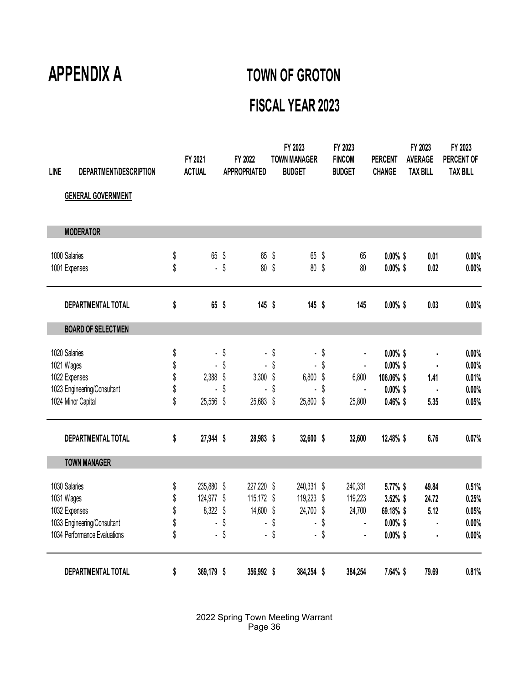# **APPENDIX A TOWN OF GROTON**

# **FISCAL YEAR 2023**

| <b>LINE</b> | DEPARTMENT/DESCRIPTION<br><b>GENERAL GOVERNMENT</b> | FY 2021<br><b>ACTUAL</b> |        | FY 2022<br><b>APPROPRIATED</b> | FY 2023<br><b>TOWN MANAGER</b><br><b>BUDGET</b> | FY 2023<br><b>FINCOM</b><br><b>BUDGET</b> | <b>PERCENT</b><br><b>CHANGE</b> | FY 2023<br><b>AVERAGE</b><br><b>TAX BILL</b> | FY 2023<br><b>PERCENT OF</b><br><b>TAX BILL</b> |
|-------------|-----------------------------------------------------|--------------------------|--------|--------------------------------|-------------------------------------------------|-------------------------------------------|---------------------------------|----------------------------------------------|-------------------------------------------------|
|             | <b>MODERATOR</b>                                    |                          |        |                                |                                                 |                                           |                                 |                                              |                                                 |
|             | 1000 Salaries                                       | \$<br>65                 | \$     | 65 \$                          | 65                                              | \$<br>65                                  | $0.00\%$ \$                     | 0.01                                         | 0.00%                                           |
|             | 1001 Expenses                                       | \$                       | $-$ \$ | 80                             | \$<br>80                                        | \$<br>80                                  | $0.00\%$ \$                     | 0.02                                         | $0.00\%$                                        |
|             | DEPARTMENTAL TOTAL                                  | \$<br>65 \$              |        | 145 \$                         | $145$ \$                                        | 145                                       | $0.00\%$ \$                     | 0.03                                         | 0.00%                                           |
|             | <b>BOARD OF SELECTMEN</b>                           |                          |        |                                |                                                 |                                           |                                 |                                              |                                                 |
|             | 1020 Salaries                                       | \$<br>ä,                 | \$     | ÷,                             | \$<br>$\blacksquare$                            | \$<br>$\blacksquare$                      | $0.00\%$ \$                     |                                              | 0.00%                                           |
|             | 1021 Wages                                          | \$<br>ä,                 | \$     | ٠                              | \$<br>٠                                         | \$<br>$\blacksquare$                      | $0.00\%$ \$                     | $\blacksquare$                               | 0.00%                                           |
|             | 1022 Expenses                                       | \$<br>2,388              | \$     | $3,300$ \$                     | 6,800                                           | \$<br>6,800                               | 106.06% \$                      | 1.41                                         | 0.01%                                           |
|             | 1023 Engineering/Consultant                         | \$                       | \$     |                                | \$<br>ä,                                        | \$<br>ä,                                  | $0.00\%$ \$                     |                                              | $0.00\%$                                        |
|             | 1024 Minor Capital                                  | \$<br>25,556 \$          |        | 25,683 \$                      | 25,800 \$                                       | 25,800                                    | $0.46\%$ \$                     | 5.35                                         | 0.05%                                           |
|             | DEPARTMENTAL TOTAL                                  | \$<br>27,944 \$          |        | 28,983 \$                      | 32,600 \$                                       | 32,600                                    | 12.48% \$                       | 6.76                                         | 0.07%                                           |
|             | <b>TOWN MANAGER</b>                                 |                          |        |                                |                                                 |                                           |                                 |                                              |                                                 |
|             | 1030 Salaries                                       | \$<br>235,880 \$         |        | 227,220 \$                     | 240,331 \$                                      | 240,331                                   | 5.77%\$                         | 49.84                                        | 0.51%                                           |
|             | 1031 Wages                                          | \$<br>124,977 \$         |        | 115,172 \$                     | 119,223                                         | \$<br>119,223                             | $3.52\%$ \$                     | 24.72                                        | 0.25%                                           |
|             | 1032 Expenses                                       | \$<br>8,322 \$           |        | 14,600 \$                      | 24,700                                          | \$<br>24,700                              | 69.18% \$                       | 5.12                                         | 0.05%                                           |
|             | 1033 Engineering/Consultant                         | \$<br>ä,                 | \$     | ÷,                             | \$<br>٠                                         | \$<br>$\blacksquare$                      | $0.00\%$ \$                     |                                              | $0.00\%$                                        |
|             | 1034 Performance Evaluations                        | \$<br>÷.                 | \$     | ä,                             | \$<br>ä,                                        | \$<br>$\blacksquare$                      | $0.00\%$ \$                     |                                              | 0.00%                                           |
|             | DEPARTMENTAL TOTAL                                  | \$<br>369,179            | \$     | 356,992 \$                     | 384,254 \$                                      | 384,254                                   | 7.64% \$                        | 79.69                                        | 0.81%                                           |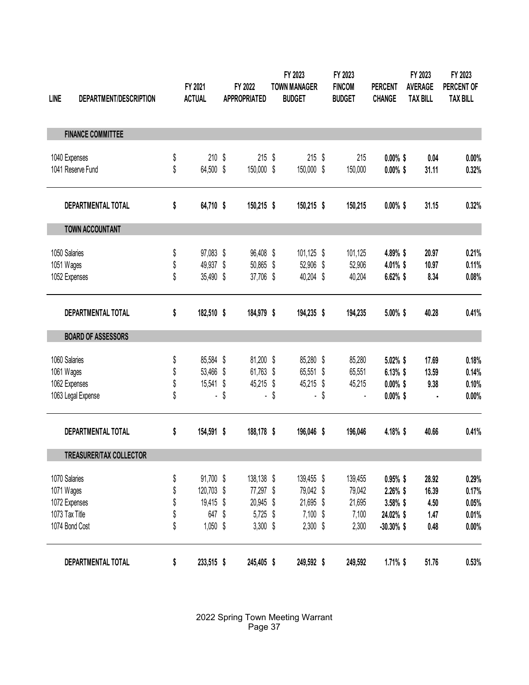| <b>LINE</b> | DEPARTMENT/DESCRIPTION         | FY 2021<br><b>ACTUAL</b> | FY 2022<br><b>APPROPRIATED</b> | FY 2023<br><b>TOWN MANAGER</b><br><b>BUDGET</b> | FY 2023<br><b>FINCOM</b><br><b>BUDGET</b> | <b>PERCENT</b><br><b>CHANGE</b> | FY 2023<br><b>AVERAGE</b><br><b>TAX BILL</b> | FY 2023<br>PERCENT OF<br><b>TAX BILL</b> |
|-------------|--------------------------------|--------------------------|--------------------------------|-------------------------------------------------|-------------------------------------------|---------------------------------|----------------------------------------------|------------------------------------------|
|             | <b>FINANCE COMMITTEE</b>       |                          |                                |                                                 |                                           |                                 |                                              |                                          |
|             | 1040 Expenses                  | \$<br>$210$ \$           | $215$ \$                       | $215$ \$                                        | 215                                       | $0.00\%$ \$                     | 0.04                                         | $0.00\%$                                 |
|             | 1041 Reserve Fund              | \$<br>64,500 \$          | 150,000 \$                     | 150,000 \$                                      | 150,000                                   | $0.00\%$ \$                     | 31.11                                        | 0.32%                                    |
|             | DEPARTMENTAL TOTAL             | \$<br>64,710 \$          | 150,215 \$                     | 150,215 \$                                      | 150,215                                   | $0.00\%$ \$                     | 31.15                                        | 0.32%                                    |
|             | <b>TOWN ACCOUNTANT</b>         |                          |                                |                                                 |                                           |                                 |                                              |                                          |
|             | 1050 Salaries                  | \$<br>97,083 \$          | 96,408 \$                      | 101,125 \$                                      | 101,125                                   | 4.89%\$                         | 20.97                                        | 0.21%                                    |
|             | 1051 Wages                     | \$<br>49,937 \$          | 50,865 \$                      | 52,906 \$                                       | 52,906                                    | 4.01% \$                        | 10.97                                        | 0.11%                                    |
|             | 1052 Expenses                  | \$<br>35,490 \$          | 37,706 \$                      | 40,204 \$                                       | 40,204                                    | 6.62% \$                        | 8.34                                         | 0.08%                                    |
|             | DEPARTMENTAL TOTAL             | \$<br>182,510 \$         | 184,979 \$                     | 194,235 \$                                      | 194,235                                   | 5.00%\$                         | 40.28                                        | 0.41%                                    |
|             | <b>BOARD OF ASSESSORS</b>      |                          |                                |                                                 |                                           |                                 |                                              |                                          |
|             | 1060 Salaries                  | \$<br>85,584 \$          | 81,200 \$                      | 85,280 \$                                       | 85,280                                    | 5.02%\$                         | 17.69                                        | 0.18%                                    |
|             | 1061 Wages                     | \$<br>53,466 \$          | 61,763                         | \$<br>65,551 \$                                 | 65,551                                    | $6.13\%$ \$                     | 13.59                                        | 0.14%                                    |
|             | 1062 Expenses                  | \$<br>15,541 \$          | 45,215 \$                      | 45,215 \$                                       | 45,215                                    | $0.00\%$ \$                     | 9.38                                         | 0.10%                                    |
|             | 1063 Legal Expense             | \$<br>$\blacksquare$     | \$<br>÷.                       | \$<br>¥.                                        | \$                                        | $0.00\%$ \$                     |                                              | $0.00\%$                                 |
|             | DEPARTMENTAL TOTAL             | \$<br>154,591 \$         | 188,178 \$                     | 196,046 \$                                      | 196,046                                   | 4.18% \$                        | 40.66                                        | 0.41%                                    |
|             | <b>TREASURER/TAX COLLECTOR</b> |                          |                                |                                                 |                                           |                                 |                                              |                                          |
|             | 1070 Salaries                  | \$<br>91,700 \$          | 138,138 \$                     | 139,455 \$                                      | 139,455                                   | $0.95\%$ \$                     | 28.92                                        | 0.29%                                    |
|             | 1071 Wages                     | \$<br>120,703 \$         | 77,297 \$                      | 79,042 \$                                       | 79,042                                    | $2.26\%$ \$                     | 16.39                                        | 0.17%                                    |
|             | 1072 Expenses                  | \$<br>19,415 \$          | 20,945 \$                      | 21,695 \$                                       | 21,695                                    | 3.58% \$                        | 4.50                                         | 0.05%                                    |
|             | 1073 Tax Title                 | \$<br>647 \$             | 5,725 \$                       | $7,100$ \$                                      | 7,100                                     | 24.02% \$                       | 1.47                                         | 0.01%                                    |
|             | 1074 Bond Cost                 | \$<br>$1,050$ \$         | $3,300$ \$                     | $2,300$ \$                                      | 2,300                                     | $-30.30\%$ \$                   | 0.48                                         | $0.00\%$                                 |
|             | DEPARTMENTAL TOTAL             | \$<br>233,515 \$         | 245,405 \$                     | 249,592 \$                                      | 249,592                                   | $1.71\%$ \$                     | 51.76                                        | 0.53%                                    |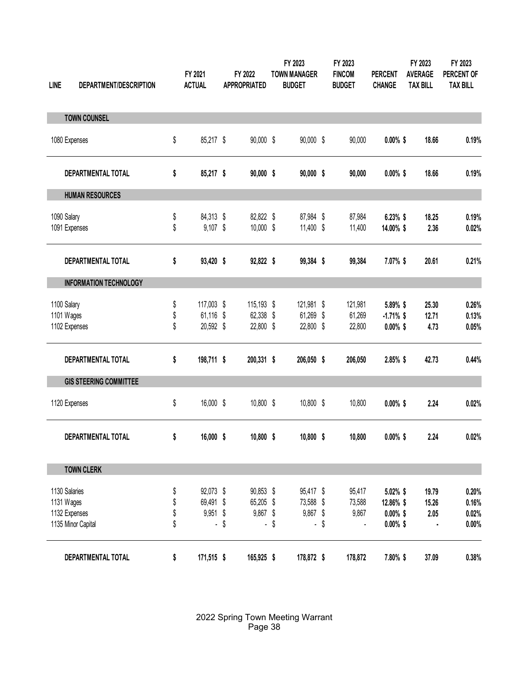| <b>LINE</b> | DEPARTMENT/DESCRIPTION                                             |                      | FY 2021<br><b>ACTUAL</b>                   | FY 2022<br><b>APPROPRIATED</b>                 | FY 2023<br><b>TOWN MANAGER</b><br><b>BUDGET</b>            | FY 2023<br><b>FINCOM</b><br><b>BUDGET</b>         | <b>PERCENT</b><br><b>CHANGE</b>                        | FY 2023<br><b>AVERAGE</b><br><b>TAX BILL</b> | FY 2023<br>PERCENT OF<br><b>TAX BILL</b> |
|-------------|--------------------------------------------------------------------|----------------------|--------------------------------------------|------------------------------------------------|------------------------------------------------------------|---------------------------------------------------|--------------------------------------------------------|----------------------------------------------|------------------------------------------|
|             | <b>TOWN COUNSEL</b>                                                |                      |                                            |                                                |                                                            |                                                   |                                                        |                                              |                                          |
|             | 1080 Expenses                                                      | \$                   | 85,217 \$                                  | 90,000 \$                                      | 90,000 \$                                                  | 90,000                                            | $0.00\%$ \$                                            | 18.66                                        | 0.19%                                    |
|             | DEPARTMENTAL TOTAL                                                 | \$                   | 85,217 \$                                  | 90,000 \$                                      | 90,000 \$                                                  | 90,000                                            | $0.00\%$ \$                                            | 18.66                                        | 0.19%                                    |
|             | <b>HUMAN RESOURCES</b>                                             |                      |                                            |                                                |                                                            |                                                   |                                                        |                                              |                                          |
|             | 1090 Salary<br>1091 Expenses                                       | \$<br>\$             | 84,313 \$<br>$9,107$ \$                    | 82,822 \$<br>10,000 \$                         | 87,984 \$<br>11,400 \$                                     | 87,984<br>11,400                                  | $6.23\%$ \$<br>14.00% \$                               | 18.25                                        | 0.19%<br>2.36<br>0.02%                   |
|             | <b>DEPARTMENTAL TOTAL</b>                                          | \$                   | 93,420 \$                                  | 92,822 \$                                      | 99,384 \$                                                  | 99,384                                            | 7.07% \$                                               | 20.61                                        | 0.21%                                    |
|             | <b>INFORMATION TECHNOLOGY</b>                                      |                      |                                            |                                                |                                                            |                                                   |                                                        |                                              |                                          |
|             | 1100 Salary<br>1101 Wages<br>1102 Expenses                         | \$<br>\$<br>\$       | 117,003 \$<br>61,116 \$<br>20,592 \$       | 115,193 \$<br>62,338 \$<br>22,800 \$           | 121,981 \$<br>61,269 \$<br>22,800 \$                       | 121,981<br>61,269<br>22,800                       | 5.89% \$<br>$-1.71\%$ \$<br>$0.00\%$ \$                | 25.30<br>12.71                               | 0.26%<br>0.13%<br>4.73<br>0.05%          |
|             | DEPARTMENTAL TOTAL                                                 | \$                   | 198,711 \$                                 | 200,331 \$                                     | 206,050 \$                                                 | 206,050                                           | $2.85\%$ \$                                            | 42.73                                        | 0.44%                                    |
|             | <b>GIS STEERING COMMITTEE</b>                                      |                      |                                            |                                                |                                                            |                                                   |                                                        |                                              |                                          |
|             | 1120 Expenses                                                      | \$                   | 16,000 \$                                  | 10,800 \$                                      | 10,800 \$                                                  | 10,800                                            | $0.00\%$ \$                                            |                                              | 2.24<br>0.02%                            |
|             | DEPARTMENTAL TOTAL                                                 | \$                   | 16,000 \$                                  | 10,800 \$                                      | 10,800 \$                                                  | 10,800                                            | $0.00\%$ \$                                            |                                              | 2.24<br>0.02%                            |
|             | <b>TOWN CLERK</b>                                                  |                      |                                            |                                                |                                                            |                                                   |                                                        |                                              |                                          |
|             | 1130 Salaries<br>1131 Wages<br>1132 Expenses<br>1135 Minor Capital | \$<br>\$<br>\$<br>\$ | 92,073 \$<br>69,491 \$<br>$9,951$ \$<br>ä, | \$<br>90,853 \$<br>65,205 \$<br>9,867 \$<br>ä, | \$<br>95,417 \$<br>73,588 \$<br>9,867 \$<br>$\blacksquare$ | \$<br>95,417<br>73,588<br>9,867<br>$\blacksquare$ | $5.02\%$ \$<br>12.86% \$<br>$0.00\%$ \$<br>$0.00\%$ \$ | 19.79<br>15.26                               | 0.20%<br>0.16%<br>2.05<br>0.02%<br>0.00% |
|             | DEPARTMENTAL TOTAL                                                 | \$                   | 171,515 \$                                 | 165,925 \$                                     | 178,872 \$                                                 | 178,872                                           | 7.80%\$                                                | 37.09                                        | 0.38%                                    |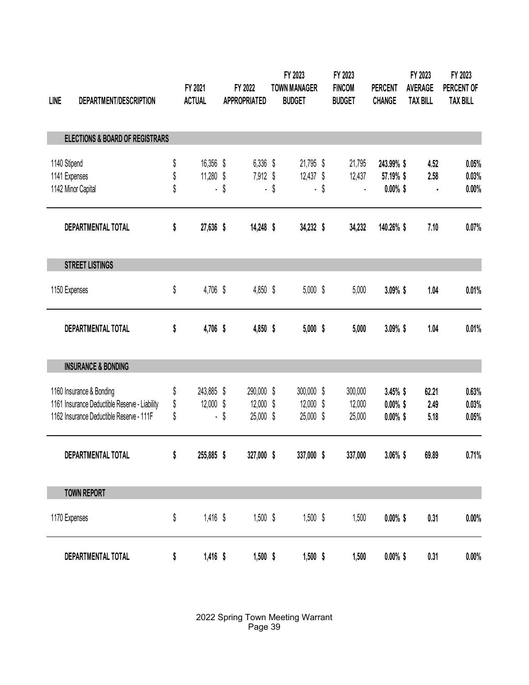| <b>LINE</b> | DEPARTMENT/DESCRIPTION                                                                                                |                | FY 2021<br><b>ACTUAL</b> |      | FY 2022<br><b>APPROPRIATED</b>       |      | FY 2023<br><b>TOWN MANAGER</b><br><b>BUDGET</b> |      | FY 2023<br><b>FINCOM</b><br><b>BUDGET</b> | <b>PERCENT</b><br><b>CHANGE</b>           | FY 2023<br><b>AVERAGE</b><br><b>TAX BILL</b> | FY 2023<br>PERCENT OF<br><b>TAX BILL</b> |
|-------------|-----------------------------------------------------------------------------------------------------------------------|----------------|--------------------------|------|--------------------------------------|------|-------------------------------------------------|------|-------------------------------------------|-------------------------------------------|----------------------------------------------|------------------------------------------|
|             | <b>ELECTIONS &amp; BOARD OF REGISTRARS</b>                                                                            |                |                          |      |                                      |      |                                                 |      |                                           |                                           |                                              |                                          |
|             | 1140 Stipend<br>1141 Expenses<br>1142 Minor Capital                                                                   | \$<br>\$<br>\$ | 16,356 \$<br>11,280 \$   | - \$ | 6,336 \$<br>7,912 \$                 | - \$ | 21,795 \$<br>12,437 \$                          | - \$ | 21,795<br>12,437<br>$\blacksquare$        | 243.99% \$<br>57.19% \$<br>$0.00\%$ \$    | 4.52<br>2.58                                 | 0.05%<br>0.03%<br>$0.00\%$               |
|             | DEPARTMENTAL TOTAL                                                                                                    | \$             | 27,636 \$                |      | 14,248 \$                            |      | 34,232 \$                                       |      | 34,232                                    | 140.26% \$                                | 7.10                                         | 0.07%                                    |
|             | <b>STREET LISTINGS</b>                                                                                                |                |                          |      |                                      |      |                                                 |      |                                           |                                           |                                              |                                          |
|             | 1150 Expenses                                                                                                         | \$             | 4,706 \$                 |      | 4,850 \$                             |      | $5,000$ \$                                      |      | 5,000                                     | $3.09\%$ \$                               | 1.04                                         | 0.01%                                    |
|             | DEPARTMENTAL TOTAL                                                                                                    | \$             | 4,706 \$                 |      | 4,850 \$                             |      | $5,000$ \$                                      |      | 5,000                                     | $3.09\%$ \$                               | 1.04                                         | 0.01%                                    |
|             | <b>INSURANCE &amp; BONDING</b>                                                                                        |                |                          |      |                                      |      |                                                 |      |                                           |                                           |                                              |                                          |
|             | 1160 Insurance & Bonding<br>1161 Insurance Deductible Reserve - Liability<br>1162 Insurance Deductible Reserve - 111F | \$<br>\$<br>\$ | 243,885 \$<br>12,000 \$  | - \$ | 290,000 \$<br>12,000 \$<br>25,000 \$ |      | 300,000 \$<br>12,000 \$<br>25,000 \$            |      | 300,000<br>12,000<br>25,000               | $3.45\%$ \$<br>$0.00\%$ \$<br>$0.00\%$ \$ | 62.21<br>2.49<br>5.18                        | 0.63%<br>0.03%<br>0.05%                  |
|             | DEPARTMENTAL TOTAL                                                                                                    | \$             | 255,885 \$               |      | 327,000 \$                           |      | 337,000 \$                                      |      | 337,000                                   | $3.06\%$ \$                               | 69.89                                        | 0.71%                                    |
|             | <b>TOWN REPORT</b>                                                                                                    |                |                          |      |                                      |      |                                                 |      |                                           |                                           |                                              |                                          |
|             | 1170 Expenses                                                                                                         | \$             | $1,416$ \$               |      | $1,500$ \$                           |      | $1,500$ \$                                      |      | 1,500                                     | $0.00\%$ \$                               | 0.31                                         | $0.00\%$                                 |
|             | DEPARTMENTAL TOTAL                                                                                                    | \$             | $1,416$ \$               |      | $1,500$ \$                           |      | $1,500$ \$                                      |      | 1,500                                     | $0.00\%$ \$                               | 0.31                                         | $0.00\%$                                 |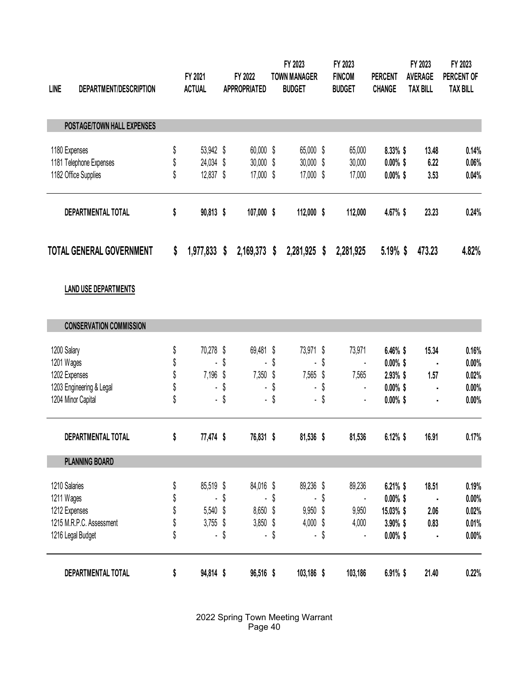| <b>LINE</b>   | DEPARTMENT/DESCRIPTION          | FY 2021<br><b>ACTUAL</b> | FY 2022<br><b>APPROPRIATED</b> |   | FY 2023<br><b>TOWN MANAGER</b><br><b>BUDGET</b> |   | FY 2023<br><b>FINCOM</b><br><b>BUDGET</b> | <b>PERCENT</b><br><b>CHANGE</b> | FY 2023<br><b>AVERAGE</b><br><b>TAX BILL</b> | FY 2023<br>PERCENT OF<br><b>TAX BILL</b> |
|---------------|---------------------------------|--------------------------|--------------------------------|---|-------------------------------------------------|---|-------------------------------------------|---------------------------------|----------------------------------------------|------------------------------------------|
|               | POSTAGE/TOWN HALL EXPENSES      |                          |                                |   |                                                 |   |                                           |                                 |                                              |                                          |
| 1180 Expenses |                                 | \$<br>53,942 \$          | 60,000 \$                      |   | 65,000 \$                                       |   | 65,000                                    | 8.33% \$                        | 13.48                                        | 0.14%                                    |
|               | 1181 Telephone Expenses         | \$<br>24,034 \$          | 30,000 \$                      |   | 30,000 \$                                       |   | 30,000                                    | $0.00\%$ \$                     | 6.22                                         | 0.06%                                    |
|               | 1182 Office Supplies            | \$<br>12,837 \$          | 17,000 \$                      |   | 17,000 \$                                       |   | 17,000                                    | $0.00\%$ \$                     | 3.53                                         | 0.04%                                    |
|               | DEPARTMENTAL TOTAL              | \$<br>90,813 \$          | 107,000 \$                     |   | 112,000 \$                                      |   | 112,000                                   | 4.67% \$                        | 23.23                                        | 0.24%                                    |
|               | <b>TOTAL GENERAL GOVERNMENT</b> | \$<br>1,977,833 \$       | 2,169,373                      | S | 2,281,925                                       | S | 2,281,925                                 | $5.19%$ \$                      | 473.23                                       | 4.82%                                    |

#### **LAND USE DEPARTMENTS**

| <b>CONSERVATION COMMISSION</b> |                 |      |                |      |                |     |                |             |                |          |
|--------------------------------|-----------------|------|----------------|------|----------------|-----|----------------|-------------|----------------|----------|
| 1200 Salary                    | \$<br>70,278 \$ |      | 69,481 \$      |      | 73,971 \$      |     | 73,971         | 6.46% \$    | 15.34          | 0.16%    |
|                                |                 |      |                |      |                |     |                |             |                |          |
| 1201 Wages                     | ٠               | \$   | ٠              | \$   | ٠              |     | $\blacksquare$ | $0.00\%$ \$ | $\blacksquare$ | $0.00\%$ |
| 1202 Expenses                  | 7,196           | S    | 7,350 \$       |      | 7,565          | \$  | 7,565          | 2.93% \$    | 1.57           | 0.02%    |
| 1203 Engineering & Legal       | ۰.              | S    | $\blacksquare$ | S    | $\blacksquare$ |     | $\blacksquare$ | $0.00\%$ \$ | ٠              | $0.00\%$ |
| 1204 Minor Capital             |                 | - \$ |                | - \$ |                | -\$ | $\blacksquare$ | $0.00\%$ \$ | ٠              | $0.00\%$ |
| DEPARTMENTAL TOTAL             | \$<br>77,474 \$ |      | 76,831 \$      |      | 81,536 \$      |     | 81,536         | $6.12\%$ \$ | 16.91          | 0.17%    |
| <b>PLANNING BOARD</b>          |                 |      |                |      |                |     |                |             |                |          |
| 1210 Salaries                  | 85,519 \$       |      | 84,016 \$      |      | 89,236 \$      |     | 89,236         | $6.21\%$ \$ | 18.51          | 0.19%    |
| 1211 Wages                     |                 | S    | ٠              | \$   | $\blacksquare$ |     | $\blacksquare$ | $0.00\%$ \$ | ٠              | $0.00\%$ |
| 1212 Expenses                  | 5,540 \$        |      | 8,650 \$       |      | 9,950 \$       |     | 9,950          | 15.03% \$   | 2.06           | 0.02%    |
| 1215 M.R.P.C. Assessment       | $3,755$ \$      |      | $3,850$ \$     |      | 4,000          | S   | 4,000          | 3.90%\$     | 0.83           | 0.01%    |
| 1216 Legal Budget              | ٠               | \$   | ۰.             | \$   | ۰.             | \$  | $\blacksquare$ | $0.00\%$ \$ | ٠              | $0.00\%$ |
| DEPARTMENTAL TOTAL             | \$<br>94,814 \$ |      | 96,516 \$      |      | 103,186 \$     |     | 103,186        | $6.91\%$ \$ | 21.40          | 0.22%    |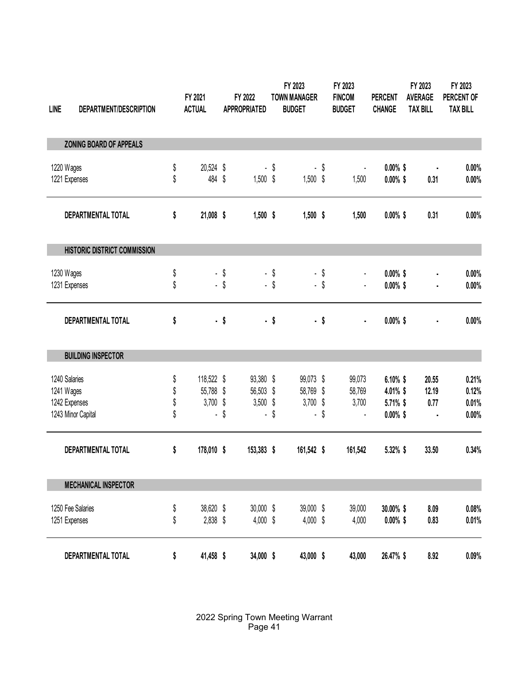| <b>LINE</b> | DEPARTMENT/DESCRIPTION         | FY 2021<br><b>ACTUAL</b> |        | FY 2022<br><b>APPROPRIATED</b> |        | FY 2023<br><b>TOWN MANAGER</b><br><b>BUDGET</b> |        | FY 2023<br><b>FINCOM</b><br><b>BUDGET</b> | <b>PERCENT</b><br><b>CHANGE</b> | FY 2023<br><b>AVERAGE</b><br><b>TAX BILL</b> | FY 2023<br>PERCENT OF<br><b>TAX BILL</b> |
|-------------|--------------------------------|--------------------------|--------|--------------------------------|--------|-------------------------------------------------|--------|-------------------------------------------|---------------------------------|----------------------------------------------|------------------------------------------|
|             | <b>ZONING BOARD OF APPEALS</b> |                          |        |                                |        |                                                 |        |                                           |                                 |                                              |                                          |
|             | 1220 Wages                     | \$<br>20,524 \$          |        |                                | $-$ \$ |                                                 | $-$ \$ | $\overline{\phantom{a}}$                  | $0.00\%$ \$                     |                                              | $0.00\%$                                 |
|             | 1221 Expenses                  | \$<br>484 \$             |        | $1,500$ \$                     |        | $1,500$ \$                                      |        | 1,500                                     | $0.00\%$ \$                     | 0.31                                         | 0.00%                                    |
|             | DEPARTMENTAL TOTAL             | \$<br>21,008 \$          |        | $1,500$ \$                     |        | $1,500$ \$                                      |        | 1,500                                     | $0.00\%$ \$                     | 0.31                                         | $0.00\%$                                 |
|             | HISTORIC DISTRICT COMMISSION   |                          |        |                                |        |                                                 |        |                                           |                                 |                                              |                                          |
|             | 1230 Wages                     | \$                       | - \$   |                                | $-$ \$ |                                                 | - \$   | $\blacksquare$                            | $0.00\%$ \$                     |                                              | $0.00\%$                                 |
|             | 1231 Expenses                  | \$                       | $-$ \$ |                                | $-$ \$ |                                                 | $-$ \$ | $\blacksquare$                            | $0.00\%$ \$                     |                                              | $0.00\%$                                 |
|             | DEPARTMENTAL TOTAL             | \$                       | $-$ \$ |                                | $-$ \$ |                                                 | $-$ \$ | $\blacksquare$                            | $0.00\%$ \$                     |                                              | $0.00\%$                                 |
|             | <b>BUILDING INSPECTOR</b>      |                          |        |                                |        |                                                 |        |                                           |                                 |                                              |                                          |
|             | 1240 Salaries                  | \$<br>118,522 \$         |        | 93,380 \$                      |        | 99,073 \$                                       |        | 99,073                                    | 6.10%\$                         | 20.55                                        | 0.21%                                    |
|             | 1241 Wages                     | \$<br>55,788 \$          |        | 56,503 \$                      |        | 58,769 \$                                       |        | 58,769                                    | 4.01% \$                        | 12.19                                        | 0.12%                                    |
|             | 1242 Expenses                  | \$<br>3,700 \$           |        | $3,500$ \$                     |        | $3,700$ \$                                      |        | 3,700                                     | 5.71% \$                        | 0.77                                         | 0.01%                                    |
|             | 1243 Minor Capital             | \$<br>÷.                 | \$     | $\blacksquare$                 | \$     | ä,                                              | \$     | $\blacksquare$                            | $0.00\%$ \$                     |                                              | $0.00\%$                                 |
|             | DEPARTMENTAL TOTAL             | \$<br>178,010 \$         |        | 153,383 \$                     |        | 161,542 \$                                      |        | 161,542                                   | 5.32% \$                        | 33.50                                        | 0.34%                                    |
|             | <b>MECHANICAL INSPECTOR</b>    |                          |        |                                |        |                                                 |        |                                           |                                 |                                              |                                          |
|             | 1250 Fee Salaries              | \$<br>38,620 \$          |        | 30,000 \$                      |        | 39,000 \$                                       |        | 39,000                                    | 30.00%\$                        | 8.09                                         | 0.08%                                    |
|             | 1251 Expenses                  | \$<br>2,838 \$           |        | 4,000 \$                       |        | $4,000$ \$                                      |        | 4,000                                     | $0.00\%$ \$                     | 0.83                                         | 0.01%                                    |
|             | DEPARTMENTAL TOTAL             | \$<br>41,458 \$          |        | 34,000 \$                      |        | 43,000 \$                                       |        | 43,000                                    | 26.47% \$                       | 8.92                                         | 0.09%                                    |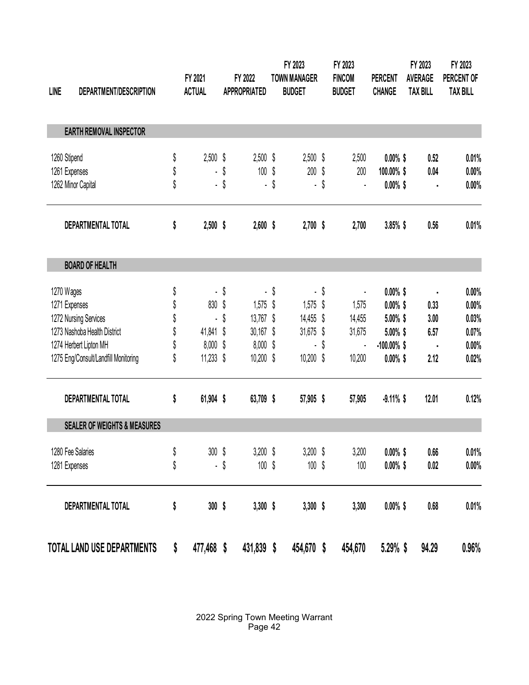| <b>LINE</b> | DEPARTMENT/DESCRIPTION                  | FY 2021<br><b>ACTUAL</b> | FY 2022<br><b>APPROPRIATED</b> | FY 2023<br><b>TOWN MANAGER</b><br><b>BUDGET</b> | FY 2023<br><b>FINCOM</b><br><b>BUDGET</b> | <b>PERCENT</b><br><b>CHANGE</b> | FY 2023<br><b>AVERAGE</b><br><b>TAX BILL</b> | FY 2023<br>PERCENT OF<br><b>TAX BILL</b> |
|-------------|-----------------------------------------|--------------------------|--------------------------------|-------------------------------------------------|-------------------------------------------|---------------------------------|----------------------------------------------|------------------------------------------|
|             | <b>EARTH REMOVAL INSPECTOR</b>          |                          |                                |                                                 |                                           |                                 |                                              |                                          |
|             | 1260 Stipend                            | \$<br>$2,500$ \$         | $2,500$ \$                     | $2,500$ \$                                      | 2,500                                     | $0.00\%$ \$                     | 0.52                                         | 0.01%                                    |
|             | 1261 Expenses                           | \$                       | \$<br>100                      | \$<br>200                                       | \$<br>200                                 | 100.00% \$                      | $0.04\,$                                     | $0.00\%$                                 |
|             | 1262 Minor Capital                      | \$<br>$\blacksquare$     | \$<br>$\blacksquare$           | \$                                              | \$<br>$\blacksquare$                      | $0.00\%$ \$                     |                                              | 0.00%                                    |
|             | DEPARTMENTAL TOTAL                      | \$<br>$2,500$ \$         | $2,600$ \$                     | $2,700$ \$                                      | 2,700                                     | $3.85\%$ \$                     | 0.56                                         | 0.01%                                    |
|             | <b>BOARD OF HEALTH</b>                  |                          |                                |                                                 |                                           |                                 |                                              |                                          |
|             | 1270 Wages                              | \$<br>ä,                 | \$<br>$\blacksquare$           | \$                                              | \$                                        | $0.00\%$ \$                     |                                              | 0.00%                                    |
|             | 1271 Expenses                           | \$<br>830                | \$<br>1,575 \$                 | 1,575                                           | \$<br>1,575                               | $0.00\%$ \$                     | 0.33                                         | $0.00\%$                                 |
|             | 1272 Nursing Services                   | \$                       | \$<br>13,767                   | \$<br>14,455 \$                                 | 14,455                                    | 5.00%\$                         | 3.00                                         | 0.03%                                    |
|             | 1273 Nashoba Health District            | \$<br>41,841             | \$<br>30,167                   | \$<br>31,675 \$                                 | 31,675                                    | 5.00%\$                         | 6.57                                         | 0.07%                                    |
|             | 1274 Herbert Lipton MH                  | \$<br>$8,000$ \$         | 8,000                          | \$                                              | \$<br>$\blacksquare$                      | $-100.00\%$ \$                  |                                              | 0.00%                                    |
|             | 1275 Eng/Consult/Landfill Monitoring    | \$<br>$11,233$ \$        | 10,200 \$                      | 10,200 \$                                       | 10,200                                    | $0.00\%$ \$                     | 2.12                                         | 0.02%                                    |
|             | DEPARTMENTAL TOTAL                      | \$<br>61,904 \$          | 63,709 \$                      | 57,905 \$                                       | 57,905                                    | $-9.11\%$ \$                    | 12.01                                        | 0.12%                                    |
|             | <b>SEALER OF WEIGHTS &amp; MEASURES</b> |                          |                                |                                                 |                                           |                                 |                                              |                                          |
|             | 1280 Fee Salaries                       | \$<br>300 \$             | $3,200$ \$                     | $3,200$ \$                                      | 3,200                                     | $0.00\%$ \$                     | 0.66                                         | 0.01%                                    |
|             | 1281 Expenses                           | \$<br>¥,                 | \$<br>$100$ \$                 | 100                                             | \$<br>100                                 | $0.00\%$ \$                     | 0.02                                         | $0.00\%$                                 |
|             | DEPARTMENTAL TOTAL                      | \$<br>300 <sup>°</sup>   | $3,300$ \$                     | $3,300$ \$                                      | 3,300                                     | $0.00\%$ \$                     | 0.68                                         | 0.01%                                    |
|             | TOTAL LAND USE DEPARTMENTS              | \$<br>477,468 \$         | 431,839 \$                     | 454,670 \$                                      | 454,670                                   | $5.29\%$ \$                     | 94.29                                        | $0.96\%$                                 |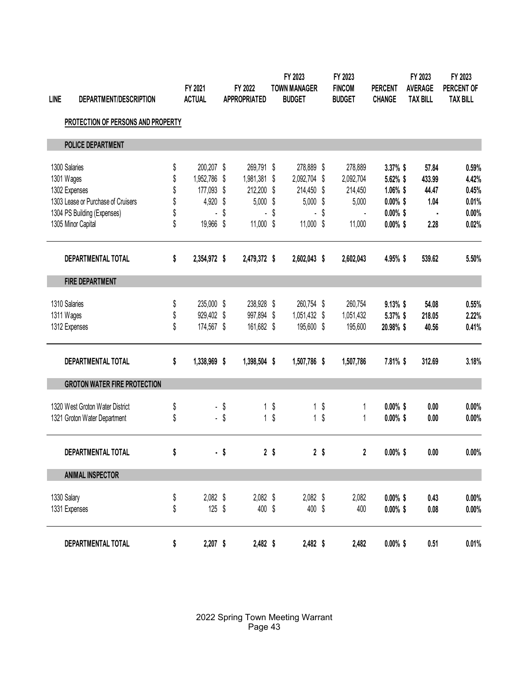| <b>LINE</b> | DEPARTMENT/DESCRIPTION              | FY 2021<br><b>ACTUAL</b> |        | FY 2022<br><b>APPROPRIATED</b> |                | FY 2023<br><b>TOWN MANAGER</b><br><b>BUDGET</b> | FY 2023<br><b>FINCOM</b><br><b>BUDGET</b> | <b>PERCENT</b><br><b>CHANGE</b> | FY 2023<br><b>AVERAGE</b><br><b>TAX BILL</b> | FY 2023<br>PERCENT OF<br><b>TAX BILL</b> |
|-------------|-------------------------------------|--------------------------|--------|--------------------------------|----------------|-------------------------------------------------|-------------------------------------------|---------------------------------|----------------------------------------------|------------------------------------------|
|             | PROTECTION OF PERSONS AND PROPERTY  |                          |        |                                |                |                                                 |                                           |                                 |                                              |                                          |
|             | <b>POLICE DEPARTMENT</b>            |                          |        |                                |                |                                                 |                                           |                                 |                                              |                                          |
|             | 1300 Salaries                       | \$<br>200,207 \$         |        | 269,791 \$                     |                | 278,889 \$                                      | 278,889                                   | $3.37\%$ \$                     | 57.84                                        | 0.59%                                    |
|             | 1301 Wages                          | \$<br>1,952,786 \$       |        | 1,981,381 \$                   |                | 2,092,704 \$                                    | 2,092,704                                 | 5.62% \$                        | 433.99                                       | 4.42%                                    |
|             | 1302 Expenses                       | \$<br>177,093 \$         |        | 212,200 \$                     |                | 214,450 \$                                      | 214,450                                   | $1.06\%$ \$                     | 44.47                                        | 0.45%                                    |
|             | 1303 Lease or Purchase of Cruisers  | \$<br>4,920              | \$     | $5,000$ \$                     |                | $5,000$ \$                                      | 5,000                                     | $0.00\%$ \$                     | 1.04                                         | 0.01%                                    |
|             | 1304 PS Building (Expenses)         | \$                       | \$     | $\blacksquare$                 |                | \$                                              | \$                                        | $0.00\%$ \$                     |                                              | 0.00%                                    |
|             | 1305 Minor Capital                  | \$<br>19,966 \$          |        | 11,000 \$                      |                | 11,000 \$                                       | 11,000                                    | $0.00\%$ \$                     | 2.28                                         | 0.02%                                    |
|             | DEPARTMENTAL TOTAL                  | \$<br>2,354,972 \$       |        | 2,479,372 \$                   |                | 2,602,043 \$                                    | 2,602,043                                 | 4.95%\$                         | 539.62                                       | 5.50%                                    |
|             | <b>FIRE DEPARTMENT</b>              |                          |        |                                |                |                                                 |                                           |                                 |                                              |                                          |
|             | 1310 Salaries                       | \$<br>235,000 \$         |        | 238,928 \$                     |                | 260,754 \$                                      | 260,754                                   | $9.13\%$ \$                     | 54.08                                        | 0.55%                                    |
|             | 1311 Wages                          | \$<br>929,402 \$         |        | 997,894 \$                     |                | 1,051,432 \$                                    | 1,051,432                                 | 5.37% \$                        | 218.05                                       | 2.22%                                    |
|             | 1312 Expenses                       | \$<br>174,567 \$         |        | 161,682 \$                     |                | 195,600 \$                                      | 195,600                                   | 20.98% \$                       | 40.56                                        | 0.41%                                    |
|             | DEPARTMENTAL TOTAL                  | \$<br>1,338,969 \$       |        | 1,398,504 \$                   |                | 1,507,786 \$                                    | 1,507,786                                 | 7.81% \$                        | 312.69                                       | 3.18%                                    |
|             | <b>GROTON WATER FIRE PROTECTION</b> |                          |        |                                |                |                                                 |                                           |                                 |                                              |                                          |
|             | 1320 West Groton Water District     | \$<br>$\blacksquare$     | \$     | 1                              |                | \$<br>1                                         | \$<br>$\mathbf{1}$                        | $0.00\%$ \$                     | 0.00                                         | $0.00\%$                                 |
|             | 1321 Groton Water Department        | \$                       | $-$ \$ | $\mathbf{1}$                   |                | \$<br>$\mathbf{1}$                              | \$<br>$\mathbf 1$                         | $0.00\%$ \$                     | 0.00                                         | $0.00\%$                                 |
|             | DEPARTMENTAL TOTAL                  | \$                       | - \$   |                                | 2 <sup>5</sup> | 2 <sub>3</sub>                                  | 2                                         | $0.00\%$ \$                     | 0.00                                         | $0.00\%$                                 |
|             | <b>ANIMAL INSPECTOR</b>             |                          |        |                                |                |                                                 |                                           |                                 |                                              |                                          |
|             | 1330 Salary                         | \$<br>$2,082$ \$         |        | $2,082$ \$                     |                | $2,082$ \$                                      | 2,082                                     | $0.00\%$ \$                     | 0.43                                         | $0.00\%$                                 |
|             | 1331 Expenses                       | \$<br>$125$ \$           |        | 400 \$                         |                | 400 \$                                          | 400                                       | $0.00\%$ \$                     | 0.08                                         | $0.00\%$                                 |
|             | DEPARTMENTAL TOTAL                  | \$<br>$2,207$ \$         |        | 2,482 \$                       |                | $2,482$ \$                                      | 2,482                                     | $0.00\%$ \$                     | 0.51                                         | 0.01%                                    |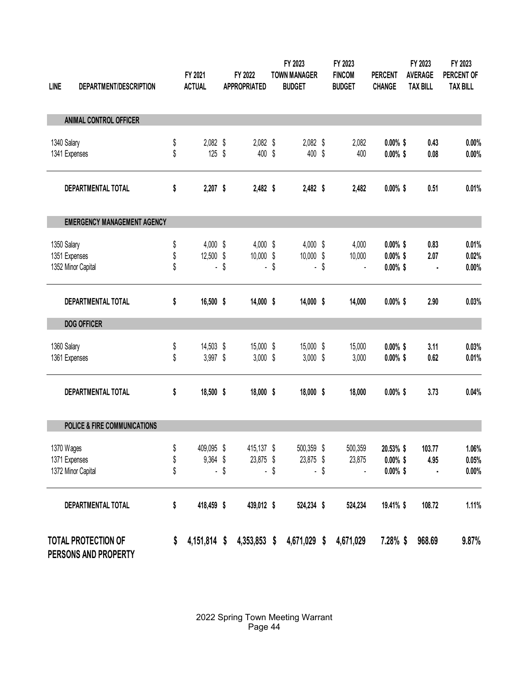| <b>LINE</b> | DEPARTMENT/DESCRIPTION                             | FY 2021<br><b>ACTUAL</b> | FY 2022<br><b>APPROPRIATED</b> |        | FY 2023<br><b>TOWN MANAGER</b><br><b>BUDGET</b> | FY 2023<br><b>FINCOM</b><br><b>BUDGET</b> | <b>PERCENT</b><br><b>CHANGE</b> | FY 2023<br><b>AVERAGE</b><br><b>TAX BILL</b> | FY 2023<br>PERCENT OF<br><b>TAX BILL</b> |
|-------------|----------------------------------------------------|--------------------------|--------------------------------|--------|-------------------------------------------------|-------------------------------------------|---------------------------------|----------------------------------------------|------------------------------------------|
|             | ANIMAL CONTROL OFFICER                             |                          |                                |        |                                                 |                                           |                                 |                                              |                                          |
|             | 1340 Salary                                        | \$<br>$2,082$ \$         | 2,082 \$                       |        | $2,082$ \$                                      | 2,082                                     | $0.00\%$ \$                     | 0.43                                         | 0.00%                                    |
|             | 1341 Expenses                                      | \$<br>$125$ \$           | 400 \$                         |        | 400 \$                                          | 400                                       | $0.00\%$ \$                     | 0.08                                         | 0.00%                                    |
|             | DEPARTMENTAL TOTAL                                 | \$<br>$2,207$ \$         | 2,482 \$                       |        | 2,482 \$                                        | 2,482                                     | $0.00\%$ \$                     | 0.51                                         | 0.01%                                    |
|             | <b>EMERGENCY MANAGEMENT AGENCY</b>                 |                          |                                |        |                                                 |                                           |                                 |                                              |                                          |
|             | 1350 Salary                                        | \$<br>$4,000$ \$         | $4,000$ \$                     |        | $4,000$ \$                                      | 4,000                                     | $0.00\%$ \$                     | 0.83                                         | 0.01%                                    |
|             | 1351 Expenses                                      | \$<br>12,500 \$          | 10,000                         | \$     | 10,000 \$                                       | 10,000                                    | $0.00\%$ \$                     | 2.07                                         | 0.02%                                    |
|             | 1352 Minor Capital                                 | \$<br>ä,                 | \$<br>$\overline{\phantom{a}}$ | \$     | ä,                                              | \$                                        | $0.00\%$ \$                     |                                              | 0.00%                                    |
|             | <b>DEPARTMENTAL TOTAL</b>                          | \$<br>16,500 \$          | 14,000 \$                      |        | 14,000 \$                                       | 14,000                                    | $0.00\%$ \$                     | 2.90                                         | 0.03%                                    |
|             | <b>DOG OFFICER</b>                                 |                          |                                |        |                                                 |                                           |                                 |                                              |                                          |
|             | 1360 Salary                                        | \$<br>14,503 \$          | 15,000 \$                      |        | 15,000 \$                                       | 15,000                                    | $0.00\%$ \$                     | 3.11                                         | 0.03%                                    |
|             | 1361 Expenses                                      | \$<br>3,997 \$           | $3,000$ \$                     |        | $3,000$ \$                                      | 3,000                                     | $0.00\%$ \$                     | 0.62                                         | 0.01%                                    |
|             | DEPARTMENTAL TOTAL                                 | \$<br>18,500 \$          | 18,000 \$                      |        | 18,000 \$                                       | 18,000                                    | $0.00\%$ \$                     | 3.73                                         | 0.04%                                    |
|             | POLICE & FIRE COMMUNICATIONS                       |                          |                                |        |                                                 |                                           |                                 |                                              |                                          |
|             | 1370 Wages                                         | \$<br>409,095 \$         | 415,137 \$                     |        | 500,359 \$                                      | 500,359                                   | 20.53% \$                       | 103.77                                       | 1.06%                                    |
|             | 1371 Expenses                                      | \$<br>9,364 \$           | 23,875 \$                      |        | 23,875 \$                                       | 23,875                                    | $0.00\%$ \$                     | 4.95                                         | 0.05%                                    |
|             | 1372 Minor Capital                                 | \$<br>ä,                 | \$                             | $-$ \$ | $\blacksquare$                                  | \$<br>$\blacksquare$                      | $0.00\%$ \$                     |                                              | $0.00\%$                                 |
|             | DEPARTMENTAL TOTAL                                 | \$<br>418,459 \$         | 439,012 \$                     |        | 524,234 \$                                      | 524,234                                   | 19.41% \$                       | 108.72                                       | 1.11%                                    |
|             | <b>TOTAL PROTECTION OF</b><br>PERSONS AND PROPERTY | \$<br>4,151,814 \$       | 4,353,853 \$                   |        | 4,671,029 \$                                    | 4,671,029                                 | 7.28% \$                        | 968.69                                       | 9.87%                                    |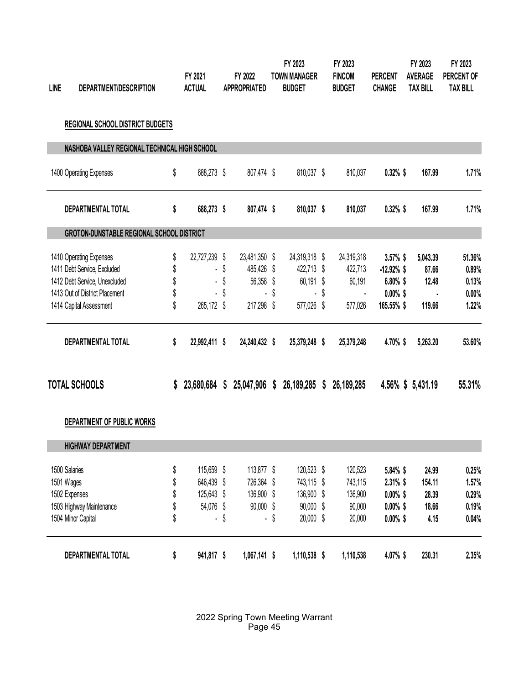| <b>LINE</b> | DEPARTMENT/DESCRIPTION                           | FY 2021<br><b>ACTUAL</b> | FY 2022<br><b>APPROPRIATED</b> | FY 2023<br><b>TOWN MANAGER</b><br><b>BUDGET</b> | FY 2023<br><b>FINCOM</b><br><b>BUDGET</b> | <b>PERCENT</b><br><b>CHANGE</b> | FY 2023<br><b>AVERAGE</b><br><b>TAX BILL</b> | FY 2023<br>PERCENT OF<br><b>TAX BILL</b> |
|-------------|--------------------------------------------------|--------------------------|--------------------------------|-------------------------------------------------|-------------------------------------------|---------------------------------|----------------------------------------------|------------------------------------------|
|             | REGIONAL SCHOOL DISTRICT BUDGETS                 |                          |                                |                                                 |                                           |                                 |                                              |                                          |
|             | NASHOBA VALLEY REGIONAL TECHNICAL HIGH SCHOOL    |                          |                                |                                                 |                                           |                                 |                                              |                                          |
|             | 1400 Operating Expenses                          | \$<br>688,273 \$         | 807,474 \$                     | 810,037 \$                                      | 810,037                                   | $0.32\%$ \$                     | 167.99                                       | 1.71%                                    |
|             | DEPARTMENTAL TOTAL                               | \$<br>688,273 \$         | 807,474 \$                     | 810,037 \$                                      | 810,037                                   | $0.32\%$ \$                     | 167.99                                       | 1.71%                                    |
|             | <b>GROTON-DUNSTABLE REGIONAL SCHOOL DISTRICT</b> |                          |                                |                                                 |                                           |                                 |                                              |                                          |
|             | 1410 Operating Expenses                          | \$<br>22,727,239 \$      | 23,481,350 \$                  | 24,319,318 \$                                   | 24,319,318                                | $3.57\%$ \$                     | 5,043.39                                     | 51.36%                                   |
|             | 1411 Debt Service, Excluded                      | \$                       | \$<br>485,426 \$               | 422,713 \$                                      | 422,713                                   | $-12.92\%$ \$                   | 87.66                                        | 0.89%                                    |
|             | 1412 Debt Service, Unexcluded                    | \$                       | \$<br>56,358 \$                | 60,191 \$                                       | 60,191                                    | 6.80% \$                        | 12.48                                        | 0.13%                                    |
|             | 1413 Out of District Placement                   | \$                       | \$<br>ä,                       | \$<br>ä,                                        | \$<br>$\blacksquare$                      | $0.00\%$ \$                     |                                              | $0.00\%$                                 |
|             | 1414 Capital Assessment                          | \$<br>265,172 \$         | 217,298 \$                     | 577,026 \$                                      | 577,026                                   | 165.55% \$                      | 119.66                                       | 1.22%                                    |
|             | DEPARTMENTAL TOTAL                               | \$<br>22,992,411 \$      | 24,240,432 \$                  | 25,379,248 \$                                   | 25,379,248                                | 4.70%\$                         | 5,263.20                                     | 53.60%                                   |
|             | <b>TOTAL SCHOOLS</b>                             | \$<br>23,680,684         | \$<br>25,047,906               | \$<br>26,189,285                                | \$<br>26, 189, 285                        |                                 | 4.56% \$ 5,431.19                            | 55.31%                                   |
|             | DEPARTMENT OF PUBLIC WORKS                       |                          |                                |                                                 |                                           |                                 |                                              |                                          |
|             | <b>HIGHWAY DEPARTMENT</b>                        |                          |                                |                                                 |                                           |                                 |                                              |                                          |
|             | 1500 Salaries                                    | \$<br>115,659 \$         | 113,877 \$                     | 120,523 \$                                      | 120,523                                   | 5.84% \$                        | 24.99                                        | 0.25%                                    |
|             | 1501 Wages                                       | \$<br>646,439 \$         | 726,364 \$                     | 743,115 \$                                      | 743,115                                   | $2.31\%$ \$                     | 154.11                                       | 1.57%                                    |
|             | 1502 Expenses                                    | \$<br>125,643 \$         | 136,900 \$                     | 136,900 \$                                      | 136,900                                   | $0.00\%$ \$                     | 28.39                                        | 0.29%                                    |
|             | 1503 Highway Maintenance                         | \$<br>54,076 \$          | 90,000 \$                      | 90,000 \$                                       | 90,000                                    | $0.00\%$ \$                     | 18.66                                        | 0.19%                                    |
|             | 1504 Minor Capital                               | \$<br>ä.                 | \$<br>¥.                       | \$<br>20,000 \$                                 | 20,000                                    | $0.00\%$ \$                     | 4.15                                         | 0.04%                                    |
|             | DEPARTMENTAL TOTAL                               | \$<br>941,817 \$         | 1,067,141 \$                   | 1,110,538 \$                                    | 1,110,538                                 | 4.07%\$                         | 230.31                                       | 2.35%                                    |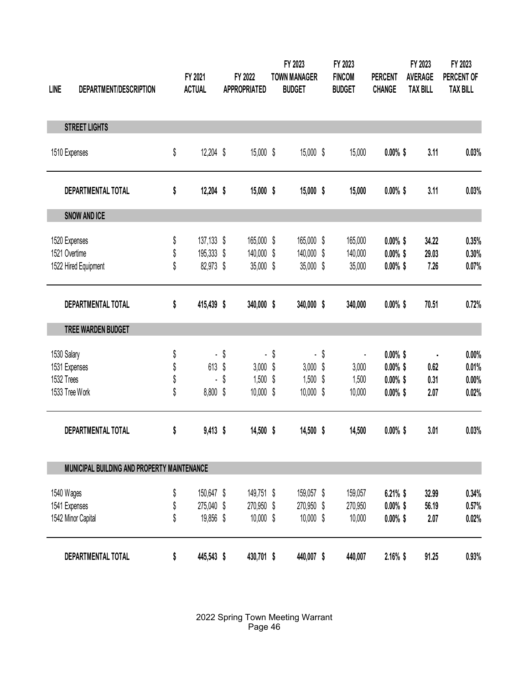| <b>LINE</b> | DEPARTMENT/DESCRIPTION                      | FY 2021<br><b>ACTUAL</b> | FY 2022<br><b>APPROPRIATED</b> | FY 2023<br><b>TOWN MANAGER</b><br><b>BUDGET</b> | FY 2023<br><b>FINCOM</b><br><b>BUDGET</b> | <b>PERCENT</b><br><b>CHANGE</b> | FY 2023<br><b>AVERAGE</b><br><b>TAX BILL</b> | FY 2023<br>PERCENT OF<br><b>TAX BILL</b> |
|-------------|---------------------------------------------|--------------------------|--------------------------------|-------------------------------------------------|-------------------------------------------|---------------------------------|----------------------------------------------|------------------------------------------|
|             | <b>STREET LIGHTS</b>                        |                          |                                |                                                 |                                           |                                 |                                              |                                          |
|             | 1510 Expenses                               | \$<br>12,204 \$          | 15,000 \$                      | 15,000 \$                                       | 15,000                                    | $0.00\%$ \$                     | 3.11                                         | 0.03%                                    |
|             | DEPARTMENTAL TOTAL                          | \$<br>12,204 \$          | 15,000 \$                      | 15,000 \$                                       | 15,000                                    | $0.00\%$ \$                     | 3.11                                         | 0.03%                                    |
|             | <b>SNOW AND ICE</b>                         |                          |                                |                                                 |                                           |                                 |                                              |                                          |
|             | 1520 Expenses                               | \$<br>137,133 \$         | 165,000 \$                     | 165,000 \$                                      | 165,000                                   | $0.00\%$ \$                     | 34.22                                        | 0.35%                                    |
|             | 1521 Overtime                               | \$<br>195,333 \$         | 140,000                        | \$<br>140,000 \$                                | 140,000                                   | $0.00\%$ \$                     | 29.03                                        | 0.30%                                    |
|             | 1522 Hired Equipment                        | \$<br>82,973 \$          | 35,000 \$                      | 35,000 \$                                       | 35,000                                    | $0.00\%$ \$                     | 7.26                                         | 0.07%                                    |
|             | DEPARTMENTAL TOTAL                          | \$<br>415,439 \$         | 340,000 \$                     | 340,000 \$                                      | 340,000                                   | $0.00\%$ \$                     | 70.51                                        | 0.72%                                    |
|             | TREE WARDEN BUDGET                          |                          |                                |                                                 |                                           |                                 |                                              |                                          |
|             | 1530 Salary                                 | \$                       | \$<br>$\blacksquare$           | \$                                              | \$<br>$\overline{\phantom{a}}$            | $0.00\%$ \$                     |                                              | $0.00\%$                                 |
|             | 1531 Expenses                               | \$<br>613                | \$<br>$3,000$ \$               | $3,000$ \$                                      | 3,000                                     | $0.00\%$ \$                     | 0.62                                         | 0.01%                                    |
|             | 1532 Trees                                  | \$<br>$\overline{a}$     | \$<br>1,500                    | \$<br>$1,500$ \$                                | 1,500                                     | $0.00\%$ \$                     | 0.31                                         | $0.00\%$                                 |
|             | 1533 Tree Work                              | \$<br>8,800 \$           | 10,000                         | \$<br>10,000 \$                                 | 10,000                                    | $0.00\%$ \$                     | 2.07                                         | 0.02%                                    |
|             | DEPARTMENTAL TOTAL                          | \$<br>$9,413$ \$         | 14,500 \$                      | 14,500 \$                                       | 14,500                                    | $0.00\%$ \$                     | 3.01                                         | 0.03%                                    |
|             | MUNICIPAL BUILDING AND PROPERTY MAINTENANCE |                          |                                |                                                 |                                           |                                 |                                              |                                          |
|             | 1540 Wages                                  | \$<br>150,647 \$         | 149,751 \$                     | 159,057 \$                                      | 159,057                                   | $6.21\%$ \$                     | 32.99                                        | 0.34%                                    |
|             | 1541 Expenses                               | \$<br>275,040 \$         | 270,950 \$                     | 270,950 \$                                      | 270,950                                   | $0.00\%$ \$                     | 56.19                                        | 0.57%                                    |
|             | 1542 Minor Capital                          | \$<br>19,856 \$          | 10,000 \$                      | 10,000 \$                                       | 10,000                                    | $0.00\%$ \$                     | 2.07                                         | 0.02%                                    |
|             | DEPARTMENTAL TOTAL                          | \$<br>445,543 \$         | 430,701 \$                     | 440,007 \$                                      | 440,007                                   | $2.16\%$ \$                     | 91.25                                        | 0.93%                                    |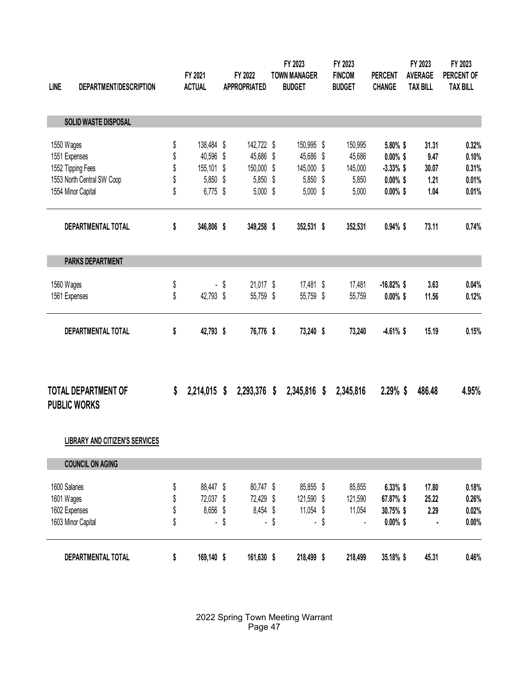| <b>LINE</b> | DEPARTMENT/DESCRIPTION                            | FY 2021<br><b>ACTUAL</b> |      | FY 2022<br><b>APPROPRIATED</b> | FY 2023<br><b>TOWN MANAGER</b><br><b>BUDGET</b> | FY 2023<br><b>FINCOM</b><br><b>BUDGET</b> | <b>PERCENT</b><br><b>CHANGE</b> | FY 2023<br><b>AVERAGE</b><br><b>TAX BILL</b> | FY 2023<br>PERCENT OF<br><b>TAX BILL</b> |
|-------------|---------------------------------------------------|--------------------------|------|--------------------------------|-------------------------------------------------|-------------------------------------------|---------------------------------|----------------------------------------------|------------------------------------------|
|             | <b>SOLID WASTE DISPOSAL</b>                       |                          |      |                                |                                                 |                                           |                                 |                                              |                                          |
|             | 1550 Wages                                        | \$<br>138,484 \$         |      | 142,722 \$                     | 150,995 \$                                      | 150,995                                   | 5.80% \$                        | 31.31                                        | 0.32%                                    |
|             | 1551 Expenses                                     | \$<br>40,596 \$          |      | 45,686 \$                      | 45,686 \$                                       | 45,686                                    | $0.00\%$ \$                     | 9.47                                         | 0.10%                                    |
|             | 1552 Tipping Fees                                 | \$<br>155,101 \$         |      | 150,000 \$                     | 145,000 \$                                      | 145,000                                   | $-3.33\%$ \$                    | 30.07                                        | 0.31%                                    |
|             | 1553 North Central SW Coop                        | \$<br>5,850 \$           |      | 5,850 \$                       | 5,850 \$                                        | 5,850                                     | $0.00\%$ \$                     | 1.21                                         | 0.01%                                    |
|             | 1554 Minor Capital                                | \$<br>$6,775$ \$         |      | $5,000$ \$                     | $5,000$ \$                                      | 5,000                                     | $0.00\%$ \$                     | 1.04                                         | 0.01%                                    |
|             | DEPARTMENTAL TOTAL                                | \$<br>346,806 \$         |      | 349,258 \$                     | 352,531 \$                                      | 352,531                                   | $0.94\%$ \$                     | 73.11                                        | 0.74%                                    |
|             | <b>PARKS DEPARTMENT</b>                           |                          |      |                                |                                                 |                                           |                                 |                                              |                                          |
|             | 1560 Wages                                        | \$                       | \$   | 21,017 \$                      | 17,481 \$                                       | 17,481                                    | $-16.82\%$ \$                   | 3.63                                         | 0.04%                                    |
|             | 1561 Expenses                                     | \$<br>42,793 \$          |      | 55,759 \$                      | 55,759 \$                                       | 55,759                                    | $0.00\%$ \$                     | 11.56                                        | 0.12%                                    |
|             | DEPARTMENTAL TOTAL                                | \$<br>42,793 \$          |      | 76,776 \$                      | 73,240 \$                                       | 73,240                                    | $-4.61%$ \$                     | 15.19                                        | 0.15%                                    |
|             | <b>TOTAL DEPARTMENT OF</b><br><b>PUBLIC WORKS</b> | \$<br>2,214,015 \$       |      | 2,293,376 \$                   | 2,345,816 \$                                    | 2,345,816                                 | $2.29\%$ \$                     | 486.48                                       | 4.95%                                    |
|             | <b>LIBRARY AND CITIZEN'S SERVICES</b>             |                          |      |                                |                                                 |                                           |                                 |                                              |                                          |
|             | <b>COUNCIL ON AGING</b>                           |                          |      |                                |                                                 |                                           |                                 |                                              |                                          |
|             | 1600 Salaries                                     | \$<br>88,447 \$          |      | 80,747 \$                      | 85,855 \$                                       | 85,855                                    | 6.33% \$                        | 17.80                                        | 0.18%                                    |
|             | 1601 Wages                                        | \$<br>72,037 \$          |      | 72,429 \$                      | 121,590 \$                                      | 121,590                                   | 67.87% \$                       | 25.22                                        | 0.26%                                    |
|             | 1602 Expenses                                     | \$<br>8,656 \$           |      | 8,454 \$                       | 11,054 \$                                       | 11,054                                    | 30.75% \$                       | 2.29                                         | 0.02%                                    |
|             | 1603 Minor Capital                                | \$                       | - \$ | ä,                             | \$<br>ä,                                        | \$<br>$\blacksquare$                      | $0.00\%$ \$                     |                                              | $0.00\%$                                 |
|             | DEPARTMENTAL TOTAL                                | \$<br>169,140 \$         |      | 161,630 \$                     | 218,499 \$                                      | 218,499                                   | 35.18% \$                       | 45.31                                        | 0.46%                                    |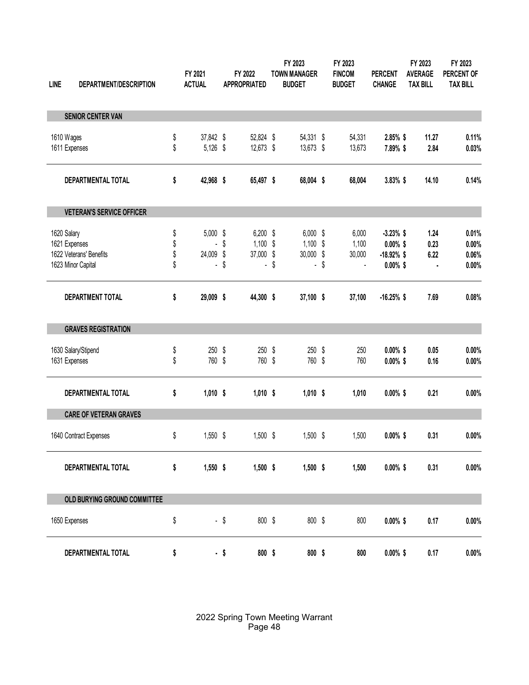| <b>LINE</b> | DEPARTMENT/DESCRIPTION           | FY 2021<br><b>ACTUAL</b> |        | FY 2022<br><b>APPROPRIATED</b> | FY 2023<br><b>TOWN MANAGER</b><br><b>BUDGET</b> | FY 2023<br><b>FINCOM</b><br><b>BUDGET</b> | <b>PERCENT</b><br><b>CHANGE</b> | FY 2023<br><b>AVERAGE</b><br><b>TAX BILL</b> | FY 2023<br>PERCENT OF<br><b>TAX BILL</b> |
|-------------|----------------------------------|--------------------------|--------|--------------------------------|-------------------------------------------------|-------------------------------------------|---------------------------------|----------------------------------------------|------------------------------------------|
|             | <b>SENIOR CENTER VAN</b>         |                          |        |                                |                                                 |                                           |                                 |                                              |                                          |
|             | 1610 Wages                       | \$<br>37,842 \$          |        | 52,824 \$                      | 54,331 \$                                       | 54,331                                    | $2.85\%$ \$                     | 11.27                                        | 0.11%                                    |
|             | 1611 Expenses                    | \$<br>5,126 \$           |        | 12,673 \$                      | 13,673 \$                                       | 13,673                                    | 7.89% \$                        | 2.84                                         | 0.03%                                    |
|             | DEPARTMENTAL TOTAL               | \$<br>42,968 \$          |        | 65,497 \$                      | 68,004 \$                                       | 68,004                                    | $3.83\%$ \$                     | 14.10                                        | 0.14%                                    |
|             | <b>VETERAN'S SERVICE OFFICER</b> |                          |        |                                |                                                 |                                           |                                 |                                              |                                          |
|             | 1620 Salary                      | \$<br>$5,000$ \$         |        | $6,200$ \$                     | $6,000$ \$                                      | 6,000                                     | $-3.23\%$ \$                    | 1.24                                         | 0.01%                                    |
|             | 1621 Expenses                    | \$<br>ä,                 | \$     | $1,100$ \$                     | $1,100$ \$                                      | 1,100                                     | $0.00\%$ \$                     | 0.23                                         | $0.00\%$                                 |
|             | 1622 Veterans' Benefits          | \$<br>24,009 \$          |        | 37,000 \$                      | 30,000 \$                                       | 30,000                                    | $-18.92\%$ \$                   | 6.22                                         | 0.06%                                    |
|             | 1623 Minor Capital               | \$<br>ä,                 | \$     | $\blacksquare$                 | \$<br>ä,                                        | \$<br>×,                                  | $0.00\%$ \$                     |                                              | $0.00\%$                                 |
|             | DEPARTMENT TOTAL                 | \$<br>29,009 \$          |        | 44,300 \$                      | 37,100 \$                                       | 37,100                                    | $-16.25\%$ \$                   | 7.69                                         | 0.08%                                    |
|             | <b>GRAVES REGISTRATION</b>       |                          |        |                                |                                                 |                                           |                                 |                                              |                                          |
|             | 1630 Salary/Stipend              | \$<br>$250$ \$           |        | 250                            | \$<br>250                                       | \$<br>250                                 | $0.00\%$ \$                     | 0.05                                         | $0.00\%$                                 |
|             | 1631 Expenses                    | \$<br>760 \$             |        | 760 \$                         | 760 \$                                          | 760                                       | $0.00\%$ \$                     | 0.16                                         | $0.00\%$                                 |
|             | DEPARTMENTAL TOTAL               | \$<br>$1,010$ \$         |        | $1,010$ \$                     | $1,010$ \$                                      | 1,010                                     | $0.00\%$ \$                     | 0.21                                         | 0.00%                                    |
|             | <b>CARE OF VETERAN GRAVES</b>    |                          |        |                                |                                                 |                                           |                                 |                                              |                                          |
|             | 1640 Contract Expenses           | \$<br>1,550 \$           |        | $1,500$ \$                     | $1,500$ \$                                      | 1,500                                     | $0.00\%$ \$                     | 0.31                                         | 0.00%                                    |
|             | DEPARTMENTAL TOTAL               | \$<br>$1,550$ \$         |        | $1,500$ \$                     | $1,500$ \$                                      | 1,500                                     | $0.00\%$ \$                     | 0.31                                         | $0.00\%$                                 |
|             | OLD BURYING GROUND COMMITTEE     |                          |        |                                |                                                 |                                           |                                 |                                              |                                          |
|             | 1650 Expenses                    | \$                       | $-$ \$ | 800 \$                         | 800 \$                                          | 800                                       | $0.00\%$ \$                     | 0.17                                         | $0.00\%$                                 |
|             | DEPARTMENTAL TOTAL               | \$                       | $-$ \$ | 800 \$                         | 800 \$                                          | 800                                       | $0.00\%$ \$                     | 0.17                                         | $0.00\%$                                 |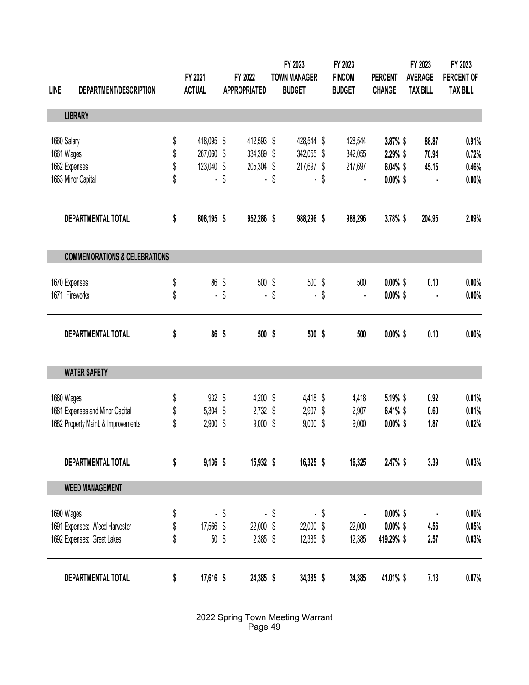|             |                                          |                                |                      |      | FY 2023             |      | FY 2023                  |                | FY 2023         | FY 2023         |
|-------------|------------------------------------------|--------------------------------|----------------------|------|---------------------|------|--------------------------|----------------|-----------------|-----------------|
|             |                                          | FY 2021                        | FY 2022              |      | <b>TOWN MANAGER</b> |      | <b>FINCOM</b>            | <b>PERCENT</b> | <b>AVERAGE</b>  | PERCENT OF      |
| <b>LINE</b> | DEPARTMENT/DESCRIPTION                   | <b>ACTUAL</b>                  | <b>APPROPRIATED</b>  |      | <b>BUDGET</b>       |      | <b>BUDGET</b>            | <b>CHANGE</b>  | <b>TAX BILL</b> | <b>TAX BILL</b> |
|             | <b>LIBRARY</b>                           |                                |                      |      |                     |      |                          |                |                 |                 |
| 1660 Salary |                                          | \$<br>418,095 \$               | 412,593 \$           |      | 428,544 \$          |      | 428,544                  | $3.87\%$ \$    | 88.87           | 0.91%           |
|             | 1661 Wages                               | \$<br>267,060 \$               | 334,389 \$           |      | 342,055 \$          |      | 342,055                  | 2.29% \$       | 70.94           | 0.72%           |
|             | 1662 Expenses                            | \$<br>123,040 \$               | 205,304 \$           |      | 217,697 \$          |      | 217,697                  | 6.04% \$       | 45.15           | 0.46%           |
|             | 1663 Minor Capital                       | \$<br>$\overline{\phantom{0}}$ | \$                   | - \$ |                     | - \$ | $\overline{\phantom{a}}$ | $0.00\%$ \$    |                 | 0.00%           |
|             | DEPARTMENTAL TOTAL                       | \$<br>808,195 \$               | 952,286 \$           |      | 988,296 \$          |      | 988,296                  | 3.78% \$       | 204.95          | 2.09%           |
|             | <b>COMMEMORATIONS &amp; CELEBRATIONS</b> |                                |                      |      |                     |      |                          |                |                 |                 |
|             | 1670 Expenses                            | \$<br>86                       | \$<br>500 \$         |      | 500 \$              |      | 500                      | $0.00\%$ \$    | 0.10            | 0.00%           |
|             | 1671 Fireworks                           | \$<br>¥,                       | \$<br>$\blacksquare$ | \$   | ۰.                  | \$   | $\blacksquare$           | $0.00\%$ \$    |                 | $0.00\%$        |
|             | DEPARTMENTAL TOTAL                       | \$<br>86 \$                    | 500 \$               |      | 500 \$              |      | 500                      | $0.00\%$ \$    | 0.10            | 0.00%           |
|             | <b>WATER SAFETY</b>                      |                                |                      |      |                     |      |                          |                |                 |                 |
|             | 1680 Wages                               | \$<br>932 \$                   | $4,200$ \$           |      | 4,418 \$            |      | 4,418                    | 5.19% \$       | 0.92            | 0.01%           |
|             | 1681 Expenses and Minor Capital          | \$<br>5,304 \$                 | $2,732$ \$           |      | $2,907$ \$          |      | 2,907                    | 6.41% \$       | 0.60            | 0.01%           |
|             | 1682 Property Maint. & Improvements      | \$<br>$2,900$ \$               | $9,000$ \$           |      | $9,000$ \$          |      | 9,000                    | $0.00\%$ \$    | 1.87            | 0.02%           |
|             | DEPARTMENTAL TOTAL                       | \$<br>$9,136$ \$               | 15,932 \$            |      | $16,325$ \$         |      | 16,325                   | $2.47\%$ \$    | 3.39            | 0.03%           |
|             | <b>WEED MANAGEMENT</b>                   |                                |                      |      |                     |      |                          |                |                 |                 |
|             | 1690 Wages                               | \$<br>ä,                       | \$                   | - \$ |                     | - \$ | Ĭ.                       | $0.00\%$ \$    |                 | $0.00\%$        |
|             | 1691 Expenses: Weed Harvester            | \$<br>17,566 \$                | 22,000 \$            |      | 22,000 \$           |      | 22,000                   | $0.00\%$ \$    | 4.56            | 0.05%           |
|             | 1692 Expenses: Great Lakes               | \$<br>50 <sup>°</sup>          | 2,385 \$             |      | 12,385 \$           |      | 12,385                   | 419.29% \$     | 2.57            | 0.03%           |
|             | DEPARTMENTAL TOTAL                       | \$<br>17,616 \$                | 24,385 \$            |      | 34,385 \$           |      | 34,385                   | 41.01% \$      | 7.13            | 0.07%           |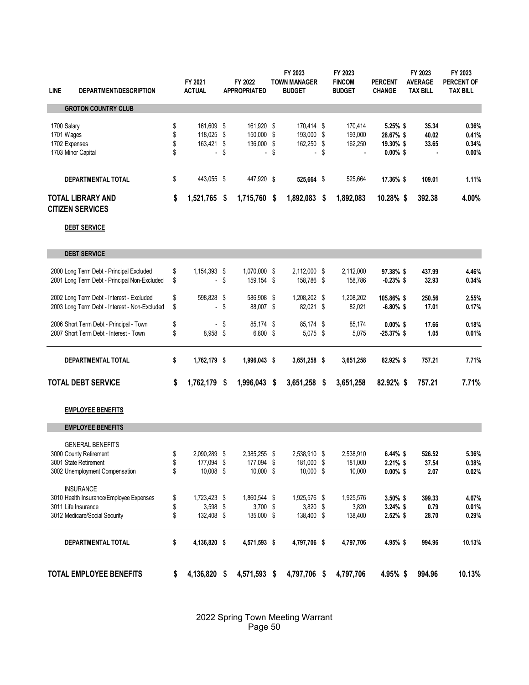| <b>LINE</b><br>DEPARTMENT/DESCRIPTION                |          | FY 2021<br>ACTUAL        |        | FY 2022<br><b>APPROPRIATED</b> |        | FY 2023<br><b>TOWN MANAGER</b><br><b>BUDGET</b> |      | FY 2023<br><b>FINCOM</b><br><b>BUDGET</b> | <b>PERCENT</b><br><b>CHANGE</b> | FY 2023<br><b>AVERAGE</b><br><b>TAX BILL</b> | FY 2023<br>PERCENT OF<br><b>TAX BILL</b> |
|------------------------------------------------------|----------|--------------------------|--------|--------------------------------|--------|-------------------------------------------------|------|-------------------------------------------|---------------------------------|----------------------------------------------|------------------------------------------|
| <b>GROTON COUNTRY CLUB</b>                           |          |                          |        |                                |        |                                                 |      |                                           |                                 |                                              |                                          |
| 1700 Salary                                          | \$       | 161,609 \$               |        | 161,920 \$                     |        | 170,414 \$                                      |      | 170,414                                   | 5.25% \$                        | 35.34                                        | 0.36%                                    |
| 1701 Wages                                           | \$       | 118,025 \$               |        | 150,000 \$                     |        | 193,000 \$                                      |      | 193,000                                   | 28.67% \$                       | 40.02                                        | 0.41%                                    |
| 1702 Expenses<br>1703 Minor Capital                  | \$<br>\$ | 163,421 \$               | $-$ \$ | 136,000 \$                     | $-$ \$ | 162,250 \$                                      | - \$ | 162,250                                   | 19.30% \$<br>$0.00\%$ \$        | 33.65                                        | 0.34%<br>$0.00\%$                        |
| DEPARTMENTAL TOTAL                                   | \$       | 443,055 \$               |        | 447,920 \$                     |        | 525,664 \$                                      |      | 525,664                                   | 17.36% \$                       | 109.01                                       | 1.11%                                    |
| <b>TOTAL LIBRARY AND</b><br><b>CITIZEN SERVICES</b>  | \$       | 1,521,765 \$             |        | 1,715,760                      | -\$    | 1,892,083                                       | -\$  | 1,892,083                                 | 10.28% \$                       | 392.38                                       | 4.00%                                    |
| <b>DEBT SERVICE</b>                                  |          |                          |        |                                |        |                                                 |      |                                           |                                 |                                              |                                          |
| <b>DEBT SERVICE</b>                                  |          |                          |        |                                |        |                                                 |      |                                           |                                 |                                              |                                          |
| 2000 Long Term Debt - Principal Excluded             | \$       | 1,154,393 \$             |        | 1,070,000 \$                   |        | 2,112,000 \$                                    |      | 2,112,000                                 | 97.38% \$                       | 437.99                                       | 4.46%                                    |
| 2001 Long Term Debt - Principal Non-Excluded         | \$       | $\blacksquare$           | \$     | 159,154 \$                     |        | 158,786 \$                                      |      | 158,786                                   | $-0.23\%$ \$                    | 32.93                                        | 0.34%                                    |
| 2002 Long Term Debt - Interest - Excluded            | \$       | 598,828 \$               |        | 586,908 \$                     |        | 1,208,202 \$                                    |      | 1,208,202                                 | 105.86% \$                      | 250.56                                       | 2.55%                                    |
| 2003 Long Term Debt - Interest - Non-Excluded        | \$       | $\blacksquare$           | \$     | 88,007 \$                      |        | 82,021 \$                                       |      | 82,021                                    | $-6.80\%$ \$                    | 17.01                                        | 0.17%                                    |
| 2006 Short Term Debt - Principal - Town              | \$       |                          | $-$ \$ | 85,174 \$                      |        | 85,174 \$                                       |      | 85,174                                    | $0.00\%$ \$                     | 17.66                                        | 0.18%                                    |
| 2007 Short Term Debt - Interest - Town               | \$       | 8,958 \$                 |        | 6,800 \$                       |        | 5,075 \$                                        |      | 5,075                                     | $-25.37\%$ \$                   | 1.05                                         | 0.01%                                    |
| DEPARTMENTAL TOTAL                                   | \$       | 1,762,179 \$             |        | 1,996,043 \$                   |        | 3,651,258 \$                                    |      | 3,651,258                                 | 82.92%\$                        | 757.21                                       | 7.71%                                    |
| <b>TOTAL DEBT SERVICE</b>                            | \$       | 1,762,179 \$             |        | 1,996,043 \$                   |        | 3,651,258 \$                                    |      | 3,651,258                                 | 82.92%\$                        | 757.21                                       | 7.71%                                    |
| <b>EMPLOYEE BENEFITS</b>                             |          |                          |        |                                |        |                                                 |      |                                           |                                 |                                              |                                          |
| <b>EMPLOYEE BENEFITS</b>                             |          |                          |        |                                |        |                                                 |      |                                           |                                 |                                              |                                          |
| <b>GENERAL BENEFITS</b>                              |          |                          |        |                                |        |                                                 |      |                                           |                                 |                                              |                                          |
| 3000 County Retirement                               | \$       | 2,090,289 \$             |        | 2,385,255 \$                   |        | 2,538,910 \$                                    |      | 2,538,910                                 | $6.44\%$ \$                     | 526.52                                       | 5.36%                                    |
| 3001 State Retirement                                | \$       | 177,094 \$               |        | 177,094 \$                     |        | 181,000 \$                                      |      | 181,000                                   | $2.21\%$ \$                     | 37.54                                        | 0.38%                                    |
| 3002 Unemployment Compensation                       | \$       | 10,008 \$                |        | 10,000 \$                      |        | 10,000 \$                                       |      | 10,000                                    | $0.00\%$ \$                     | 2.07                                         | 0.02%                                    |
| <b>INSURANCE</b>                                     |          |                          |        |                                |        |                                                 |      |                                           |                                 |                                              |                                          |
| 3010 Health Insurance/Employee Expenses              | \$       | 1,723,423 \$             |        | 1,860,544 \$                   |        | 1,925,576 \$                                    |      | 1,925,576                                 | $3.50\%$ \$                     | 399.33                                       | 4.07%                                    |
| 3011 Life Insurance<br>3012 Medicare/Social Security | \$<br>\$ | $3,598$ \$<br>132,408 \$ |        | $3,700$ \$<br>135,000 \$       |        | 3,820 \$<br>138,400 \$                          |      | 3,820<br>138,400                          | $3.24\%$ \$<br>2.52% \$         | 0.79<br>28.70                                | 0.01%<br>0.29%                           |
|                                                      |          |                          |        |                                |        |                                                 |      |                                           |                                 |                                              |                                          |
| DEPARTMENTAL TOTAL                                   | \$       | 4,136,820 \$             |        | 4,571,593 \$                   |        | 4,797,706 \$                                    |      | 4,797,706                                 | 4.95% \$                        | 994.96                                       | 10.13%                                   |
| <b>TOTAL EMPLOYEE BENEFITS</b>                       | \$       | 4,136,820 \$             |        | 4,571,593 \$                   |        | 4,797,706 \$                                    |      | 4,797,706                                 | 4.95% \$                        | 994.96                                       | 10.13%                                   |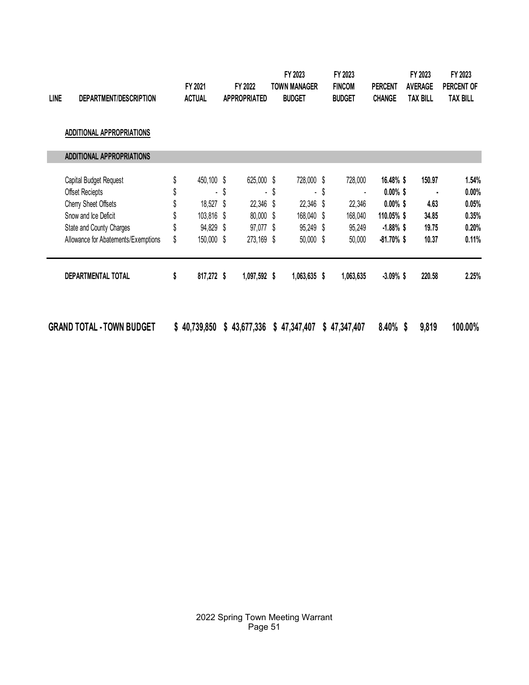| <b>LINE</b> | DEPARTMENT/DESCRIPTION              | FY 2021<br><b>ACTUAL</b> | FY 2022<br><b>APPROPRIATED</b> | FY 2023<br><b>TOWN MANAGER</b><br><b>BUDGET</b> | FY 2023<br><b>FINCOM</b><br><b>BUDGET</b> | <b>PERCENT</b><br><b>CHANGE</b> | FY 2023<br><b>AVERAGE</b><br><b>TAX BILL</b> |        | FY 2023<br>PERCENT OF<br><b>TAX BILL</b> |
|-------------|-------------------------------------|--------------------------|--------------------------------|-------------------------------------------------|-------------------------------------------|---------------------------------|----------------------------------------------|--------|------------------------------------------|
|             | <b>ADDITIONAL APPROPRIATIONS</b>    |                          |                                |                                                 |                                           |                                 |                                              |        |                                          |
|             | <b>ADDITIONAL APPROPRIATIONS</b>    |                          |                                |                                                 |                                           |                                 |                                              |        |                                          |
|             | Capital Budget Request              | \$<br>450,100 \$         | 625,000 \$                     | 728,000 \$                                      | 728,000                                   | 16.48% \$                       |                                              | 150.97 | 1.54%                                    |
|             | Offset Reciepts                     | ÷.                       | \$<br>$\blacksquare$           | \$<br>$\blacksquare$                            | \$<br>$\blacksquare$                      | $0.00\%$ \$                     |                                              |        | $0.00\%$                                 |
|             | Cherry Sheet Offsets                | 18,527 \$                | 22,346 \$                      | 22,346 \$                                       | 22,346                                    | $0.00\%$ \$                     |                                              | 4.63   | 0.05%                                    |
|             | Snow and Ice Deficit                | 103,816 \$               | 80,000 \$                      | 168,040 \$                                      | 168,040                                   | 110.05% \$                      |                                              | 34.85  | 0.35%                                    |
|             | State and County Charges            | \$<br>94,829 \$          | 97,077 \$                      | 95,249 \$                                       | 95,249                                    | $-1.88\%$ \$                    |                                              | 19.75  | 0.20%                                    |
|             | Allowance for Abatements/Exemptions | \$<br>150,000 \$         | 273,169 \$                     | $50,000$ \$                                     | 50,000                                    | $-81.70\%$ \$                   |                                              | 10.37  | 0.11%                                    |
|             | DEPARTMENTAL TOTAL                  | \$<br>817,272 \$         | 1,097,592 \$                   | $1,063,635$ \$                                  | 1,063,635                                 | $-3.09%$ \$                     |                                              | 220.58 | 2.25%                                    |

**GRAND TOTAL - TOWN BUDGET 40,739,850 \$ 43,677,336 \$ 47,347,407 \$ 47,347,407 \$ 8.40% 9,819 \$ 100.00%**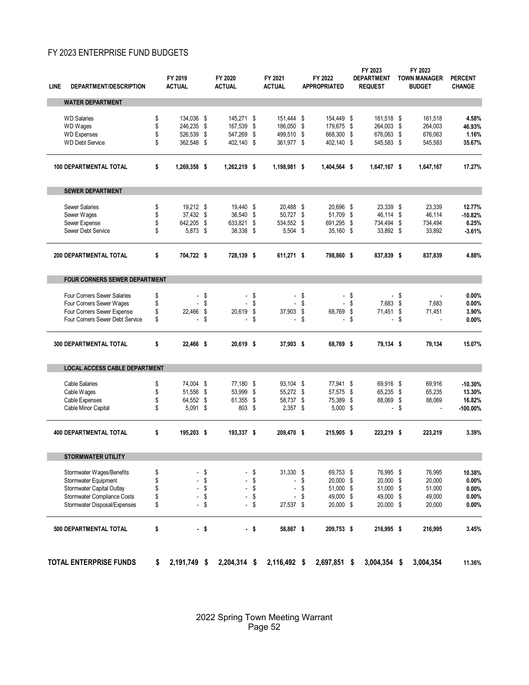#### FY 2023 ENTERPRISE FUND BUDGETS

| <b>LINE</b> | <b>DEPARTMENT/DESCRIPTION</b>        | FY 2019<br><b>ACTUAL</b> |      | FY 2020<br><b>ACTUAL</b> |        | FY 2021<br><b>ACTUAL</b> |        | FY 2022<br><b>APPROPRIATED</b> |      | FY 2023<br><b>DEPARTMENT</b><br><b>REQUEST</b> |        | FY 2023<br><b>TOWN MANAGER</b><br><b>BUDGET</b> | <b>PERCENT</b><br><b>CHANGE</b> |
|-------------|--------------------------------------|--------------------------|------|--------------------------|--------|--------------------------|--------|--------------------------------|------|------------------------------------------------|--------|-------------------------------------------------|---------------------------------|
|             | <b>WATER DEPARTMENT</b>              |                          |      |                          |        |                          |        |                                |      |                                                |        |                                                 |                                 |
|             | <b>WD</b> Salaries                   | \$<br>134,036 \$         |      | 145,271 \$               |        | 151,444 \$               |        | 154,449 \$                     |      | 161,518 \$                                     |        | 161,518                                         | 4.58%                           |
|             | WD Wages                             | \$<br>246,235            | - \$ | 167,539 \$               |        | 186,050 \$               |        | 179,675 \$                     |      | 264,003 \$                                     |        | 264,003                                         | 46.93%                          |
|             | <b>WD Expenses</b>                   | \$<br>526,539            | - \$ | 547,269 \$               |        | 499,510 \$               |        | 668,300                        | - \$ | 676,063 \$                                     |        | 676,063                                         | 1.16%                           |
|             | <b>WD Debt Service</b>               | \$<br>362,548 \$         |      | 402,140 \$               |        | 361,977 \$               |        | 402,140 \$                     |      | 545,583 \$                                     |        | 545,583                                         | 35.67%                          |
|             | <b>100 DEPARTMENTAL TOTAL</b>        | \$<br>1,269,358 \$       |      | 1,262,219 \$             |        | 1,198,981 \$             |        | 1,404,564 \$                   |      | 1,647,167 \$                                   |        | 1,647,167                                       | 17.27%                          |
|             | <b>SEWER DEPARTMENT</b>              |                          |      |                          |        |                          |        |                                |      |                                                |        |                                                 |                                 |
|             | <b>Sewer Salaries</b>                | \$<br>19,212 \$          |      | 19,440 \$                |        | 20,488 \$                |        | 20,696 \$                      |      | 23,339 \$                                      |        | 23,339                                          | 12.77%                          |
|             | Sewer Wages                          | \$<br>37,432             | - \$ | 36,540 \$                |        | 50,727 \$                |        | 51,709                         | - \$ | 46,114 \$                                      |        | 46,114                                          | $-10.82%$                       |
|             | Sewer Expense                        | \$<br>642,205            | - \$ | 633,821 \$               |        | 534,552 \$               |        | 691,295                        | - \$ | 734,494 \$                                     |        | 734,494                                         | 6.25%                           |
|             | Sewer Debt Service                   | \$<br>5,873 \$           |      | 38,338 \$                |        | 5,504 \$                 |        | 35,160 \$                      |      | 33,892 \$                                      |        | 33,892                                          | $-3.61%$                        |
|             | 200 DEPARTMENTAL TOTAL               | \$<br>704,722 \$         |      | 728,139 \$               |        | 611,271 \$               |        | 798,860 \$                     |      | 837,839 \$                                     |        | 837,839                                         | 4.88%                           |
|             | <b>FOUR CORNERS SEWER DEPARTMENT</b> |                          |      |                          |        |                          |        |                                |      |                                                |        |                                                 |                                 |
|             | Four Corners Sewer Salaries          | \$                       | \$   | $\overline{a}$           | \$     |                          | $-$ \$ | ÷.                             | \$   |                                                | - \$   |                                                 | 0.00%                           |
|             | Four Corners Sewer Wages             | \$<br>ä,                 | \$   |                          | $-$ \$ |                          | $-$ \$ | ÷.                             | Ŝ.   | 7,683 \$                                       |        | 7,683                                           | 0.00%                           |
|             | Four Corners Sewer Expense           | \$<br>22.466 \$          |      | 20,619 \$                |        | 37,903 \$                |        | 68,769 \$                      |      | 71,451 \$                                      |        | 71,451                                          | 3.90%                           |
|             | Four Corners Sewer Debt Service      | \$<br>÷.                 | \$   | $\blacksquare$           | \$     | ÷.                       | \$     |                                | - \$ | $\mathbf{r}$                                   | \$     | $\overline{\phantom{a}}$                        | 0.00%                           |
|             | <b>300 DEPARTMENTAL TOTAL</b>        | \$<br>22,466 \$          |      | $20,619$ \$              |        | 37,903 \$                |        | 68,769 \$                      |      | 79,134 \$                                      |        | 79,134                                          | 15.07%                          |
|             | <b>LOCAL ACCESS CABLE DEPARTMENT</b> |                          |      |                          |        |                          |        |                                |      |                                                |        |                                                 |                                 |
|             | <b>Cable Salaries</b>                | \$<br>74,004 \$          |      | 77,180 \$                |        | 93,104 \$                |        | 77,941 \$                      |      | 69,916 \$                                      |        | 69,916                                          | $-10.30%$                       |
|             | Cable Wages                          | \$<br>51,556             | - \$ | 53,999                   | \$     | 55,272 \$                |        | 57,575 \$                      |      | 65,235 \$                                      |        | 65,235                                          | 13.30%                          |
|             | Cable Expenses                       | \$<br>64,552 \$          |      | 61,355                   | - \$   | 58,737 \$                |        | 75,389 \$                      |      | 88,069 \$                                      |        | 88,069                                          | 16.82%                          |
|             | Cable Minor Capital                  | \$<br>5,091 \$           |      | 803 \$                   |        | $2.357$ \$               |        | $5,000$ \$                     |      |                                                | $-$ \$ |                                                 | $-100.00\%$                     |
|             | <b>400 DEPARTMENTAL TOTAL</b>        | \$<br>195,203 \$         |      | 193,337 \$               |        | 209,470 \$               |        | 215,905 \$                     |      | 223,219 \$                                     |        | 223,219                                         | 3.39%                           |
|             | <b>STORMWATER UTILITY</b>            |                          |      |                          |        |                          |        |                                |      |                                                |        |                                                 |                                 |
|             | Stormwater Wages/Benefits            | \$                       | \$   |                          | \$     | 31,330 \$                |        | 69,753 \$                      |      | 76,995 \$                                      |        | 76,995                                          | 10.38%                          |
|             | Stormwater Equipment                 | \$                       | \$   |                          | \$     | ÷.                       | \$     | $20,000$ \$                    |      | $20,000$ \$                                    |        | 20,000                                          | 0.00%                           |
|             | Stormwater Capital Outlay            | \$                       | \$   | $\overline{a}$           | \$     | $\blacksquare$           | \$     | 51,000 \$                      |      | 51,000 \$                                      |        | 51,000                                          | $0.00\%$                        |
|             | Stormwater Compliance Costs          | \$                       | \$   |                          | $-$ \$ |                          | $-$ \$ | 49,000 \$                      |      | 49,000 \$                                      |        | 49,000                                          | $0.00\%$                        |
|             | Stormwater Disposal/Expenses         | \$<br>$\sim$             | \$   |                          | - \$   | 27,537 \$                |        | 20,000 \$                      |      | 20,000 \$                                      |        | 20,000                                          | 0.00%                           |
|             | 500 DEPARTMENTAL TOTAL               | \$                       | - \$ |                          | - \$   | 58,867 \$                |        | 209,753 \$                     |      | 216,995 \$                                     |        | 216,995                                         | 3.45%                           |
|             | <b>TOTAL ENTERPRISE FUNDS</b>        | \$<br>2,191,749 \$       |      | 2,204,314 \$             |        | 2,116,492 \$             |        | 2,697,851 \$                   |      | $3,004,354$ \$                                 |        | 3,004,354                                       | 11.36%                          |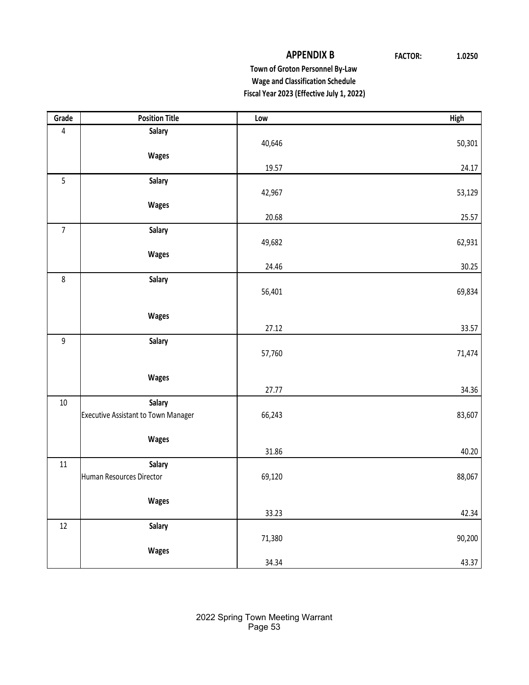#### **APPENDIX B FACTOR: 1.0250**

 **Town of Groton Personnel By‐Law Wage and Classification Schedule Fiscal Year 2023 (Effective July 1, 2022)**

| Grade            | <b>Position Title</b>                      | Low    | High   |
|------------------|--------------------------------------------|--------|--------|
| $\pmb{4}$        | Salary                                     |        |        |
|                  |                                            | 40,646 | 50,301 |
|                  | <b>Wages</b>                               |        |        |
|                  |                                            | 19.57  | 24.17  |
| 5                | Salary                                     |        |        |
|                  |                                            | 42,967 | 53,129 |
|                  | <b>Wages</b>                               |        |        |
|                  |                                            | 20.68  | 25.57  |
| $\overline{7}$   | Salary                                     |        |        |
|                  |                                            | 49,682 | 62,931 |
|                  | <b>Wages</b>                               | 24.46  | 30.25  |
| $\,8\,$          | Salary                                     |        |        |
|                  |                                            | 56,401 | 69,834 |
|                  |                                            |        |        |
|                  | <b>Wages</b>                               |        |        |
|                  |                                            | 27.12  | 33.57  |
| $\boldsymbol{9}$ | Salary                                     |        |        |
|                  |                                            | 57,760 | 71,474 |
|                  |                                            |        |        |
|                  | <b>Wages</b>                               |        |        |
|                  |                                            | 27.77  | 34.36  |
| $10\,$           | Salary                                     |        |        |
|                  | <b>Executive Assistant to Town Manager</b> | 66,243 | 83,607 |
|                  |                                            |        |        |
|                  | <b>Wages</b>                               |        |        |
|                  |                                            | 31.86  | 40.20  |
| $11\,$           | Salary                                     |        |        |
|                  | Human Resources Director                   | 69,120 | 88,067 |
|                  |                                            |        |        |
|                  | <b>Wages</b>                               |        |        |
|                  |                                            | 33.23  | 42.34  |
| $12\,$           | Salary                                     | 71,380 |        |
|                  |                                            |        | 90,200 |
|                  | <b>Wages</b>                               | 34.34  | 43.37  |
|                  |                                            |        |        |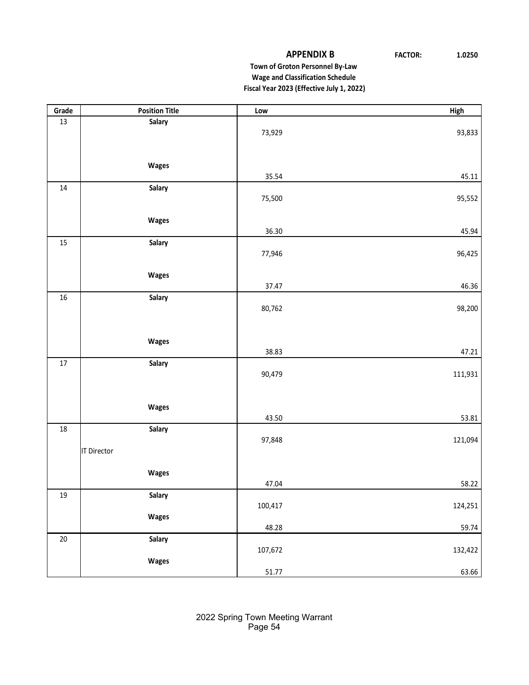#### **APPENDIX B FACTOR: 1.0250**

#### **Town of Groton Personnel By‐Law Wage and Classification Schedule Fiscal Year 2023 (Effective July 1, 2022)**

| Grade  | <b>Position Title</b> | Low     | High    |
|--------|-----------------------|---------|---------|
| 13     | Salary                |         |         |
|        |                       | 73,929  | 93,833  |
|        |                       |         |         |
|        |                       |         |         |
|        | <b>Wages</b>          |         |         |
|        |                       | 35.54   | 45.11   |
| $14\,$ | Salary                |         |         |
|        |                       | 75,500  | 95,552  |
|        |                       |         |         |
|        | <b>Wages</b>          |         |         |
|        |                       | 36.30   | 45.94   |
| 15     | Salary                |         |         |
|        |                       | 77,946  | 96,425  |
|        |                       |         |         |
|        | <b>Wages</b>          |         |         |
|        |                       | 37.47   | 46.36   |
| 16     | Salary                |         |         |
|        |                       | 80,762  | 98,200  |
|        |                       |         |         |
|        |                       |         |         |
|        | Wages                 |         |         |
|        |                       | 38.83   | 47.21   |
| 17     | Salary                |         |         |
|        |                       | 90,479  | 111,931 |
|        |                       |         |         |
|        |                       |         |         |
|        | <b>Wages</b>          |         |         |
|        |                       | 43.50   | 53.81   |
| 18     | Salary                |         |         |
|        |                       | 97,848  | 121,094 |
|        | IT Director           |         |         |
|        |                       |         |         |
|        | Wages                 |         |         |
|        |                       | 47.04   | 58.22   |
| 19     | Salary                |         |         |
|        |                       | 100,417 | 124,251 |
|        | Wages                 |         |         |
|        |                       | 48.28   | 59.74   |
| $20\,$ | Salary                |         |         |
|        |                       | 107,672 | 132,422 |
|        | Wages                 |         |         |
|        |                       | 51.77   | 63.66   |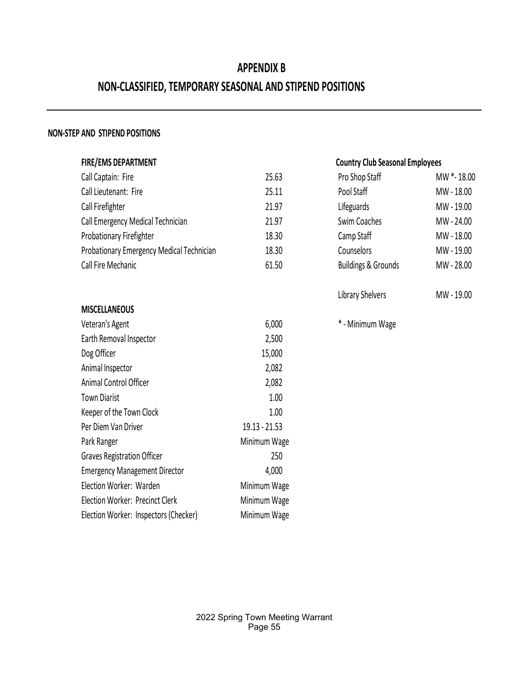### **APPENDIX B NON‐CLASSIFIED, TEMPORARY SEASONAL AND STIPEND POSITIONS**

#### **NON‐STEP AND STIPEND POSITIONS**

| <b>FIRE/EMS DEPARTMENT</b>                |               | <b>Country Club Seasonal Employees</b> |             |
|-------------------------------------------|---------------|----------------------------------------|-------------|
| Call Captain: Fire                        | 25.63         | Pro Shop Staff                         | MW *- 18.00 |
| Call Lieutenant: Fire                     | 25.11         | Pool Staff                             | MW-18.00    |
| Call Firefighter                          | 21.97         | Lifeguards                             | MW-19.00    |
| Call Emergency Medical Technician         | 21.97         | Swim Coaches                           | MW - 24.00  |
| Probationary Firefighter                  | 18.30         | Camp Staff                             | MW-18.00    |
| Probationary Emergency Medical Technician | 18.30         | Counselors                             | MW-19.00    |
| Call Fire Mechanic                        | 61.50         | <b>Buildings &amp; Grounds</b>         | MW-28.00    |
|                                           |               | Library Shelvers                       | MW-19.00    |
| <b>MISCELLANEOUS</b>                      |               |                                        |             |
| Veteran's Agent                           | 6,000         | * - Minimum Wage                       |             |
| Earth Removal Inspector                   | 2,500         |                                        |             |
| Dog Officer                               | 15,000        |                                        |             |
| Animal Inspector                          | 2,082         |                                        |             |
| Animal Control Officer                    | 2,082         |                                        |             |
| <b>Town Diarist</b>                       | 1.00          |                                        |             |
| Keeper of the Town Clock                  | 1.00          |                                        |             |
| Per Diem Van Driver                       | 19.13 - 21.53 |                                        |             |
| Park Ranger                               | Minimum Wage  |                                        |             |
| <b>Graves Registration Officer</b>        | 250           |                                        |             |
| <b>Emergency Management Director</b>      | 4,000         |                                        |             |
| Election Worker: Warden                   | Minimum Wage  |                                        |             |
| Election Worker: Precinct Clerk           | Minimum Wage  |                                        |             |
| Election Worker: Inspectors (Checker)     | Minimum Wage  |                                        |             |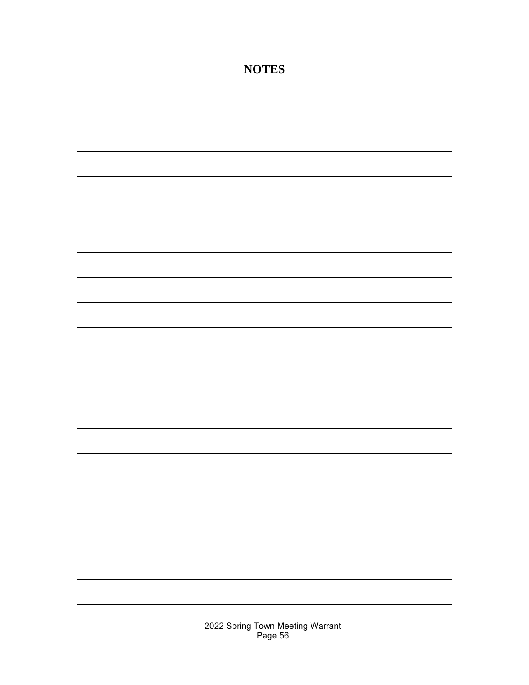| <b>NOTES</b>                     |  |  |  |  |
|----------------------------------|--|--|--|--|
|                                  |  |  |  |  |
|                                  |  |  |  |  |
|                                  |  |  |  |  |
|                                  |  |  |  |  |
|                                  |  |  |  |  |
|                                  |  |  |  |  |
|                                  |  |  |  |  |
|                                  |  |  |  |  |
|                                  |  |  |  |  |
|                                  |  |  |  |  |
|                                  |  |  |  |  |
|                                  |  |  |  |  |
|                                  |  |  |  |  |
|                                  |  |  |  |  |
|                                  |  |  |  |  |
|                                  |  |  |  |  |
|                                  |  |  |  |  |
|                                  |  |  |  |  |
|                                  |  |  |  |  |
|                                  |  |  |  |  |
|                                  |  |  |  |  |
|                                  |  |  |  |  |
|                                  |  |  |  |  |
| 2022 Spring Town Meeting Warrant |  |  |  |  |

Page 56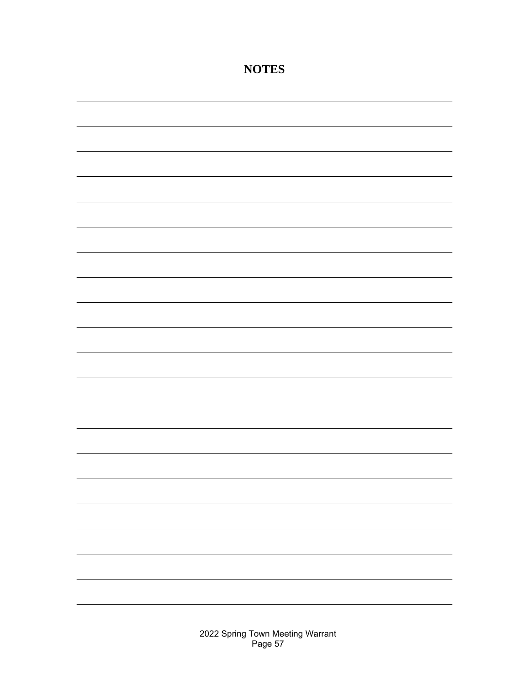| <b>NOTES</b> |  |  |  |  |  |
|--------------|--|--|--|--|--|
|              |  |  |  |  |  |
|              |  |  |  |  |  |
|              |  |  |  |  |  |
|              |  |  |  |  |  |
|              |  |  |  |  |  |
|              |  |  |  |  |  |
|              |  |  |  |  |  |
|              |  |  |  |  |  |
|              |  |  |  |  |  |
|              |  |  |  |  |  |
|              |  |  |  |  |  |
|              |  |  |  |  |  |
|              |  |  |  |  |  |
|              |  |  |  |  |  |
|              |  |  |  |  |  |
|              |  |  |  |  |  |
|              |  |  |  |  |  |
|              |  |  |  |  |  |
|              |  |  |  |  |  |
|              |  |  |  |  |  |
|              |  |  |  |  |  |
|              |  |  |  |  |  |
|              |  |  |  |  |  |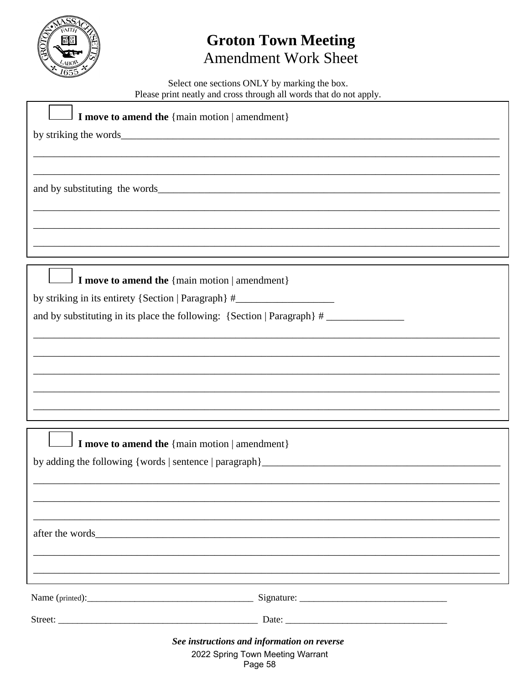

## **Groton Town Meeting** Amendment Work Sheet

Select one sections ONLY by marking the box.<br>Please print neatly and cross through all words that do not apply.

| I move to amend the {main motion   amendment}                                                                        |  |  |  |  |
|----------------------------------------------------------------------------------------------------------------------|--|--|--|--|
|                                                                                                                      |  |  |  |  |
|                                                                                                                      |  |  |  |  |
|                                                                                                                      |  |  |  |  |
|                                                                                                                      |  |  |  |  |
|                                                                                                                      |  |  |  |  |
|                                                                                                                      |  |  |  |  |
|                                                                                                                      |  |  |  |  |
|                                                                                                                      |  |  |  |  |
|                                                                                                                      |  |  |  |  |
| I move to amend the {main motion   amendment}                                                                        |  |  |  |  |
| by striking in its entirety {Section   Paragraph} #_____________________________                                     |  |  |  |  |
| and by substituting in its place the following: {Section   Paragraph} #                                              |  |  |  |  |
|                                                                                                                      |  |  |  |  |
|                                                                                                                      |  |  |  |  |
|                                                                                                                      |  |  |  |  |
| <u> 1989 - Andrea Santa Andrea Andrea Andrea Andrea Andrea Andrea Andrea Andrea Andrea Andrea Andrea Andrea Andr</u> |  |  |  |  |
|                                                                                                                      |  |  |  |  |
|                                                                                                                      |  |  |  |  |
|                                                                                                                      |  |  |  |  |
| I move to amend the {main motion   amendment}                                                                        |  |  |  |  |
|                                                                                                                      |  |  |  |  |
|                                                                                                                      |  |  |  |  |
|                                                                                                                      |  |  |  |  |
|                                                                                                                      |  |  |  |  |
|                                                                                                                      |  |  |  |  |
|                                                                                                                      |  |  |  |  |
|                                                                                                                      |  |  |  |  |
|                                                                                                                      |  |  |  |  |
|                                                                                                                      |  |  |  |  |
|                                                                                                                      |  |  |  |  |
| See instructions and information on reverse                                                                          |  |  |  |  |
| 2022 Spring Town Meeting Warrant                                                                                     |  |  |  |  |
| Page 58                                                                                                              |  |  |  |  |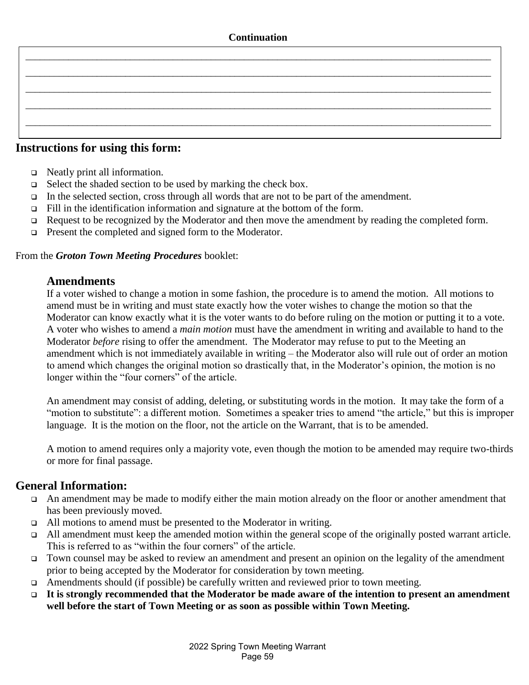#### **Instructions for using this form:**

- □ Neatly print all information.
- $\Box$  Select the shaded section to be used by marking the check box.
- In the selected section, cross through all words that are not to be part of the amendment.
- Fill in the identification information and signature at the bottom of the form.
- $\Box$  Request to be recognized by the Moderator and then move the amendment by reading the completed form.
- **Present the completed and signed form to the Moderator.**

#### From the *Groton Town Meeting Procedures* booklet:

#### **Amendments**

If a voter wished to change a motion in some fashion, the procedure is to amend the motion. All motions to amend must be in writing and must state exactly how the voter wishes to change the motion so that the Moderator can know exactly what it is the voter wants to do before ruling on the motion or putting it to a vote. A voter who wishes to amend a *main motion* must have the amendment in writing and available to hand to the Moderator *before* rising to offer the amendment. The Moderator may refuse to put to the Meeting an amendment which is not immediately available in writing – the Moderator also will rule out of order an motion to amend which changes the original motion so drastically that, in the Moderator's opinion, the motion is no longer within the "four corners" of the article.

An amendment may consist of adding, deleting, or substituting words in the motion. It may take the form of a "motion to substitute": a different motion. Sometimes a speaker tries to amend "the article," but this is improper language. It is the motion on the floor, not the article on the Warrant, that is to be amended.

A motion to amend requires only a majority vote, even though the motion to be amended may require two-thirds or more for final passage.

#### **General Information:**

- An amendment may be made to modify either the main motion already on the floor or another amendment that has been previously moved.
- All motions to amend must be presented to the Moderator in writing.
- $\Box$  All amendment must keep the amended motion within the general scope of the originally posted warrant article. This is referred to as "within the four corners" of the article.
- Town counsel may be asked to review an amendment and present an opinion on the legality of the amendment prior to being accepted by the Moderator for consideration by town meeting.
- Amendments should (if possible) be carefully written and reviewed prior to town meeting.
- **It is strongly recommended that the Moderator be made aware of the intention to present an amendment well before the start of Town Meeting or as soon as possible within Town Meeting.**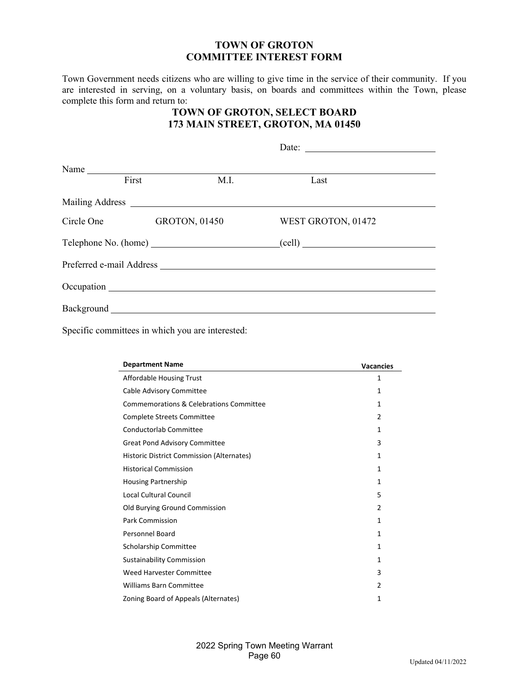#### **TOWN OF GROTON COMMITTEE INTEREST FORM**

Town Government needs citizens who are willing to give time in the service of their community. If you are interested in serving, on a voluntary basis, on boards and committees within the Town, please complete this form and return to:

#### **TOWN OF GROTON, SELECT BOARD 173 MAIN STREET, GROTON, MA 01450**

| Name $\frac{1}{\sqrt{1-\frac{1}{2}}\left(\frac{1}{2}-\frac{1}{2}\right)}$ |       |      |                                                                                                                                                                                                                               |  |
|---------------------------------------------------------------------------|-------|------|-------------------------------------------------------------------------------------------------------------------------------------------------------------------------------------------------------------------------------|--|
|                                                                           | First | M.I. | Last                                                                                                                                                                                                                          |  |
|                                                                           |       |      |                                                                                                                                                                                                                               |  |
| Circle One GROTON, 01450                                                  |       |      | WEST GROTON, 01472                                                                                                                                                                                                            |  |
|                                                                           |       |      | $\text{Telephone No. (home)}$ $\qquad \qquad \text{(cell)}$                                                                                                                                                                   |  |
|                                                                           |       |      |                                                                                                                                                                                                                               |  |
|                                                                           |       |      | Occupation experience and the contract of the contract of the contract of the contract of the contract of the contract of the contract of the contract of the contract of the contract of the contract of the contract of the |  |
|                                                                           |       |      |                                                                                                                                                                                                                               |  |

Specific committees in which you are interested:

| <b>Department Name</b>                    | <b>Vacancies</b> |
|-------------------------------------------|------------------|
| <b>Affordable Housing Trust</b>           | $\mathbf{1}$     |
| Cable Advisory Committee                  | 1                |
| Commemorations & Celebrations Committee   | $\mathbf{1}$     |
| <b>Complete Streets Committee</b>         | 2                |
| <b>Conductorlab Committee</b>             | $\mathbf{1}$     |
| <b>Great Pond Advisory Committee</b>      | 3                |
| Historic District Commission (Alternates) | 1                |
| <b>Historical Commission</b>              | $\mathbf{1}$     |
| <b>Housing Partnership</b>                | $\mathbf{1}$     |
| <b>Local Cultural Council</b>             | 5                |
| Old Burying Ground Commission             | 2                |
| <b>Park Commission</b>                    | 1                |
| <b>Personnel Board</b>                    | 1                |
| Scholarship Committee                     | $\mathbf{1}$     |
| <b>Sustainability Commission</b>          | $\mathbf{1}$     |
| Weed Harvester Committee                  | 3                |
| <b>Williams Barn Committee</b>            | 2                |
| Zoning Board of Appeals (Alternates)      | 1                |